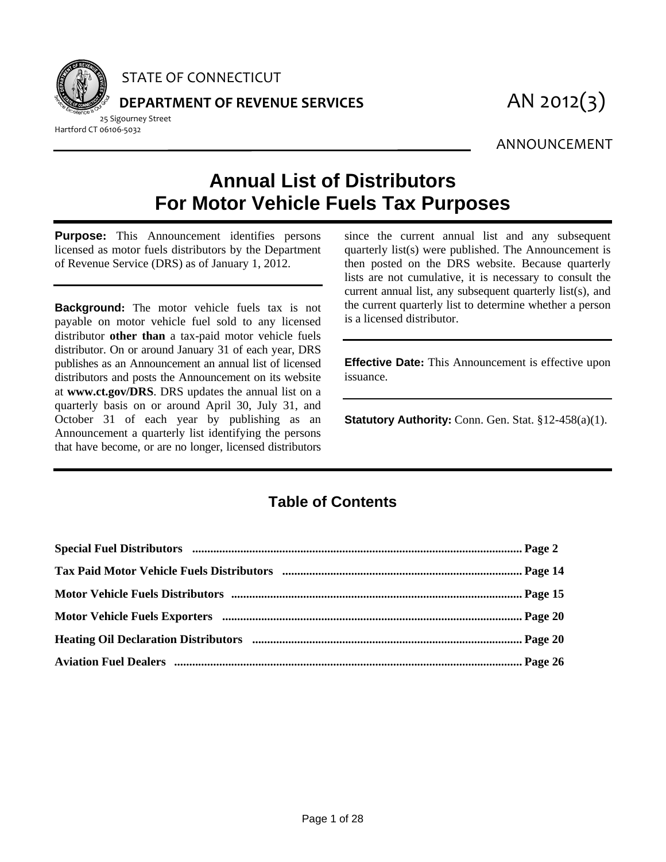

STATE OF CONNECTICUT

**DEPARTMENT OF REVENUE SERVICES** AN 2012(3)

25 Sigourney Street Hartford CT 06106‐5032

ANNOUNCEMENT

## **Annual List of Distributors For Motor Vehicle Fuels Tax Purposes**

**Purpose:** This Announcement identifies persons licensed as motor fuels distributors by the Department of Revenue Service (DRS) as of January 1, 2012.

**Background:** The motor vehicle fuels tax is not payable on motor vehicle fuel sold to any licensed distributor **other than** a tax-paid motor vehicle fuels distributor. On or around January 31 of each year, DRS publishes as an Announcement an annual list of licensed distributors and posts the Announcement on its website at **www.ct.gov/DRS**. DRS updates the annual list on a quarterly basis on or around April 30, July 31, and October 31 of each year by publishing as an Announcement a quarterly list identifying the persons that have become, or are no longer, licensed distributors since the current annual list and any subsequent quarterly list(s) were published. The Announcement is then posted on the DRS website. Because quarterly lists are not cumulative, it is necessary to consult the current annual list, any subsequent quarterly list(s), and the current quarterly list to determine whether a person is a licensed distributor.

**Effective Date:** This Announcement is effective upon issuance.

**Statutory Authority:** Conn. Gen. Stat. §12-458(a)(1).

## **Table of Contents**

| Special Fuel Distributors manual manual manual members and page 2 |  |
|-------------------------------------------------------------------|--|
|                                                                   |  |
|                                                                   |  |
|                                                                   |  |
|                                                                   |  |
|                                                                   |  |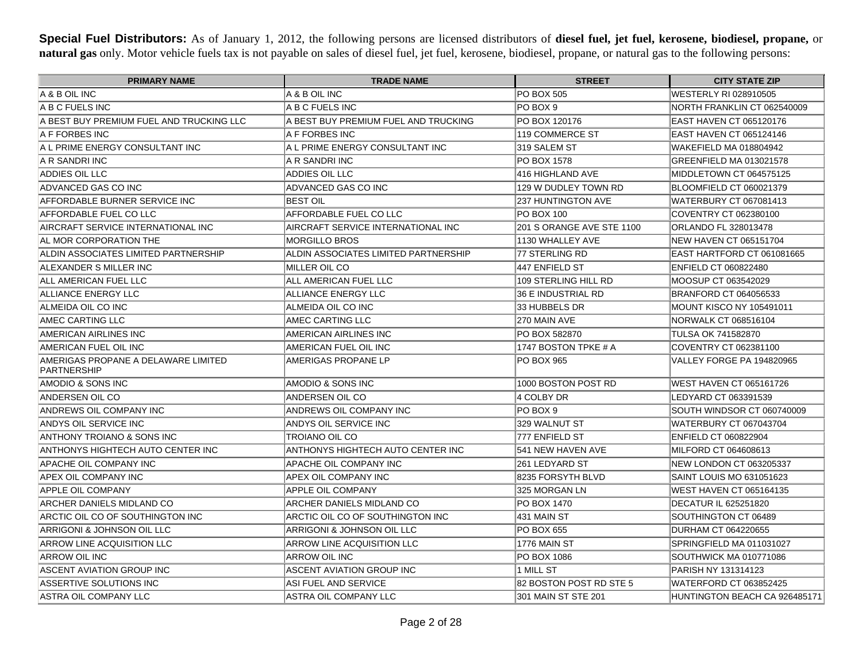**Special Fuel Distributors:** As of January 1, 2012, the following persons are licensed distributors of **diesel fuel, jet fuel, kerosene, biodiesel, propane,** or **natural gas** only. Motor vehicle fuels tax is not payable on sales of diesel fuel, jet fuel, kerosene, biodiesel, propane, or natural gas to the following persons:

| <b>PRIMARY NAME</b>                                | <b>TRADE NAME</b>                     | <b>STREET</b>             | <b>CITY STATE ZIP</b>         |
|----------------------------------------------------|---------------------------------------|---------------------------|-------------------------------|
| IA & B OIL INC                                     | A & B OIL INC                         | <b>PO BOX 505</b>         | WESTERLY RI 028910505         |
| A B C FUELS INC                                    | A B C FUELS INC                       | PO BOX 9                  | NORTH FRANKLIN CT 062540009   |
| IA BEST BUY PREMIUM FUEL AND TRUCKING LLC          | IA BEST BUY PREMIUM FUEL AND TRUCKING | PO BOX 120176             | IEAST HAVEN CT 065120176      |
| <b>A F FORBES INC</b>                              | IA F FORBES INC                       | 119 COMMERCE ST           | EAST HAVEN CT 065124146       |
| A L PRIME ENERGY CONSULTANT INC                    | A L PRIME ENERGY CONSULTANT INC       | 319 SALEM ST              | WAKEFIELD MA 018804942        |
| IA R SANDRI INC                                    | IA R SANDRI INC                       | PO BOX 1578               | GREENFIELD MA 013021578       |
| ADDIES OIL LLC                                     | ADDIES OIL LLC                        | 416 HIGHLAND AVE          | MIDDLETOWN CT 064575125       |
| ADVANCED GAS CO INC                                | ADVANCED GAS CO INC                   | 129 W DUDLEY TOWN RD      | BLOOMFIELD CT 060021379       |
| AFFORDABLE BURNER SERVICE INC                      | <b>BEST OIL</b>                       | 237 HUNTINGTON AVE        | WATERBURY CT 067081413        |
| AFFORDABLE FUEL CO LLC                             | AFFORDABLE FUEL CO LLC                | <b>PO BOX 100</b>         | COVENTRY CT 062380100         |
| AIRCRAFT SERVICE INTERNATIONAL INC                 | AIRCRAFT SERVICE INTERNATIONAL INC    | 201 S ORANGE AVE STE 1100 | ORLANDO FL 328013478          |
| AL MOR CORPORATION THE                             | <b>MORGILLO BROS</b>                  | 1130 WHALLEY AVE          | NEW HAVEN CT 065151704        |
| ALDIN ASSOCIATES LIMITED PARTNERSHIP               | ALDIN ASSOCIATES LIMITED PARTNERSHIP  | 177 STERLING RD           | EAST HARTFORD CT 061081665    |
| ALEXANDER S MILLER INC                             | MILLER OIL CO                         | 447 ENFIELD ST            | <b>ENFIELD CT 060822480</b>   |
| ALL AMERICAN FUEL LLC                              | ALL AMERICAN FUEL LLC                 | 109 STERLING HILL RD      | MOOSUP CT 063542029           |
| ALLIANCE ENERGY LLC                                | <b>ALLIANCE ENERGY LLC</b>            | <b>36 E INDUSTRIAL RD</b> | BRANFORD CT 064056533         |
| ALMEIDA OIL CO INC                                 | ALMEIDA OIL CO INC                    | 33 HUBBELS DR             | MOUNT KISCO NY 105491011      |
| AMEC CARTING LLC                                   | AMEC CARTING LLC                      | 270 MAIN AVE              | NORWALK CT 068516104          |
| AMERICAN AIRLINES INC                              | <b>AMERICAN AIRLINES INC</b>          | PO BOX 582870             | TULSA OK 741582870            |
| AMERICAN FUEL OIL INC                              | AMERICAN FUEL OIL INC                 | 1747 BOSTON TPKE # A      | COVENTRY CT 062381100         |
| AMERIGAS PROPANE A DELAWARE LIMITED<br>PARTNERSHIP | AMERIGAS PROPANE LP                   | PO BOX 965                | VALLEY FORGE PA 194820965     |
| AMODIO & SONS INC                                  | AMODIO & SONS INC                     | 1000 BOSTON POST RD       | WEST HAVEN CT 065161726       |
| ANDERSEN OIL CO                                    | ANDERSEN OIL CO                       | 4 COLBY DR                | LEDYARD CT 063391539          |
| ANDREWS OIL COMPANY INC                            | ANDREWS OIL COMPANY INC               | PO BOX 9                  | SOUTH WINDSOR CT 060740009    |
| ANDYS OIL SERVICE INC                              | ANDYS OIL SERVICE INC                 | 329 WALNUT ST             | <b>WATERBURY CT 067043704</b> |
| IANTHONY TROIANO & SONS INC                        | <b>TROIANO OIL CO</b>                 | 777 ENFIELD ST            | <b>ENFIELD CT 060822904</b>   |
| ANTHONYS HIGHTECH AUTO CENTER INC                  | ANTHONYS HIGHTECH AUTO CENTER INC     | 541 NEW HAVEN AVE         | MILFORD CT 064608613          |
| <b>APACHE OIL COMPANY INC</b>                      | <b>APACHE OIL COMPANY INC</b>         | 261 LEDYARD ST            | NEW LONDON CT 063205337       |
| APEX OIL COMPANY INC                               | APEX OIL COMPANY INC                  | 8235 FORSYTH BLVD         | SAINT LOUIS MO 631051623      |
| <b>APPLE OIL COMPANY</b>                           | <b>APPLE OIL COMPANY</b>              | 325 MORGAN LN             | WEST HAVEN CT 065164135       |
| ARCHER DANIELS MIDLAND CO                          | ARCHER DANIELS MIDLAND CO             | PO BOX 1470               | <b>DECATUR IL 625251820</b>   |
| ARCTIC OIL CO OF SOUTHINGTON INC                   | ARCTIC OIL CO OF SOUTHINGTON INC      | 431 MAIN ST               | SOUTHINGTON CT 06489          |
| ARRIGONI & JOHNSON OIL LLC                         | ARRIGONI & JOHNSON OIL LLC            | <b>PO BOX 655</b>         | <b>DURHAM CT 064220655</b>    |
| ARROW LINE ACQUISITION LLC                         | <b>ARROW LINE ACQUISITION LLC</b>     | 1776 MAIN ST              | SPRINGFIELD MA 011031027      |
| <b>ARROW OIL INC</b>                               | <b>ARROW OIL INC</b>                  | PO BOX 1086               | SOUTHWICK MA 010771086        |
| ASCENT AVIATION GROUP INC                          | ASCENT AVIATION GROUP INC             | 1 MILL ST                 | PARISH NY 131314123           |
| ASSERTIVE SOLUTIONS INC                            | <b>ASI FUEL AND SERVICE</b>           | 82 BOSTON POST RD STE 5   | WATERFORD CT 063852425        |
| ASTRA OIL COMPANY LLC                              | ASTRA OIL COMPANY LLC                 | 301 MAIN ST STE 201       | HUNTINGTON BEACH CA 926485171 |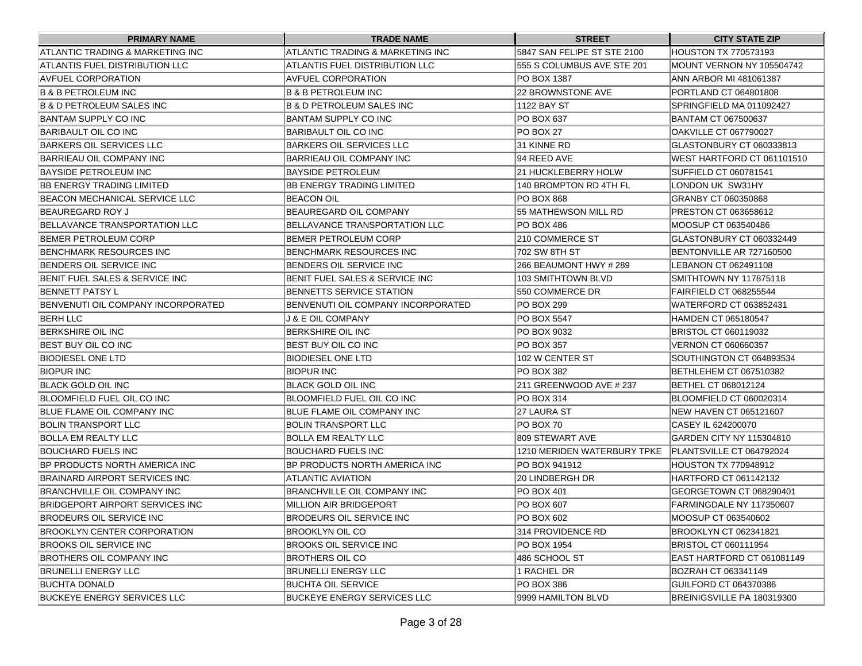| <b>PRIMARY NAME</b>                    | <b>TRADE NAME</b>                    | <b>STREET</b>               | <b>CITY STATE ZIP</b>           |
|----------------------------------------|--------------------------------------|-----------------------------|---------------------------------|
| IATLANTIC TRADING & MARKETING INC      | ATLANTIC TRADING & MARKETING INC     | 5847 SAN FELIPE ST STE 2100 | HOUSTON TX 770573193            |
| IATLANTIS FUEL DISTRIBUTION LLC        | ATLANTIS FUEL DISTRIBUTION LLC       | l555 S COLUMBUS AVE STE 201 | MOUNT VERNON NY 105504742       |
| <b>AVFUEL CORPORATION</b>              | AVFUEL CORPORATION                   | IPO BOX 1387                | ANN ARBOR MI 481061387          |
| <b>B &amp; B PETROLEUM INC</b>         | <b>B &amp; B PETROLEUM INC</b>       | 22 BROWNSTONE AVE           | PORTLAND CT 064801808           |
| <b>B &amp; D PETROLEUM SALES INC</b>   | <b>B &amp; D PETROLEUM SALES INC</b> | 1122 BAY ST                 | SPRINGFIELD MA 011092427        |
| BANTAM SUPPLY CO INC                   | BANTAM SUPPLY CO INC                 | PO BOX 637                  | <b>BANTAM CT 067500637</b>      |
| BARIBAULT OIL CO INC                   | BARIBAULT OIL CO INC                 | IPO BOX 27                  | OAKVILLE CT 067790027           |
| BARKERS OIL SERVICES LLC               | BARKERS OIL SERVICES LLC             | 31 KINNE RD                 | GLASTONBURY CT 060333813        |
| BARRIEAU OIL COMPANY INC               | BARRIEAU OIL COMPANY INC             | 94 REED AVE                 | WEST HARTFORD CT 061101510      |
| BAYSIDE PETROLEUM INC                  | <b>BAYSIDE PETROLEUM</b>             | 21 HUCKLEBERRY HOLW         | <b>SUFFIELD CT 060781541</b>    |
| BB ENERGY TRADING LIMITED              | BB ENERGY TRADING LIMITED            | 140 BROMPTON RD 4TH FL      | LONDON UK SW31HY                |
| BEACON MECHANICAL SERVICE LLC          | <b>BEACON OIL</b>                    | PO BOX 868                  | GRANBY CT 060350868             |
| BEAUREGARD ROY J                       | BEAUREGARD OIL COMPANY               | 55 MATHEWSON MILL RD        | PRESTON CT 063658612            |
| BELLAVANCE TRANSPORTATION LLC          | BELLAVANCE TRANSPORTATION LLC        | IPO BOX 486                 | MOOSUP CT 063540486             |
| BEMER PETROLEUM CORP                   | BEMER PETROLEUM CORP                 | 210 COMMERCE ST             | GLASTONBURY CT 060332449        |
| BENCHMARK RESOURCES INC                | BENCHMARK RESOURCES INC              | 702 SW 8TH ST               | BENTONVILLE AR 727160500        |
| BENDERS OIL SERVICE INC                | BENDERS OIL SERVICE INC              | 266 BEAUMONT HWY # 289      | LEBANON CT 062491108            |
| BENIT FUEL SALES & SERVICE INC         | BENIT FUEL SALES & SERVICE INC       | 103 SMITHTOWN BLVD          | SMITHTOWN NY 117875118          |
| IBENNETT PATSY L                       | BENNETTS SERVICE STATION             | 550 COMMERCE DR             | FAIRFIELD CT 068255544          |
| BENVENUTI OIL COMPANY INCORPORATED     | BENVENUTI OIL COMPANY INCORPORATED   | PO BOX 299                  | WATERFORD CT 063852431          |
| <b>BERH LLC</b>                        | <b>J &amp; E OIL COMPANY</b>         | PO BOX 5547                 | <b>HAMDEN CT 065180547</b>      |
| BERKSHIRE OIL INC                      | <b>BERKSHIRE OIL INC</b>             | PO BOX 9032                 | BRISTOL CT 060119032            |
| BEST BUY OIL CO INC                    | BEST BUY OIL CO INC                  | PO BOX 357                  | VERNON CT 060660357             |
| <b>BIODIESEL ONE LTD</b>               | <b>BIODIESEL ONE LTD</b>             | 102 W CENTER ST             | SOUTHINGTON CT 064893534        |
| <b>BIOPUR INC</b>                      | BIOPUR INC                           | PO BOX 382                  | BETHLEHEM CT 067510382          |
| BLACK GOLD OIL INC                     | BLACK GOLD OIL INC                   | 211 GREENWOOD AVE # 237     | BETHEL CT 068012124             |
| BLOOMFIELD FUEL OIL CO INC             | BLOOMFIELD FUEL OIL CO INC           | PO BOX 314                  | BLOOMFIELD CT 060020314         |
| <b>IBLUE FLAME OIL COMPANY INC</b>     | BLUE FLAME OIL COMPANY INC           | 27 LAURA ST                 | <b>NEW HAVEN CT 065121607</b>   |
| <b>BOLIN TRANSPORT LLC</b>             | <b>BOLIN TRANSPORT LLC</b>           | IPO BOX 70                  | CASEY IL 624200070              |
| BOLLA EM REALTY LLC                    | BOLLA EM REALTY LLC                  | 1809 STEWART AVE            | GARDEN CITY NY 115304810        |
| BOUCHARD FUELS INC                     | <b>BOUCHARD FUELS INC</b>            | 1210 MERIDEN WATERBURY TPKE | <b>PLANTSVILLE CT 064792024</b> |
| BP PRODUCTS NORTH AMERICA INC          | IBP PRODUCTS NORTH AMERICA INC       | PO BOX 941912               | <b>HOUSTON TX 770948912</b>     |
| BRAINARD AIRPORT SERVICES INC          | ATLANTIC AVIATION                    | 20 LINDBERGH DR             | HARTFORD CT 061142132           |
| BRANCHVILLE OIL COMPANY INC            | BRANCHVILLE OIL COMPANY INC          | PO BOX 401                  | GEORGETOWN CT 068290401         |
| <b>BRIDGEPORT AIRPORT SERVICES INC</b> | MILLION AIR BRIDGEPORT               | PO BOX 607                  | FARMINGDALE NY 117350607        |
| <b>BRODEURS OIL SERVICE INC</b>        | <b>BRODEURS OIL SERVICE INC</b>      | PO BOX 602                  | MOOSUP CT 063540602             |
| <b>BROOKLYN CENTER CORPORATION</b>     | BROOKLYN OIL CO                      | 314 PROVIDENCE RD           | BROOKLYN CT 062341821           |
| BROOKS OIL SERVICE INC                 | <b>BROOKS OIL SERVICE INC</b>        | PO BOX 1954                 | <b>BRISTOL CT 060111954</b>     |
| BROTHERS OIL COMPANY INC               | BROTHERS OIL CO                      | 486 SCHOOL ST               | EAST HARTFORD CT 061081149      |
| <b>BRUNELLI ENERGY LLC</b>             | <b>BRUNELLI ENERGY LLC</b>           | 1 RACHEL DR                 | BOZRAH CT 063341149             |
| <b>BUCHTA DONALD</b>                   | <b>BUCHTA OIL SERVICE</b>            | <b>PO BOX 386</b>           | GUILFORD CT 064370386           |
| <b>BUCKEYE ENERGY SERVICES LLC</b>     | BUCKEYE ENERGY SERVICES LLC          | 9999 HAMILTON BLVD          | BREINIGSVILLE PA 180319300      |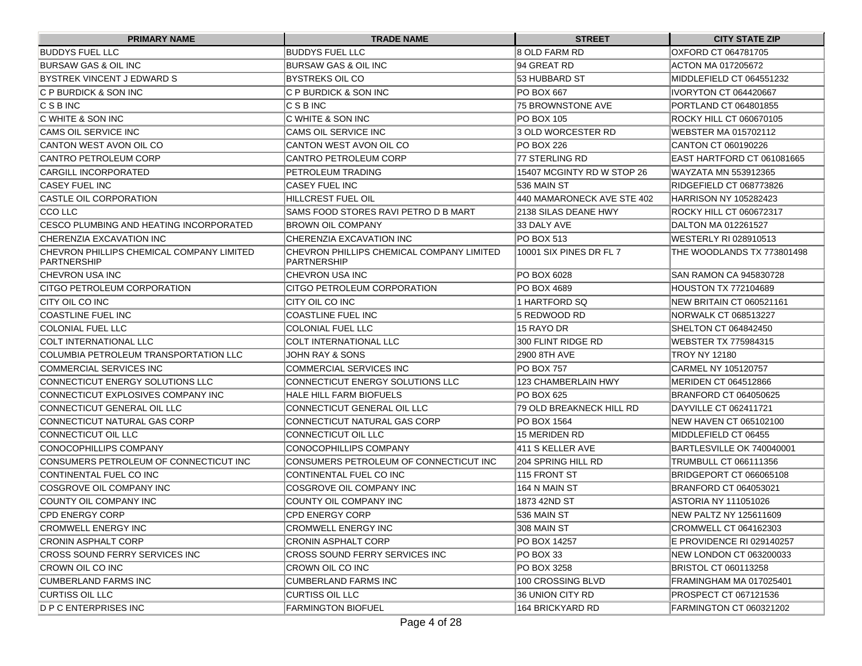| <b>PRIMARY NAME</b>                                             | <b>TRADE NAME</b>                                               | <b>STREET</b>              | <b>CITY STATE ZIP</b>          |
|-----------------------------------------------------------------|-----------------------------------------------------------------|----------------------------|--------------------------------|
| <b>BUDDYS FUEL LLC</b>                                          | <b>BUDDYS FUEL LLC</b>                                          | 8 OLD FARM RD              | OXFORD CT 064781705            |
| <b>BURSAW GAS &amp; OIL INC</b>                                 | BURSAW GAS & OIL INC                                            | 94 GREAT RD                | ACTON MA 017205672             |
| BYSTREK VINCENT J EDWARD S                                      | IBYSTREKS OIL CO                                                | 53 HUBBARD ST              | MIDDLEFIELD CT 064551232       |
| IC P BURDICK & SON INC                                          | IC P BURDICK & SON INC                                          | <b>PO BOX 667</b>          | IIVORYTON CT 064420667         |
| IC S B INC                                                      | IC S B INC                                                      | 75 BROWNSTONE AVE          | PORTLAND CT 064801855          |
| IC WHITE & SON INC                                              | C WHITE & SON INC                                               | <b>PO BOX 105</b>          | ROCKY HILL CT 060670105        |
| CAMS OIL SERVICE INC                                            | CAMS OIL SERVICE INC                                            | 3 OLD WORCESTER RD         | WEBSTER MA 015702112           |
| CANTON WEST AVON OIL CO                                         | CANTON WEST AVON OIL CO                                         | <b>PO BOX 226</b>          | CANTON CT 060190226            |
| CANTRO PETROLEUM CORP                                           | <b>CANTRO PETROLEUM CORP</b>                                    | 77 STERLING RD             | IEAST HARTFORD CT 061081665    |
| CARGILL INCORPORATED                                            | <b>PETROLEUM TRADING</b>                                        | 15407 MCGINTY RD W STOP 26 | WAYZATA MN 553912365           |
| <b>CASEY FUEL INC</b>                                           | ICASEY FUEL INC                                                 | 536 MAIN ST                | RIDGEFIELD CT 068773826        |
| CASTLE OIL CORPORATION                                          | HILLCREST FUEL OIL                                              | 440 MAMARONECK AVE STE 402 | HARRISON NY 105282423          |
| <b>CCO LLC</b>                                                  | SAMS FOOD STORES RAVI PETRO D B MART                            | 2138 SILAS DEANE HWY       | ROCKY HILL CT 060672317        |
| CESCO PLUMBING AND HEATING INCORPORATED                         | <b>BROWN OIL COMPANY</b>                                        | 33 DALY AVE                | DALTON MA 012261527            |
| CHERENZIA EXCAVATION INC                                        | ICHERENZIA EXCAVATION INC                                       | IPO BOX 513                | WESTERLY RI 028910513          |
| CHEVRON PHILLIPS CHEMICAL COMPANY LIMITED<br><b>PARTNERSHIP</b> | CHEVRON PHILLIPS CHEMICAL COMPANY LIMITED<br><b>PARTNERSHIP</b> | 10001 SIX PINES DR FL 7    | THE WOODLANDS TX 773801498     |
| CHEVRON USA INC                                                 | ICHEVRON USA INC                                                | PO BOX 6028                | SAN RAMON CA 945830728         |
| CITGO PETROLEUM CORPORATION                                     | ICITGO PETROLEUM CORPORATION                                    | PO BOX 4689                | <b>HOUSTON TX 772104689</b>    |
| CITY OIL CO INC                                                 | ICITY OIL CO INC                                                | 1 HARTFORD SQ              | NEW BRITAIN CT 060521161       |
| <b>COASTLINE FUEL INC</b>                                       | <b>COASTLINE FUEL INC</b>                                       | l5 REDWOOD RD              | NORWALK CT 068513227           |
| <b>COLONIAL FUEL LLC</b>                                        | <b>COLONIAL FUEL LLC</b>                                        | 15 RAYO DR                 | SHELTON CT 064842450           |
| <b>COLT INTERNATIONAL LLC</b>                                   | <b>COLT INTERNATIONAL LLC</b>                                   | 300 FLINT RIDGE RD         | WEBSTER TX 775984315           |
| COLUMBIA PETROLEUM TRANSPORTATION LLC                           | JOHN RAY & SONS                                                 | 2900 8TH AVE               | <b>TROY NY 12180</b>           |
| COMMERCIAL SERVICES INC                                         | COMMERCIAL SERVICES INC                                         | <b>PO BOX 757</b>          | CARMEL NY 105120757            |
| CONNECTICUT ENERGY SOLUTIONS LLC                                | CONNECTICUT ENERGY SOLUTIONS LLC                                | 123 CHAMBERLAIN HWY        | MERIDEN CT 064512866           |
| CONNECTICUT EXPLOSIVES COMPANY INC                              | HALE HILL FARM BIOFUELS                                         | PO BOX 625                 | BRANFORD CT 064050625          |
| CONNECTICUT GENERAL OIL LLC                                     | ICONNECTICUT GENERAL OIL LLC                                    | 79 OLD BREAKNECK HILL RD   | <b>IDAYVILLE CT 062411721</b>  |
| CONNECTICUT NATURAL GAS CORP                                    | CONNECTICUT NATURAL GAS CORP                                    | PO BOX 1564                | NEW HAVEN CT 065102100         |
| CONNECTICUT OIL LLC                                             | CONNECTICUT OIL LLC                                             | 15 MERIDEN RD              | MIDDLEFIELD CT 06455           |
| CONOCOPHILLIPS COMPANY                                          | CONOCOPHILLIPS COMPANY                                          | 411 S KELLER AVE           | BARTLESVILLE OK 740040001      |
| CONSUMERS PETROLEUM OF CONNECTICUT INC                          | CONSUMERS PETROLEUM OF CONNECTICUT INC                          | 204 SPRING HILL RD         | TRUMBULL CT 066111356          |
| CONTINENTAL FUEL CO INC                                         | <b>CONTINENTAL FUEL CO INC</b>                                  | 115 FRONT ST               | BRIDGEPORT CT 066065108        |
| COSGROVE OIL COMPANY INC                                        | ICOSGROVE OIL COMPANY INC                                       | 164 N MAIN ST              | <b>BRANFORD CT 064053021</b>   |
| COUNTY OIL COMPANY INC                                          | <b>COUNTY OIL COMPANY INC</b>                                   | 1873 42ND ST               | ASTORIA NY 111051026           |
| <b>CPD ENERGY CORP</b>                                          | ICPD ENERGY CORP                                                | 536 MAIN ST                | <b>INEW PALTZ NY 125611609</b> |
| <b>CROMWELL ENERGY INC</b>                                      | <b>CROMWELL ENERGY INC</b>                                      | 308 MAIN ST                | CROMWELL CT 064162303          |
| CRONIN ASPHALT CORP                                             | <b>CRONIN ASPHALT CORP</b>                                      | PO BOX 14257               | E PROVIDENCE RI 029140257      |
| <b>CROSS SOUND FERRY SERVICES INC</b>                           | CROSS SOUND FERRY SERVICES INC                                  | PO BOX 33                  | NEW LONDON CT 063200033        |
| CROWN OIL CO INC                                                | CROWN OIL CO INC                                                | PO BOX 3258                | BRISTOL CT 060113258           |
| CUMBERLAND FARMS INC                                            | CUMBERLAND FARMS INC                                            | 100 CROSSING BLVD          | FRAMINGHAM MA 017025401        |
| CURTISS OIL LLC                                                 | <b>CURTISS OIL LLC</b>                                          | 36 UNION CITY RD           | PROSPECT CT 067121536          |
| <b>D P C ENTERPRISES INC</b>                                    | <b>FARMINGTON BIOFUEL</b>                                       | 164 BRICKYARD RD           | FARMINGTON CT 060321202        |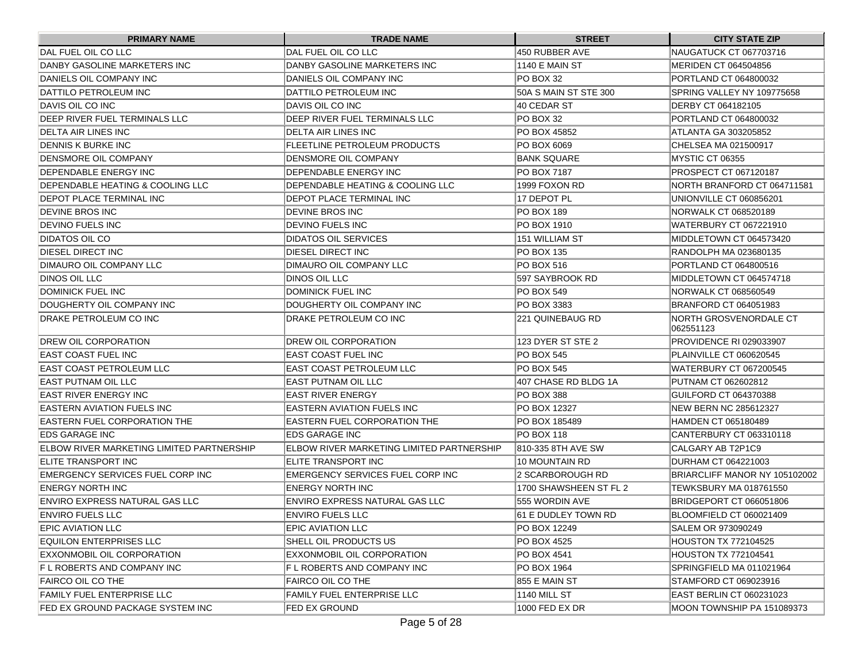| <b>PRIMARY NAME</b>                       | <b>TRADE NAME</b>                          | <b>STREET</b>          | <b>CITY STATE ZIP</b>               |
|-------------------------------------------|--------------------------------------------|------------------------|-------------------------------------|
| DAL FUEL OIL CO LLC                       | DAL FUEL OIL CO LLC                        | 450 RUBBER AVE         | NAUGATUCK CT 067703716              |
| DANBY GASOLINE MARKETERS INC              | DANBY GASOLINE MARKETERS INC               | l1140 E MAIN ST        | MERIDEN CT 064504856                |
| DANIELS OIL COMPANY INC                   | IDANIELS OIL COMPANY INC                   | IPO BOX 32             | PORTLAND CT 064800032               |
| DATTILO PETROLEUM INC                     | DATTILO PETROLEUM INC                      | 50A S MAIN ST STE 300  | SPRING VALLEY NY 109775658          |
| <b>DAVIS OIL CO INC</b>                   | IDAVIS OIL CO INC                          | 40 CEDAR ST            | DERBY CT 064182105                  |
| DEEP RIVER FUEL TERMINALS LLC             | DEEP RIVER FUEL TERMINALS LLC              | IPO BOX 32             | PORTLAND CT 064800032               |
| DELTA AIR LINES INC                       | <b>DELTA AIR LINES INC</b>                 | IPO BOX 45852          | ATLANTA GA 303205852                |
| DENNIS K BURKE INC                        | FLEETLINE PETROLEUM PRODUCTS               | PO BOX 6069            | CHELSEA MA 021500917                |
| <b>IDENSMORE OIL COMPANY</b>              | IDENSMORE OIL COMPANY                      | <b>IBANK SQUARE</b>    | MYSTIC CT 06355                     |
| DEPENDABLE ENERGY INC                     | IDEPENDABLE ENERGY INC                     | IPO BOX 7187           | PROSPECT CT 067120187               |
| DEPENDABLE HEATING & COOLING LLC          | DEPENDABLE HEATING & COOLING LLC           | 1999 FOXON RD          | NORTH BRANFORD CT 064711581         |
| DEPOT PLACE TERMINAL INC                  | DEPOT PLACE TERMINAL INC                   | 17 DEPOT PL            | UNIONVILLE CT 060856201             |
| <b>DEVINE BROS INC</b>                    | DEVINE BROS INC                            | PO BOX 189             | NORWALK CT 068520189                |
| <b>IDEVINO FUELS INC</b>                  | <b>DEVINO FUELS INC</b>                    | PO BOX 1910            | WATERBURY CT 067221910              |
| <b>IDIDATOS OIL CO</b>                    | IDIDATOS OIL SERVICES                      | 151 WILLIAM ST         | MIDDLETOWN CT 064573420             |
| <b>IDIESEL DIRECT INC</b>                 | DIESEL DIRECT INC                          | PO BOX 135             | RANDOLPH MA 023680135               |
| DIMAURO OIL COMPANY LLC                   | IDIMAURO OIL COMPANY LLC                   | PO BOX 516             | PORTLAND CT 064800516               |
| DINOS OIL LLC                             | DINOS OIL LLC                              | 597 SAYBROOK RD        | MIDDLETOWN CT 064574718             |
| DOMINICK FUEL INC                         | <b>DOMINICK FUEL INC</b>                   | PO BOX 549             | NORWALK CT 068560549                |
| DOUGHERTY OIL COMPANY INC                 | DOUGHERTY OIL COMPANY INC                  | PO BOX 3383            | BRANFORD CT 064051983               |
| DRAKE PETROLEUM CO INC                    | DRAKE PETROLEUM CO INC                     | 221 QUINEBAUG RD       | NORTH GROSVENORDALE CT<br>062551123 |
| <b>DREW OIL CORPORATION</b>               | <b>DREW OIL CORPORATION</b>                | 123 DYER ST STE 2      | PROVIDENCE RI 029033907             |
| EAST COAST FUEL INC                       | IEAST COAST FUEL INC                       | PO BOX 545             | PLAINVILLE CT 060620545             |
| IEAST COAST PETROLEUM LLC                 | IEAST COAST PETROLEUM LLC                  | PO BOX 545             | WATERBURY CT 067200545              |
| EAST PUTNAM OIL LLC                       | IEAST PUTNAM OIL LLC                       | 407 CHASE RD BLDG 1A   | PUTNAM CT 062602812                 |
| EAST RIVER ENERGY INC                     | EAST RIVER ENERGY                          | PO BOX 388             | GUILFORD CT 064370388               |
| <b>EASTERN AVIATION FUELS INC</b>         | IEASTERN AVIATION FUELS INC                | IPO BOX 12327          | NEW BERN NC 285612327               |
| <b>EASTERN FUEL CORPORATION THE</b>       | EASTERN FUEL CORPORATION THE               | PO BOX 185489          | HAMDEN CT 065180489                 |
| <b>EDS GARAGE INC</b>                     | <b>IEDS GARAGE INC</b>                     | PO BOX 118             | CANTERBURY CT 063310118             |
| ELBOW RIVER MARKETING LIMITED PARTNERSHIP | IELBOW RIVER MARKETING LIMITED PARTNERSHIP | 810-335 8TH AVE SW     | CALGARY AB T2P1C9                   |
| <b>IELITE TRANSPORT INC</b>               | ELITE TRANSPORT INC                        | 10 MOUNTAIN RD         | DURHAM CT 064221003                 |
| EMERGENCY SERVICES FUEL CORP INC          | EMERGENCY SERVICES FUEL CORP INC           | 2 SCARBOROUGH RD       | BRIARCLIFF MANOR NY 105102002       |
| <b>ENERGY NORTH INC</b>                   | ENERGY NORTH INC                           | 1700 SHAWSHEEN ST FL 2 | TEWKSBURY MA 018761550              |
| IENVIRO EXPRESS NATURAL GAS LLC           | IENVIRO EXPRESS NATURAL GAS LLC            | 555 WORDIN AVE         | BRIDGEPORT CT 066051806             |
| <b>ENVIRO FUELS LLC</b>                   | <b>ENVIRO FUELS LLC</b>                    | 61 E DUDLEY TOWN RD    | BLOOMFIELD CT 060021409             |
| <b>EPIC AVIATION LLC</b>                  | <b>EPIC AVIATION LLC</b>                   | <b>PO BOX 12249</b>    | SALEM OR 973090249                  |
| <b>EQUILON ENTERPRISES LLC</b>            | SHELL OIL PRODUCTS US                      | PO BOX 4525            | <b>HOUSTON TX 772104525</b>         |
| EXXONMOBIL OIL CORPORATION                | EXXONMOBIL OIL CORPORATION                 | PO BOX 4541            | HOUSTON TX 772104541                |
| F L ROBERTS AND COMPANY INC               | IF L ROBERTS AND COMPANY INC               | PO BOX 1964            | SPRINGFIELD MA 011021964            |
| FAIRCO OIL CO THE                         | FAIRCO OIL CO THE                          | 855 E MAIN ST          | STAMFORD CT 069023916               |
| FAMILY FUEL ENTERPRISE LLC                | FAMILY FUEL ENTERPRISE LLC                 | 1140 MILL ST           | EAST BERLIN CT 060231023            |
| FED EX GROUND PACKAGE SYSTEM INC          | FED EX GROUND                              | 1000 FED EX DR         | MOON TOWNSHIP PA 151089373          |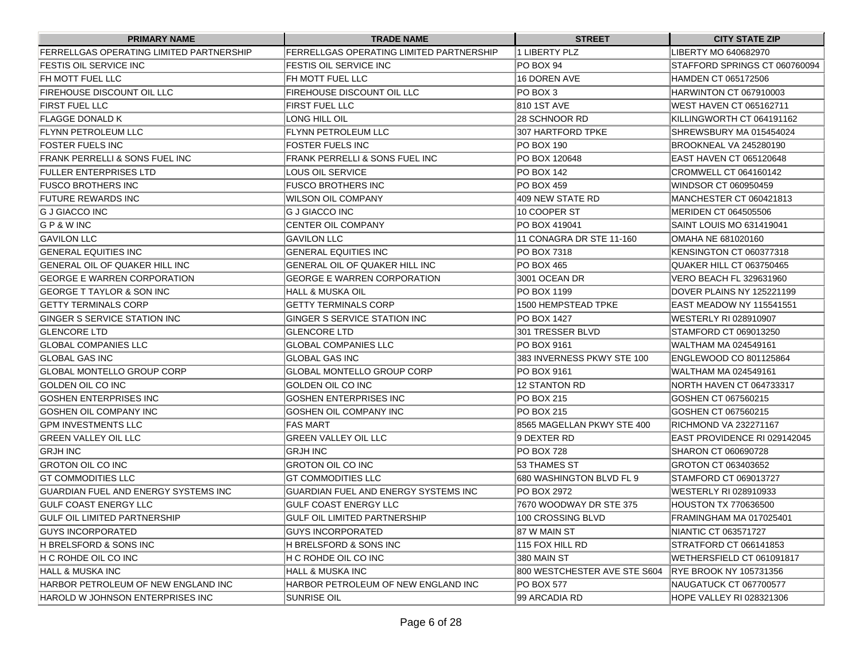| <b>PRIMARY NAME</b>                      | <b>TRADE NAME</b>                        | <b>STREET</b>                | <b>CITY STATE ZIP</b>         |
|------------------------------------------|------------------------------------------|------------------------------|-------------------------------|
| FERRELLGAS OPERATING LIMITED PARTNERSHIP | FERRELLGAS OPERATING LIMITED PARTNERSHIP | 1 LIBERTY PLZ                | LIBERTY MO 640682970          |
| FESTIS OIL SERVICE INC                   | FESTIS OIL SERVICE INC                   | PO BOX 94                    | STAFFORD SPRINGS CT 060760094 |
| FH MOTT FUEL LLC                         | FH MOTT FUEL LLC                         | 16 DOREN AVE                 | HAMDEN CT 065172506           |
| FIREHOUSE DISCOUNT OIL LLC               | FIREHOUSE DISCOUNT OIL LLC               | IPO BOX 3                    | HARWINTON CT 067910003        |
| <b>FIRST FUEL LLC</b>                    | FIRST FUEL LLC                           | 810 1ST AVE                  | IWEST HAVEN CT 065162711      |
| <b>FLAGGE DONALD K</b>                   | LONG HILL OIL                            | 128 SCHNOOR RD               | KILLINGWORTH CT 064191162     |
| FLYNN PETROLEUM LLC                      | FLYNN PETROLEUM LLC                      | 307 HARTFORD TPKE            | SHREWSBURY MA 015454024       |
| FOSTER FUELS INC                         | FOSTER FUELS INC                         | <b>PO BOX 190</b>            | BROOKNEAL VA 245280190        |
| FRANK PERRELLI & SONS FUEL INC           | FRANK PERRELLI & SONS FUEL INC           | IPO BOX 120648               | EAST HAVEN CT 065120648       |
| <b>FULLER ENTERPRISES LTD</b>            | LOUS OIL SERVICE                         | <b>PO BOX 142</b>            | CROMWELL CT 064160142         |
| <b>FUSCO BROTHERS INC</b>                | FUSCO BROTHERS INC                       | IPO BOX 459                  | WINDSOR CT 060950459          |
| <b>FUTURE REWARDS INC</b>                | WILSON OIL COMPANY                       | 409 NEW STATE RD             | MANCHESTER CT 060421813       |
| <b>G J GIACCO INC</b>                    | G J GIACCO INC                           | 10 COOPER ST                 | MERIDEN CT 064505506          |
| G P & W INC                              | <b>CENTER OIL COMPANY</b>                | <b>PO BOX 419041</b>         | SAINT LOUIS MO 631419041      |
| <b>GAVILON LLC</b>                       | <b>GAVILON LLC</b>                       | 11 CONAGRA DR STE 11-160     | OMAHA NE 681020160            |
| <b>GENERAL EQUITIES INC</b>              | <b>GENERAL EQUITIES INC</b>              | PO BOX 7318                  | KENSINGTON CT 060377318       |
| GENERAL OIL OF QUAKER HILL INC           | GENERAL OIL OF QUAKER HILL INC           | <b>PO BOX 465</b>            | QUAKER HILL CT 063750465      |
| <b>GEORGE E WARREN CORPORATION</b>       | <b>GEORGE E WARREN CORPORATION</b>       | 3001 OCEAN DR                | VERO BEACH FL 329631960       |
| GEORGE T TAYLOR & SON INC                | HALL & MUSKA OIL                         | <b>PO BOX 1199</b>           | DOVER PLAINS NY 125221199     |
| <b>GETTY TERMINALS CORP</b>              | <b>GETTY TERMINALS CORP</b>              | 1500 HEMPSTEAD TPKE          | EAST MEADOW NY 115541551      |
| GINGER S SERVICE STATION INC             | GINGER S SERVICE STATION INC             | PO BOX 1427                  | WESTERLY RI 028910907         |
| <b>GLENCORE LTD</b>                      | <b>GLENCORE LTD</b>                      | 301 TRESSER BLVD             | STAMFORD CT 069013250         |
| <b>GLOBAL COMPANIES LLC</b>              | GLOBAL COMPANIES LLC                     | <b>PO BOX 9161</b>           | WALTHAM MA 024549161          |
| <b>GLOBAL GAS INC</b>                    | GLOBAL GAS INC                           | 383 INVERNESS PKWY STE 100   | ENGLEWOOD CO 801125864        |
| <b>GLOBAL MONTELLO GROUP CORP</b>        | GLOBAL MONTELLO GROUP CORP               | PO BOX 9161                  | WALTHAM MA 024549161          |
| GOLDEN OIL CO INC                        | GOLDEN OIL CO INC                        | <b>12 STANTON RD</b>         | NORTH HAVEN CT 064733317      |
| GOSHEN ENTERPRISES INC                   | GOSHEN ENTERPRISES INC                   | <b>PO BOX 215</b>            | GOSHEN CT 067560215           |
| GOSHEN OIL COMPANY INC                   | GOSHEN OIL COMPANY INC                   | IPO BOX 215                  | GOSHEN CT 067560215           |
| <b>GPM INVESTMENTS LLC</b>               | <b>FAS MART</b>                          | 8565 MAGELLAN PKWY STE 400   | RICHMOND VA 232271167         |
| <b>GREEN VALLEY OIL LLC</b>              | GREEN VALLEY OIL LLC                     | 19 DEXTER RD                 | EAST PROVIDENCE RI 029142045  |
| <b>GRJH INC</b>                          | GRJH INC                                 | IPO BOX 728                  | SHARON CT 060690728           |
| <b>GROTON OIL CO INC</b>                 | GROTON OIL CO INC                        | 53 THAMES ST                 | GROTON CT 063403652           |
| <b>GT COMMODITIES LLC</b>                | GT COMMODITIES LLC                       | 680 WASHINGTON BLVD FL 9     | STAMFORD CT 069013727         |
| GUARDIAN FUEL AND ENERGY SYSTEMS INC     | GUARDIAN FUEL AND ENERGY SYSTEMS INC     | <b>IPO BOX 2972</b>          | WESTERLY RI 028910933         |
| <b>GULF COAST ENERGY LLC</b>             | <b>GULF COAST ENERGY LLC</b>             | 7670 WOODWAY DR STE 375      | <b>HOUSTON TX 770636500</b>   |
| GULF OIL LIMITED PARTNERSHIP             | GULF OIL LIMITED PARTNERSHIP             | 100 CROSSING BLVD            | FRAMINGHAM MA 017025401       |
| <b>GUYS INCORPORATED</b>                 | <b>GUYS INCORPORATED</b>                 | 87 W MAIN ST                 | NIANTIC CT 063571727          |
| H BRELSFORD & SONS INC                   | H BRELSFORD & SONS INC                   | 115 FOX HILL RD              | STRATFORD CT 066141853        |
| H C ROHDE OIL CO INC                     | H C ROHDE OIL CO INC                     | 380 MAIN ST                  | WETHERSFIELD CT 061091817     |
| HALL & MUSKA INC                         | <b>HALL &amp; MUSKA INC</b>              | 800 WESTCHESTER AVE STE S604 | <b>RYE BROOK NY 105731356</b> |
| HARBOR PETROLEUM OF NEW ENGLAND INC      | HARBOR PETROLEUM OF NEW ENGLAND INC      | <b>PO BOX 577</b>            | NAUGATUCK CT 067700577        |
| HAROLD W JOHNSON ENTERPRISES INC         | SUNRISE OIL                              | 99 ARCADIA RD                | HOPE VALLEY RI 028321306      |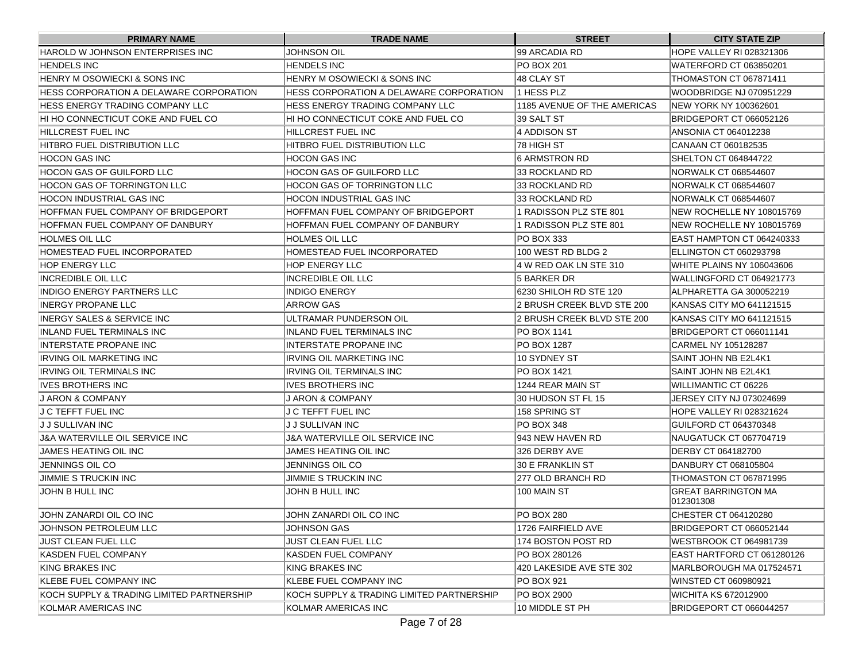| <b>PRIMARY NAME</b>                       | <b>TRADE NAME</b>                         | <b>STREET</b>               | <b>CITY STATE ZIP</b>            |
|-------------------------------------------|-------------------------------------------|-----------------------------|----------------------------------|
| HAROLD W JOHNSON ENTERPRISES INC          | JOHNSON OIL                               | 199 ARCADIA RD              | HOPE VALLEY RI 028321306         |
| <b>HENDELS INC</b>                        | HENDELS INC                               | <b>IPO BOX 201</b>          | WATERFORD CT 063850201           |
| HENRY M OSOWIECKI & SONS INC              | HENRY M OSOWIECKI & SONS INC              | 48 CLAY ST                  | THOMASTON CT 067871411           |
| HESS CORPORATION A DELAWARE CORPORATION   | HESS CORPORATION A DELAWARE CORPORATION   | 1 HESS PLZ                  | WOODBRIDGE NJ 070951229          |
| HESS ENERGY TRADING COMPANY LLC           | HESS ENERGY TRADING COMPANY LLC           | 1185 AVENUE OF THE AMERICAS | NEW YORK NY 100362601            |
| HI HO CONNECTICUT COKE AND FUEL CO        | HI HO CONNECTICUT COKE AND FUEL CO        | 39 SALT ST                  | BRIDGEPORT CT 066052126          |
| HILLCREST FUEL INC                        | HILLCREST FUEL INC                        | 14 ADDISON ST               | ANSONIA CT 064012238             |
| HITBRO FUEL DISTRIBUTION LLC              | HITBRO FUEL DISTRIBUTION LLC              | 178 HIGH ST                 | CANAAN CT 060182535              |
| IHOCON GAS INC                            | HOCON GAS INC                             | <b>6 ARMSTRON RD</b>        | SHELTON CT 064844722             |
| HOCON GAS OF GUILFORD LLC                 | HOCON GAS OF GUILFORD LLC                 | 33 ROCKLAND RD              | NORWALK CT 068544607             |
| <b>HOCON GAS OF TORRINGTON LLC</b>        | HOCON GAS OF TORRINGTON LLC               | 33 ROCKLAND RD              | NORWALK CT 068544607             |
| IHOCON INDUSTRIAL GAS INC                 | HOCON INDUSTRIAL GAS INC                  | 33 ROCKLAND RD              | NORWALK CT 068544607             |
| HOFFMAN FUEL COMPANY OF BRIDGEPORT        | HOFFMAN FUEL COMPANY OF BRIDGEPORT        | 1 RADISSON PLZ STE 801      | NEW ROCHELLE NY 108015769        |
| HOFFMAN FUEL COMPANY OF DANBURY           | HOFFMAN FUEL COMPANY OF DANBURY           | 1 RADISSON PLZ STE 801      | NEW ROCHELLE NY 108015769        |
| HOLMES OIL LLC                            | HOLMES OIL LLC                            | <b>PO BOX 333</b>           | EAST HAMPTON CT 064240333        |
| HOMESTEAD FUEL INCORPORATED               | HOMESTEAD FUEL INCORPORATED               | 100 WEST RD BLDG 2          | ELLINGTON CT 060293798           |
| HOP ENERGY LLC                            | HOP ENERGY LLC                            | 4 W RED OAK LN STE 310      | WHITE PLAINS NY 106043606        |
| <b>INCREDIBLE OIL LLC</b>                 | <b>INCREDIBLE OIL LLC</b>                 | 5 BARKER DR                 | WALLINGFORD CT 064921773         |
| INDIGO ENERGY PARTNERS LLC                | INDIGO ENERGY                             | 6230 SHILOH RD STE 120      | ALPHARETTA GA 300052219          |
| INERGY PROPANE LLC                        | ARROW GAS                                 | 2 BRUSH CREEK BLVD STE 200  | KANSAS CITY MO 641121515         |
| INERGY SALES & SERVICE INC                | ULTRAMAR PUNDERSON OIL                    | 2 BRUSH CREEK BLVD STE 200  | KANSAS CITY MO 641121515         |
| INLAND FUEL TERMINALS INC                 | INLAND FUEL TERMINALS INC                 | PO BOX 1141                 | BRIDGEPORT CT 066011141          |
| INTERSTATE PROPANE INC                    | INTERSTATE PROPANE INC                    | PO BOX 1287                 | CARMEL NY 105128287              |
| IRVING OIL MARKETING INC                  | IRVING OIL MARKETING INC                  | 10 SYDNEY ST                | ISAINT JOHN NB E2L4K1            |
| IRVING OIL TERMINALS INC                  | IRVING OIL TERMINALS INC                  | PO BOX 1421                 | ISAINT JOHN NB E2L4K1            |
| IIVES BROTHERS INC                        | <b>IVES BROTHERS INC</b>                  | 1244 REAR MAIN ST           | WILLIMANTIC CT 06226             |
| IJ ARON & COMPANY                         | J ARON & COMPANY                          | 30 HUDSON ST FL 15          | JERSEY CITY NJ 073024699         |
| IJ C TEFFT FUEL INC                       | J C TEFFT FUEL INC                        | 158 SPRING ST               | HOPE VALLEY RI 028321624         |
| IJ J SULLIVAN INC                         | IJ J SULLIVAN INC                         | IPO BOX 348                 | GUILFORD CT 064370348            |
| J&A WATERVILLE OIL SERVICE INC            | J&A WATERVILLE OIL SERVICE INC            | 1943 NEW HAVEN RD           | NAUGATUCK CT 067704719           |
| JAMES HEATING OIL INC                     | JAMES HEATING OIL INC                     | 326 DERBY AVE               | DERBY CT 064182700               |
| <b>JENNINGS OIL CO</b>                    | JENNINGS OIL CO                           | I30 E FRANKLIN ST           | DANBURY CT 068105804             |
| <b>JIMMIE S TRUCKIN INC</b>               | JIMMIE S TRUCKIN INC                      | 277 OLD BRANCH RD           | THOMASTON CT 067871995           |
| JOHN B HULL INC                           | JOHN B HULL INC                           | 100 MAIN ST                 | GREAT BARRINGTON MA<br>012301308 |
| JOHN ZANARDI OIL CO INC                   | JOHN ZANARDI OIL CO INC                   | <b>PO BOX 280</b>           | CHESTER CT 064120280             |
| JOHNSON PETROLEUM LLC                     | <b>JOHNSON GAS</b>                        | 1726 FAIRFIELD AVE          | BRIDGEPORT CT 066052144          |
| JUST CLEAN FUEL LLC                       | <b>JUST CLEAN FUEL LLC</b>                | 174 BOSTON POST RD          | WESTBROOK CT 064981739           |
| KASDEN FUEL COMPANY                       | KASDEN FUEL COMPANY                       | PO BOX 280126               | EAST HARTFORD CT 061280126       |
| KING BRAKES INC                           | KING BRAKES INC                           | 420 LAKESIDE AVE STE 302    | MARLBOROUGH MA 017524571         |
| KLEBE FUEL COMPANY INC                    | <b>KLEBE FUEL COMPANY INC</b>             | <b>PO BOX 921</b>           | WINSTED CT 060980921             |
| KOCH SUPPLY & TRADING LIMITED PARTNERSHIP | KOCH SUPPLY & TRADING LIMITED PARTNERSHIP | <b>PO BOX 2900</b>          | <b>WICHITA KS 672012900</b>      |
| KOLMAR AMERICAS INC                       | KOLMAR AMERICAS INC                       | 10 MIDDLE ST PH             | BRIDGEPORT CT 066044257          |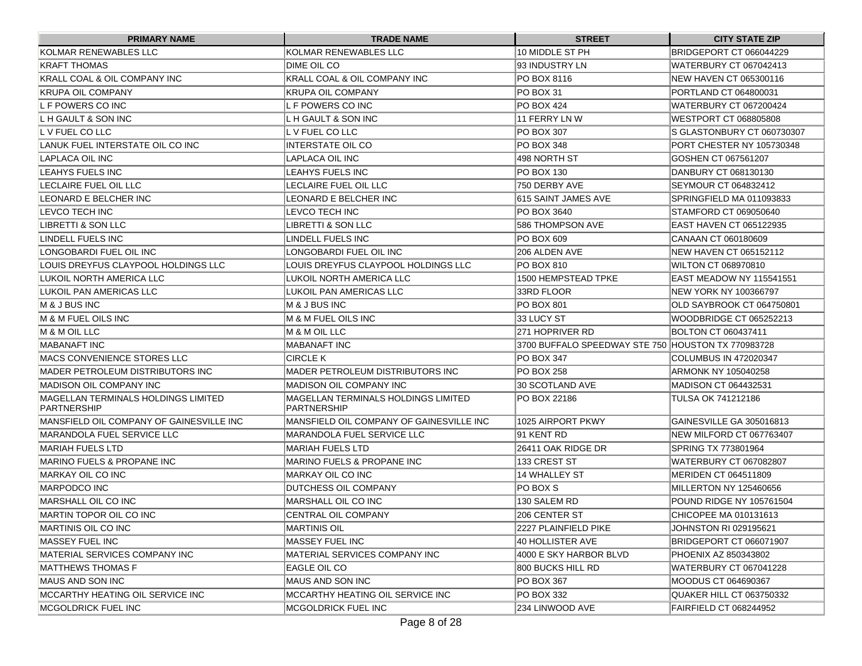| <b>PRIMARY NAME</b>                                 | <b>TRADE NAME</b>                                   | <b>STREET</b>                                       | <b>CITY STATE ZIP</b>      |
|-----------------------------------------------------|-----------------------------------------------------|-----------------------------------------------------|----------------------------|
| KOLMAR RENEWABLES LLC                               | KOLMAR RENEWABLES LLC                               | 10 MIDDLE ST PH                                     | BRIDGEPORT CT 066044229    |
| KRAFT THOMAS                                        | DIME OIL CO                                         | 193 INDUSTRY LN                                     | WATERBURY CT 067042413     |
| KRALL COAL & OIL COMPANY INC                        | KRALL COAL & OIL COMPANY INC                        | PO BOX 8116                                         | NEW HAVEN CT 065300116     |
| IKRUPA OIL COMPANY                                  | KRUPA OIL COMPANY                                   | IPO BOX 31                                          | PORTLAND CT 064800031      |
| IL F POWERS CO INC                                  | L F POWERS CO INC                                   | IPO BOX 424                                         | WATERBURY CT 067200424     |
| IL H GAULT & SON INC                                | L H GAULT & SON INC                                 | 11 FERRY LN W                                       | IWESTPORT CT 068805808     |
| IL V FUEL CO LLC                                    | L V FUEL CO LLC                                     | <b>PO BOX 307</b>                                   | S GLASTONBURY CT 060730307 |
| LANUK FUEL INTERSTATE OIL CO INC                    | <b>INTERSTATE OIL CO</b>                            | PO BOX 348                                          | PORT CHESTER NY 105730348  |
| LAPLACA OIL INC                                     | LAPLACA OIL INC                                     | 498 NORTH ST                                        | GOSHEN CT 067561207        |
| ILEAHYS FUELS INC                                   | LEAHYS FUELS INC                                    | PO BOX 130                                          | DANBURY CT 068130130       |
| ILECLAIRE FUEL OIL LLC                              | LECLAIRE FUEL OIL LLC                               | 750 DERBY AVE                                       | ISEYMOUR CT 064832412      |
| ILEONARD E BELCHER INC                              | LEONARD E BELCHER INC                               | 1615 SAINT JAMES AVE                                | SPRINGFIELD MA 011093833   |
| LEVCO TECH INC                                      | LEVCO TECH INC                                      | PO BOX 3640                                         | STAMFORD CT 069050640      |
| LIBRETTI & SON LLC                                  | LIBRETTI & SON LLC                                  | 586 THOMPSON AVE                                    | EAST HAVEN CT 065122935    |
| LINDELL FUELS INC                                   | LINDELL FUELS INC                                   | PO BOX 609                                          | CANAAN CT 060180609        |
| LONGOBARDI FUEL OIL INC                             | LONGOBARDI FUEL OIL INC                             | 206 ALDEN AVE                                       | INEW HAVEN CT 065152112    |
| LOUIS DREYFUS CLAYPOOL HOLDINGS LLC                 | LOUIS DREYFUS CLAYPOOL HOLDINGS LLC                 | IPO BOX 810                                         | IWILTON CT 068970810       |
| ILUKOIL NORTH AMERICA LLC                           | LUKOIL NORTH AMERICA LLC                            | 1500 HEMPSTEAD TPKE                                 | IEAST MEADOW NY 115541551  |
| LUKOIL PAN AMERICAS LLC                             | LUKOIL PAN AMERICAS LLC                             | 33RD FLOOR                                          | NEW YORK NY 100366797      |
| M & J BUS INC                                       | M & J BUS INC                                       | PO BOX 801                                          | OLD SAYBROOK CT 064750801  |
| IM & M FUEL OILS INC                                | IM & M FUEL OILS INC                                | 33 LUCY ST                                          | WOODBRIDGE CT 065252213    |
| IM & M OIL LLC                                      | M & M OIL LLC                                       | 271 HOPRIVER RD                                     | BOLTON CT 060437411        |
| <b>IMABANAFT INC</b>                                | <b>MABANAFT INC</b>                                 | 3700 BUFFALO SPEEDWAY STE 750 IHOUSTON TX 770983728 |                            |
| <b>IMACS CONVENIENCE STORES LLC</b>                 | <b>CIRCLE K</b>                                     | PO BOX 347                                          | COLUMBUS IN 472020347      |
| IMADER PETROLEUM DISTRIBUTORS INC                   | MADER PETROLEUM DISTRIBUTORS INC                    | IPO BOX 258                                         | ARMONK NY 105040258        |
| <b>MADISON OIL COMPANY INC</b>                      | <b>MADISON OIL COMPANY INC</b>                      | 30 SCOTLAND AVE                                     | MADISON CT 064432531       |
| MAGELLAN TERMINALS HOLDINGS LIMITED<br> PARTNERSHIP | MAGELLAN TERMINALS HOLDINGS LIMITED<br> PARTNERSHIP | PO BOX 22186                                        | TULSA OK 741212186         |
| IMANSFIELD OIL COMPANY OF GAINESVILLE INC           | IMANSFIELD OIL COMPANY OF GAINESVILLE INC           | 1025 AIRPORT PKWY                                   | IGAINESVILLE GA 305016813  |
| <b>IMARANDOLA FUEL SERVICE LLC</b>                  | MARANDOLA FUEL SERVICE LLC                          | 91 KENT RD                                          | INEW MILFORD CT 067763407  |
| <b>MARIAH FUELS LTD</b>                             | MARIAH FUELS LTD                                    | l26411 OAK RIDGE DR                                 | SPRING TX 773801964        |
| <b>MARINO FUELS &amp; PROPANE INC</b>               | IMARINO FUELS & PROPANE INC                         | 133 CREST ST                                        | WATERBURY CT 067082807     |
| MARKAY OIL CO INC                                   | MARKAY OIL CO INC                                   | <b>14 WHALLEY ST</b>                                | MERIDEN CT 064511809       |
| MARPODCO INC                                        | <b>IDUTCHESS OIL COMPANY</b>                        | PO BOX S                                            | MILLERTON NY 125460656     |
| MARSHALL OIL CO INC                                 | <b>MARSHALL OIL CO INC</b>                          | 130 SALEM RD                                        | POUND RIDGE NY 105761504   |
| <b>IMARTIN TOPOR OIL CO INC</b>                     | <b>CENTRAL OIL COMPANY</b>                          | 206 CENTER ST                                       | CHICOPEE MA 010131613      |
| MARTINIS OIL CO INC                                 | <b>MARTINIS OIL</b>                                 | 2227 PLAINFIELD PIKE                                | JOHNSTON RI 029195621      |
| <b>IMASSEY FUEL INC</b>                             | <b>MASSEY FUEL INC</b>                              | 40 HOLLISTER AVE                                    | BRIDGEPORT CT 066071907    |
| MATERIAL SERVICES COMPANY INC                       | MATERIAL SERVICES COMPANY INC                       | 4000 E SKY HARBOR BLVD                              | PHOENIX AZ 850343802       |
| MATTHEWS THOMAS F                                   | EAGLE OIL CO                                        | 800 BUCKS HILL RD                                   | WATERBURY CT 067041228     |
| MAUS AND SON INC                                    | MAUS AND SON INC                                    | PO BOX 367                                          | MOODUS CT 064690367        |
| MCCARTHY HEATING OIL SERVICE INC                    | MCCARTHY HEATING OIL SERVICE INC                    | PO BOX 332                                          | QUAKER HILL CT 063750332   |
| MCGOLDRICK FUEL INC                                 | MCGOLDRICK FUEL INC                                 | 234 LINWOOD AVE                                     | FAIRFIELD CT 068244952     |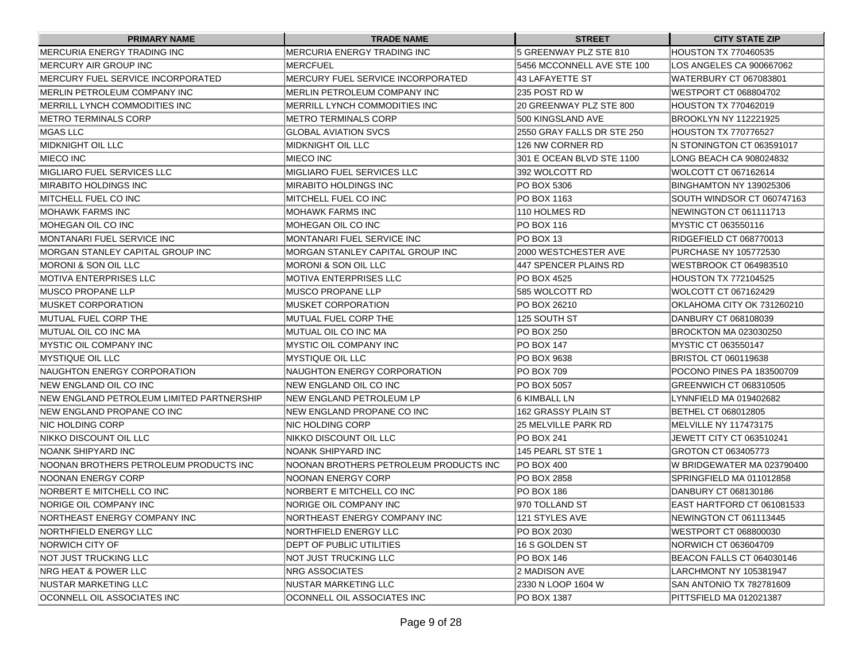| <b>PRIMARY NAME</b>                       | <b>TRADE NAME</b>                      | <b>STREET</b>              | <b>CITY STATE ZIP</b>        |
|-------------------------------------------|----------------------------------------|----------------------------|------------------------------|
| <b>IMERCURIA ENERGY TRADING INC</b>       | MERCURIA ENERGY TRADING INC            | 5 GREENWAY PLZ STE 810     | <b>HOUSTON TX 770460535</b>  |
| IMERCURY AIR GROUP INC                    | IMERCFUEL                              | 5456 MCCONNELL AVE STE 100 | LOS ANGELES CA 900667062     |
| IMERCURY FUEL SERVICE INCORPORATED        | MERCURY FUEL SERVICE INCORPORATED      | 143 LAFAYETTE ST           | WATERBURY CT 067083801       |
| IMERLIN PETROLEUM COMPANY INC             | MERLIN PETROLEUM COMPANY INC           | 1235 POST RD W             | IWESTPORT CT 068804702       |
| IMERRILL LYNCH COMMODITIES INC            | MERRILL LYNCH COMMODITIES INC          | 20 GREENWAY PLZ STE 800    | <b>HOUSTON TX 770462019</b>  |
| IMETRO TERMINALS CORP                     | <b>METRO TERMINALS CORP</b>            | 500 KINGSLAND AVE          | BROOKLYN NY 112221925        |
| MGAS LLC                                  | <b>IGLOBAL AVIATION SVCS</b>           | 2550 GRAY FALLS DR STE 250 | <b>HOUSTON TX 770776527</b>  |
| MIDKNIGHT OIL LLC                         | <b>MIDKNIGHT OIL LLC</b>               | 126 NW CORNER RD           | N STONINGTON CT 063591017    |
| <b>IMIECO INC</b>                         | <b>MIECO INC</b>                       | 301 E OCEAN BLVD STE 1100  | LONG BEACH CA 908024832      |
| IMIGLIARO FUEL SERVICES LLC               | MIGLIARO FUEL SERVICES LLC             | 1392 WOLCOTT RD            | WOLCOTT CT 067162614         |
| <b>IMIRABITO HOLDINGS INC</b>             | <b>MIRABITO HOLDINGS INC</b>           | PO BOX 5306                | BINGHAMTON NY 139025306      |
| IMITCHELL FUEL CO INC                     | MITCHELL FUEL CO INC                   | IPO BOX 1163               | SOUTH WINDSOR CT 060747163   |
| IMOHAWK FARMS INC                         | MOHAWK FARMS INC                       | 110 HOLMES RD              | NEWINGTON CT 061111713       |
| MOHEGAN OIL CO INC                        | IMOHEGAN OIL CO INC                    | PO BOX 116                 | MYSTIC CT 063550116          |
| IMONTANARI FUEL SERVICE INC               | MONTANARI FUEL SERVICE INC             | IPO BOX 13                 | RIDGEFIELD CT 068770013      |
| IMORGAN STANLEY CAPITAL GROUP INC         | MORGAN STANLEY CAPITAL GROUP INC       | 2000 WESTCHESTER AVE       | <b>PURCHASE NY 105772530</b> |
| IMORONI & SON OIL LLC                     | <b>MORONI &amp; SON OIL LLC</b>        | 447 SPENCER PLAINS RD      | WESTBROOK CT 064983510       |
| IMOTIVA ENTERPRISES LLC                   | <b>MOTIVA ENTERPRISES LLC</b>          | PO BOX 4525                | <b>HOUSTON TX 772104525</b>  |
| IMUSCO PROPANE LLP                        | MUSCO PROPANE LLP                      | 1585 WOLCOTT RD            | WOLCOTT CT 067162429         |
| IMUSKET CORPORATION                       | MUSKET CORPORATION                     | PO BOX 26210               | OKLAHOMA CITY OK 731260210   |
| IMUTUAL FUEL CORP THE                     | MUTUAL FUEL CORP THE                   | 125 SOUTH ST               | DANBURY CT 068108039         |
| IMUTUAL OIL CO INC MA                     | MUTUAL OIL CO INC MA                   | PO BOX 250                 | <b>BROCKTON MA 023030250</b> |
| <b>IMYSTIC OIL COMPANY INC</b>            | <b>MYSTIC OIL COMPANY INC</b>          | PO BOX 147                 | MYSTIC CT 063550147          |
| IMYSTIQUE OIL LLC                         | MYSTIQUE OIL LLC                       | PO BOX 9638                | BRISTOL CT 060119638         |
| NAUGHTON ENERGY CORPORATION               | NAUGHTON ENERGY CORPORATION            | PO BOX 709                 | POCONO PINES PA 183500709    |
| <b>INEW ENGLAND OIL CO INC</b>            | NEW ENGLAND OIL CO INC                 | PO BOX 5057                | GREENWICH CT 068310505       |
| NEW ENGLAND PETROLEUM LIMITED PARTNERSHIP | NEW ENGLAND PETROLEUM LP               | 6 KIMBALL LN               | LYNNFIELD MA 019402682       |
| INEW ENGLAND PROPANE CO INC               | NEW ENGLAND PROPANE CO INC             | 162 GRASSY PLAIN ST        | BETHEL CT 068012805          |
| INIC HOLDING CORP                         | NIC HOLDING CORP                       | l25 MELVILLE PARK RD       | MELVILLE NY 117473175        |
| INIKKO DISCOUNT OIL LLC                   | NIKKO DISCOUNT OIL LLC                 | IPO BOX 241                | JEWETT CITY CT 063510241     |
| INOANK SHIPYARD INC                       | NOANK SHIPYARD INC                     | 145 PEARL ST STE 1         | GROTON CT 063405773          |
| NOONAN BROTHERS PETROLEUM PRODUCTS INC    | NOONAN BROTHERS PETROLEUM PRODUCTS INC | <b>PO BOX 400</b>          | W BRIDGEWATER MA 023790400   |
| <b>NOONAN ENERGY CORP</b>                 | NOONAN ENERGY CORP                     | PO BOX 2858                | SPRINGFIELD MA 011012858     |
| INORBERT E MITCHELL CO INC                | NORBERT E MITCHELL CO INC              | IPO BOX 186                | DANBURY CT 068130186         |
| NORIGE OIL COMPANY INC                    | NORIGE OIL COMPANY INC                 | 1970 TOLLAND ST            | EAST HARTFORD CT 061081533   |
| NORTHEAST ENERGY COMPANY INC              | NORTHEAST ENERGY COMPANY INC           | 121 STYLES AVE             | NEWINGTON CT 061113445       |
| NORTHFIELD ENERGY LLC                     | NORTHFIELD ENERGY LLC                  | PO BOX 2030                | WESTPORT CT 068800030        |
| NORWICH CITY OF                           | DEPT OF PUBLIC UTILITIES               | 16 S GOLDEN ST             | NORWICH CT 063604709         |
| NOT JUST TRUCKING LLC                     | NOT JUST TRUCKING LLC                  | PO BOX 146                 | BEACON FALLS CT 064030146    |
| NRG HEAT & POWER LLC                      | NRG ASSOCIATES                         | 2 MADISON AVE              | LARCHMONT NY 105381947       |
| <b>INUSTAR MARKETING LLC</b>              | NUSTAR MARKETING LLC                   | 2330 N LOOP 1604 W         | SAN ANTONIO TX 782781609     |
| OCONNELL OIL ASSOCIATES INC               | OCONNELL OIL ASSOCIATES INC            | PO BOX 1387                | PITTSFIELD MA 012021387      |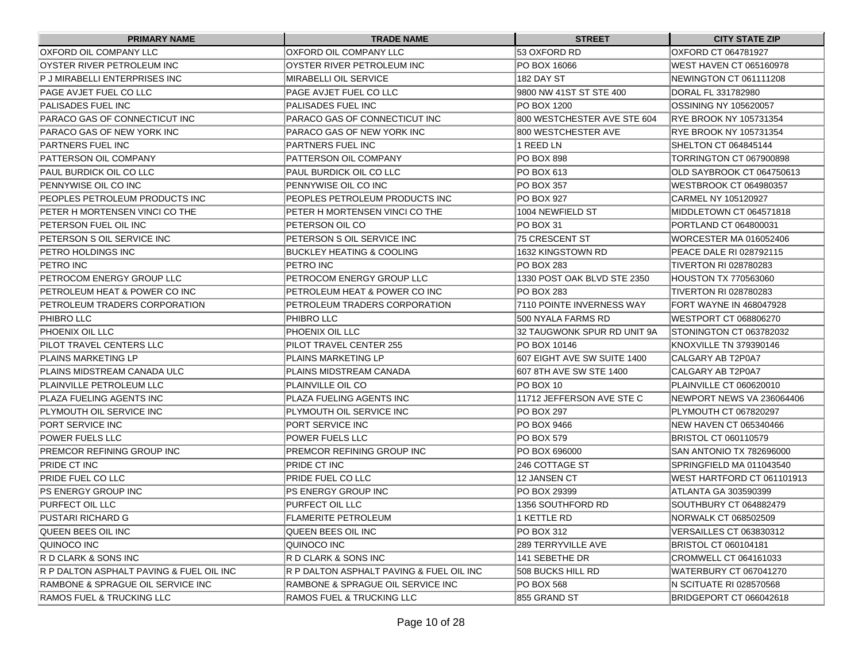| <b>PRIMARY NAME</b>                      | <b>TRADE NAME</b>                        | <b>STREET</b>                | <b>CITY STATE ZIP</b>          |
|------------------------------------------|------------------------------------------|------------------------------|--------------------------------|
| OXFORD OIL COMPANY LLC                   | OXFORD OIL COMPANY LLC                   | 53 OXFORD RD                 | OXFORD CT 064781927            |
| OYSTER RIVER PETROLEUM INC               | IOYSTER RIVER PETROLEUM INC              | PO BOX 16066                 | <b>WEST HAVEN CT 065160978</b> |
| P J MIRABELLI ENTERPRISES INC            | MIRABELLI OIL SERVICE                    | 182 DAY ST                   | NEWINGTON CT 061111208         |
| PAGE AVJET FUEL CO LLC                   | IPAGE AVJET FUEL CO LLC                  | 9800 NW 41ST ST STE 400      | <b>DORAL FL 331782980</b>      |
| <b>PALISADES FUEL INC</b>                | PALISADES FUEL INC                       | <b>PO BOX 1200</b>           | OSSINING NY 105620057          |
| PARACO GAS OF CONNECTICUT INC            | PARACO GAS OF CONNECTICUT INC            | 800 WESTCHESTER AVE STE 604  | <b>IRYE BROOK NY 105731354</b> |
| PARACO GAS OF NEW YORK INC               | PARACO GAS OF NEW YORK INC               | 800 WESTCHESTER AVE          | <b>RYE BROOK NY 105731354</b>  |
| <b>PARTNERS FUEL INC</b>                 | PARTNERS FUEL INC                        | 1 REED LN                    | SHELTON CT 064845144           |
| PATTERSON OIL COMPANY                    | PATTERSON OIL COMPANY                    | <b>PO BOX 898</b>            | TORRINGTON CT 067900898        |
| PAUL BURDICK OIL CO LLC                  | PAUL BURDICK OIL CO LLC                  | <b>PO BOX 613</b>            | OLD SAYBROOK CT 064750613      |
| PENNYWISE OIL CO INC                     | IPENNYWISE OIL CO INC                    | IPO BOX 357                  | WESTBROOK CT 064980357         |
| PEOPLES PETROLEUM PRODUCTS INC           | IPEOPLES PETROLEUM PRODUCTS INC          | IPO BOX 927                  | CARMEL NY 105120927            |
| PETER H MORTENSEN VINCI CO THE           | PETER H MORTENSEN VINCI CO THE           | 1004 NEWFIELD ST             | MIDDLETOWN CT 064571818        |
| PETERSON FUEL OIL INC                    | PETERSON OIL CO                          | PO BOX 31                    | PORTLAND CT 064800031          |
| PETERSON S OIL SERVICE INC               | PETERSON S OIL SERVICE INC               | 75 CRESCENT ST               | <b>WORCESTER MA 016052406</b>  |
| PETRO HOLDINGS INC                       | <b>IBUCKLEY HEATING &amp; COOLING</b>    | 1632 KINGSTOWN RD            | PEACE DALE RI 028792115        |
| PETRO INC                                | IPETRO INC                               | IPO BOX 283                  | <b>TIVERTON RI 028780283</b>   |
| PETROCOM ENERGY GROUP LLC                | PETROCOM ENERGY GROUP LLC                | 1330 POST OAK BLVD STE 2350  | <b>HOUSTON TX 770563060</b>    |
| PETROLEUM HEAT & POWER CO INC            | PETROLEUM HEAT & POWER CO INC            | PO BOX 283                   | <b>TIVERTON RI 028780283</b>   |
| PETROLEUM TRADERS CORPORATION            | PETROLEUM TRADERS CORPORATION            | 7110 POINTE INVERNESS WAY    | FORT WAYNE IN 468047928        |
| PHIBRO LLC                               | PHIBRO LLC                               | 500 NYALA FARMS RD           | WESTPORT CT 068806270          |
| PHOENIX OIL LLC                          | PHOENIX OIL LLC                          | 32 TAUGWONK SPUR RD UNIT 9A  | STONINGTON CT 063782032        |
| PILOT TRAVEL CENTERS LLC                 | PILOT TRAVEL CENTER 255                  | IPO BOX 10146                | KNOXVILLE TN 379390146         |
| PLAINS MARKETING LP                      | PLAINS MARKETING LP                      | 1607 EIGHT AVE SW SUITE 1400 | CALGARY AB T2P0A7              |
| IPLAINS MIDSTREAM CANADA ULC             | PLAINS MIDSTREAM CANADA                  | 607 8TH AVE SW STE 1400      | CALGARY AB T2P0A7              |
| PLAINVILLE PETROLEUM LLC                 | PLAINVILLE OIL CO                        | PO BOX 10                    | PLAINVILLE CT 060620010        |
| PLAZA FUELING AGENTS INC                 | PLAZA FUELING AGENTS INC                 | 11712 JEFFERSON AVE STE C    | NEWPORT NEWS VA 236064406      |
| PLYMOUTH OIL SERVICE INC                 | PLYMOUTH OIL SERVICE INC                 | PO BOX 297                   | PLYMOUTH CT 067820297          |
| PORT SERVICE INC                         | PORT SERVICE INC                         | PO BOX 9466                  | INEW HAVEN CT 065340466        |
| POWER FUELS LLC                          | <b>POWER FUELS LLC</b>                   | IPO BOX 579                  | BRISTOL CT 060110579           |
| PREMCOR REFINING GROUP INC               | PREMCOR REFINING GROUP INC               | PO BOX 696000                | SAN ANTONIO TX 782696000       |
| PRIDE CT INC                             | PRIDE CT INC                             | 246 COTTAGE ST               | SPRINGFIELD MA 011043540       |
| PRIDE FUEL CO LLC                        | PRIDE FUEL CO LLC                        | <b>12 JANSEN CT</b>          | WEST HARTFORD CT 061101913     |
| <b>PS ENERGY GROUP INC</b>               | IPS ENERGY GROUP INC                     | PO BOX 29399                 | ATLANTA GA 303590399           |
| PURFECT OIL LLC                          | <b>PURFECT OIL LLC</b>                   | 1356 SOUTHFORD RD            | SOUTHBURY CT 064882479         |
| <b>PUSTARI RICHARD G</b>                 | <b>FLAMERITE PETROLEUM</b>               | 1 KETTLE RD                  | NORWALK CT 068502509           |
| QUEEN BEES OIL INC                       | QUEEN BEES OIL INC                       | PO BOX 312                   | VERSAILLES CT 063830312        |
| QUINOCO INC                              | QUINOCO INC                              | 289 TERRYVILLE AVE           | <b>BRISTOL CT 060104181</b>    |
| R D CLARK & SONS INC                     | R D CLARK & SONS INC                     | 141 SEBETHE DR               | CROMWELL CT 064161033          |
| R P DALTON ASPHALT PAVING & FUEL OIL INC | R P DALTON ASPHALT PAVING & FUEL OIL INC | 508 BUCKS HILL RD            | WATERBURY CT 067041270         |
| RAMBONE & SPRAGUE OIL SERVICE INC        | RAMBONE & SPRAGUE OIL SERVICE INC        | <b>PO BOX 568</b>            | N SCITUATE RI 028570568        |
| RAMOS FUEL & TRUCKING LLC                | <b>RAMOS FUEL &amp; TRUCKING LLC</b>     | 855 GRAND ST                 | BRIDGEPORT CT 066042618        |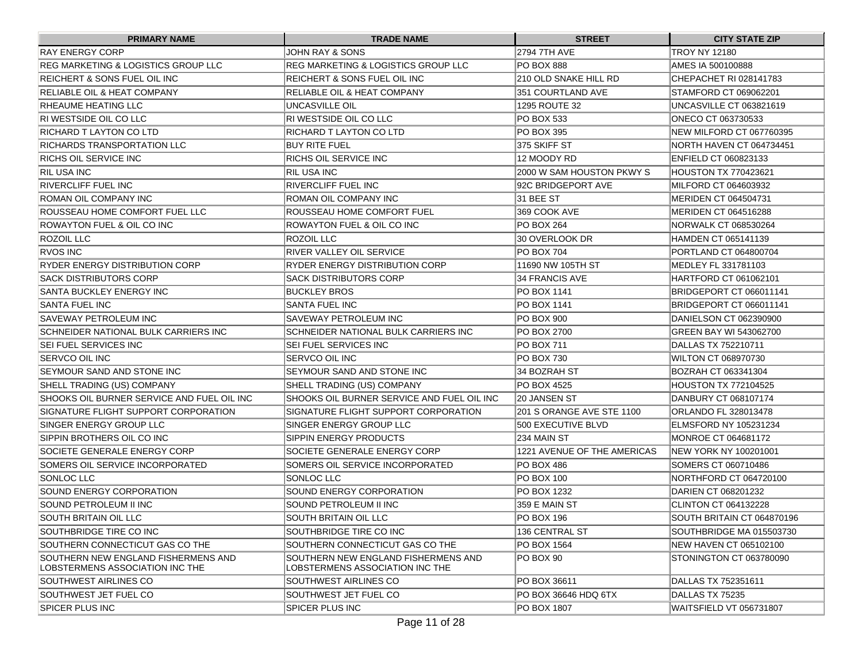| <b>PRIMARY NAME</b>                                                    | <b>TRADE NAME</b>                                                      | <b>STREET</b>               | <b>CITY STATE ZIP</b>        |
|------------------------------------------------------------------------|------------------------------------------------------------------------|-----------------------------|------------------------------|
| <b>RAY ENERGY CORP</b>                                                 | JOHN RAY & SONS                                                        | <b>2794 7TH AVE</b>         | <b>TROY NY 12180</b>         |
| <b>REG MARKETING &amp; LOGISTICS GROUP LLC</b>                         | REG MARKETING & LOGISTICS GROUP LLC                                    | <b>PO BOX 888</b>           | AMES IA 500100888            |
| REICHERT & SONS FUEL OIL INC                                           | REICHERT & SONS FUEL OIL INC                                           | 210 OLD SNAKE HILL RD       | CHEPACHET RI 028141783       |
| <b>RELIABLE OIL &amp; HEAT COMPANY</b>                                 | RELIABLE OIL & HEAT COMPANY                                            | 351 COURTLAND AVE           | STAMFORD CT 069062201        |
| RHEAUME HEATING LLC                                                    | UNCASVILLE OIL                                                         | 1295 ROUTE 32               | UNCASVILLE CT 063821619      |
| RI WESTSIDE OIL CO LLC                                                 | RI WESTSIDE OIL CO LLC                                                 | PO BOX 533                  | ONECO CT 063730533           |
| RICHARD T LAYTON CO LTD                                                | IRICHARD T LAYTON CO LTD                                               | <b>PO BOX 395</b>           | NEW MILFORD CT 067760395     |
| RICHARDS TRANSPORTATION LLC                                            | BUY RITE FUEL                                                          | 375 SKIFF ST                | INORTH HAVEN CT 064734451    |
| RICHS OIL SERVICE INC                                                  | RICHS OIL SERVICE INC                                                  | 12 MOODY RD                 | ENFIELD CT 060823133         |
| <b>RIL USA INC</b>                                                     | RIL USA INC                                                            | 2000 W SAM HOUSTON PKWY S   | <b>HOUSTON TX 770423621</b>  |
| <b>RIVERCLIFF FUEL INC</b>                                             | RIVERCLIFF FUEL INC                                                    | 92C BRIDGEPORT AVE          | MILFORD CT 064603932         |
| ROMAN OIL COMPANY INC                                                  | ROMAN OIL COMPANY INC                                                  | 31 BEE ST                   | MERIDEN CT 064504731         |
| ROUSSEAU HOME COMFORT FUEL LLC                                         | IROUSSEAU HOME COMFORT FUEL                                            | 369 COOK AVE                | MERIDEN CT 064516288         |
| ROWAYTON FUEL & OIL CO INC                                             | ROWAYTON FUEL & OIL CO INC                                             | <b>PO BOX 264</b>           | NORWALK CT 068530264         |
| ROZOIL LLC                                                             | ROZOIL LLC                                                             | 30 OVERLOOK DR              | HAMDEN CT 065141139          |
| <b>RVOS INC</b>                                                        | RIVER VALLEY OIL SERVICE                                               | PO BOX 704                  | PORTLAND CT 064800704        |
| RYDER ENERGY DISTRIBUTION CORP                                         | RYDER ENERGY DISTRIBUTION CORP                                         | 11690 NW 105TH ST           | MEDLEY FL 331781103          |
| <b>SACK DISTRIBUTORS CORP</b>                                          | SACK DISTRIBUTORS CORP                                                 | 34 FRANCIS AVE              | HARTFORD CT 061062101        |
| SANTA BUCKLEY ENERGY INC                                               | <b>BUCKLEY BROS</b>                                                    | PO BOX 1141                 | BRIDGEPORT CT 066011141      |
| <b>SANTA FUEL INC</b>                                                  | <b>SANTA FUEL INC</b>                                                  | <b>PO BOX 1141</b>          | BRIDGEPORT CT 066011141      |
| <b>SAVEWAY PETROLEUM INC</b>                                           | SAVEWAY PETROLEUM INC                                                  | PO BOX 900                  | DANIELSON CT 062390900       |
| SCHNEIDER NATIONAL BULK CARRIERS INC                                   | <b>SCHNEIDER NATIONAL BULK CARRIERS INC</b>                            | PO BOX 2700                 | IGREEN BAY WI 543062700      |
| <b>SEI FUEL SERVICES INC</b>                                           | SEI FUEL SERVICES INC                                                  | PO BOX 711                  | DALLAS TX 752210711          |
| SERVCO OIL INC                                                         | SERVCO OIL INC                                                         | PO BOX 730                  | WILTON CT 068970730          |
| SEYMOUR SAND AND STONE INC                                             | SEYMOUR SAND AND STONE INC                                             | 34 BOZRAH ST                | BOZRAH CT 063341304          |
| SHELL TRADING (US) COMPANY                                             | SHELL TRADING (US) COMPANY                                             | PO BOX 4525                 | <b>HOUSTON TX 772104525</b>  |
| SHOOKS OIL BURNER SERVICE AND FUEL OIL INC                             | SHOOKS OIL BURNER SERVICE AND FUEL OIL INC                             | I20 JANSEN ST               | DANBURY CT 068107174         |
| SIGNATURE FLIGHT SUPPORT CORPORATION                                   | SIGNATURE FLIGHT SUPPORT CORPORATION                                   | 201 S ORANGE AVE STE 1100   | <b>ORLANDO FL 328013478</b>  |
| SINGER ENERGY GROUP LLC                                                | ISINGER ENERGY GROUP LLC                                               | 500 EXECUTIVE BLVD          | <b>ELMSFORD NY 105231234</b> |
| SIPPIN BROTHERS OIL CO INC                                             | SIPPIN ENERGY PRODUCTS                                                 | 234 MAIN ST                 | MONROE CT 064681172          |
| SOCIETE GENERALE ENERGY CORP                                           | SOCIETE GENERALE ENERGY CORP                                           | 1221 AVENUE OF THE AMERICAS | NEW YORK NY 100201001        |
| SOMERS OIL SERVICE INCORPORATED                                        | SOMERS OIL SERVICE INCORPORATED                                        | <b>PO BOX 486</b>           | SOMERS CT 060710486          |
| SONLOC LLC                                                             | <b>ISONLOC LLC</b>                                                     | <b>PO BOX 100</b>           | NORTHFORD CT 064720100       |
| SOUND ENERGY CORPORATION                                               | SOUND ENERGY CORPORATION                                               | PO BOX 1232                 | DARIEN CT 068201232          |
| SOUND PETROLEUM II INC                                                 | SOUND PETROLEUM II INC                                                 | 359 E MAIN ST               | CLINTON CT 064132228         |
| SOUTH BRITAIN OIL LLC                                                  | SOUTH BRITAIN OIL LLC                                                  | PO BOX 196                  | SOUTH BRITAIN CT 064870196   |
| SOUTHBRIDGE TIRE CO INC                                                | SOUTHBRIDGE TIRE CO INC                                                | 136 CENTRAL ST              | SOUTHBRIDGE MA 015503730     |
| SOUTHERN CONNECTICUT GAS CO THE                                        | SOUTHERN CONNECTICUT GAS CO THE                                        | PO BOX 1564                 | NEW HAVEN CT 065102100       |
| SOUTHERN NEW ENGLAND FISHERMENS AND<br>LOBSTERMENS ASSOCIATION INC THE | SOUTHERN NEW ENGLAND FISHERMENS AND<br>LOBSTERMENS ASSOCIATION INC THE | PO BOX 90                   | STONINGTON CT 063780090      |
| SOUTHWEST AIRLINES CO                                                  | <b>SOUTHWEST AIRLINES CO</b>                                           | PO BOX 36611                | DALLAS TX 752351611          |
| SOUTHWEST JET FUEL CO                                                  | SOUTHWEST JET FUEL CO                                                  | PO BOX 36646 HDQ 6TX        | DALLAS TX 75235              |
| <b>SPICER PLUS INC</b>                                                 | <b>SPICER PLUS INC</b>                                                 | PO BOX 1807                 | WAITSFIELD VT 056731807      |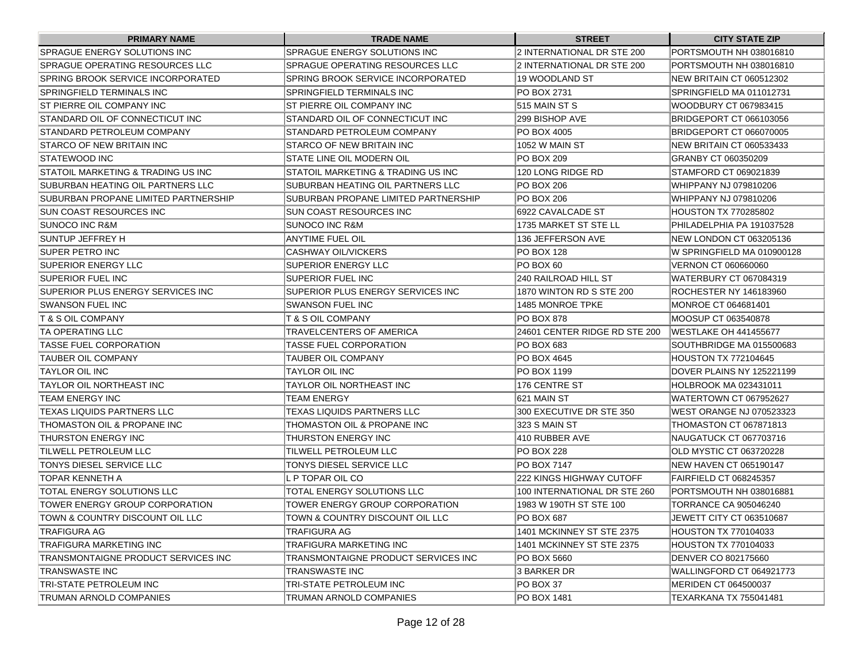| <b>PRIMARY NAME</b>                   | <b>TRADE NAME</b>                      | <b>STREET</b>                   | <b>CITY STATE ZIP</b>           |
|---------------------------------------|----------------------------------------|---------------------------------|---------------------------------|
| <b>SPRAGUE ENERGY SOLUTIONS INC</b>   | SPRAGUE ENERGY SOLUTIONS INC           | 2 INTERNATIONAL DR STE 200      | PORTSMOUTH NH 038016810         |
| SPRAGUE OPERATING RESOURCES LLC       | <b>SPRAGUE OPERATING RESOURCES LLC</b> | 2 INTERNATIONAL DR STE 200      | PORTSMOUTH NH 038016810         |
| SPRING BROOK SERVICE INCORPORATED     | SPRING BROOK SERVICE INCORPORATED      | 19 WOODLAND ST                  | NEW BRITAIN CT 060512302        |
| SPRINGFIELD TERMINALS INC             | SPRINGFIELD TERMINALS INC              | PO BOX 2731                     | SPRINGFIELD MA 011012731        |
| ST PIERRE OIL COMPANY INC             | ST PIERRE OIL COMPANY INC              | 515 MAIN ST S                   | WOODBURY CT 067983415           |
| ISTANDARD OIL OF CONNECTICUT INC      | STANDARD OIL OF CONNECTICUT INC        | l299 BISHOP AVE                 | BRIDGEPORT CT 066103056         |
| STANDARD PETROLEUM COMPANY            | STANDARD PETROLEUM COMPANY             | PO BOX 4005                     | <b>BRIDGEPORT CT 066070005</b>  |
| STARCO OF NEW BRITAIN INC             | STARCO OF NEW BRITAIN INC              | 1052 W MAIN ST                  | NEW BRITAIN CT 060533433        |
| ISTATEWOOD INC                        | STATE LINE OIL MODERN OIL              | PO BOX 209                      | GRANBY CT 060350209             |
| ISTATOIL MARKETING & TRADING US INC   | STATOIL MARKETING & TRADING US INC     | 120 LONG RIDGE RD               | STAMFORD CT 069021839           |
| SUBURBAN HEATING OIL PARTNERS LLC     | SUBURBAN HEATING OIL PARTNERS LLC      | <b>PO BOX 206</b>               | WHIPPANY NJ 079810206           |
| ISUBURBAN PROPANE LIMITED PARTNERSHIP | SUBURBAN PROPANE LIMITED PARTNERSHIP   | <b>PO BOX 206</b>               | WHIPPANY NJ 079810206           |
| SUN COAST RESOURCES INC               | SUN COAST RESOURCES INC                | 6922 CAVALCADE ST               | <b>HOUSTON TX 770285802</b>     |
| SUNOCO INC R&M                        | <b>SUNOCO INC R&amp;M</b>              | 1735 MARKET ST STE LL           | PHILADELPHIA PA 191037528       |
| SUNTUP JEFFREY H                      | ANYTIME FUEL OIL                       | 136 JEFFERSON AVE               | NEW LONDON CT 063205136         |
| ISUPER PETRO INC                      | CASHWAY OIL/VICKERS                    | PO BOX 128                      | IW SPRINGFIELD MA 010900128     |
| SUPERIOR ENERGY LLC                   | ISUPERIOR ENERGY LLC                   | PO BOX 60                       | <b>VERNON CT 060660060</b>      |
| <b>SUPERIOR FUEL INC</b>              | SUPERIOR FUEL INC                      | 240 RAILROAD HILL ST            | WATERBURY CT 067084319          |
| SUPERIOR PLUS ENERGY SERVICES INC     | SUPERIOR PLUS ENERGY SERVICES INC      | 1870 WINTON RD S STE 200        | ROCHESTER NY 146183960          |
| ISWANSON FUEL INC                     | <b>SWANSON FUEL INC</b>                | 1485 MONROE TPKE                | MONROE CT 064681401             |
| IT & S OIL COMPANY                    | T & S OIL COMPANY                      | <b>PO BOX 878</b>               | MOOSUP CT 063540878             |
| ITA OPERATING LLC                     | TRAVELCENTERS OF AMERICA               | 24601 CENTER RIDGE RD STE 200   | <b>IWESTLAKE OH 441455677</b>   |
| ITASSE FUEL CORPORATION               | <b>TASSE FUEL CORPORATION</b>          | PO BOX 683                      | SOUTHBRIDGE MA 015500683        |
| <b>TAUBER OIL COMPANY</b>             | TAUBER OIL COMPANY                     | PO BOX 4645                     | HOUSTON TX 772104645            |
| TAYLOR OIL INC                        | TAYLOR OIL INC                         | PO BOX 1199                     | DOVER PLAINS NY 125221199       |
| ITAYLOR OIL NORTHEAST INC             | TAYLOR OIL NORTHEAST INC               | 176 CENTRE ST                   | HOLBROOK MA 023431011           |
| ITEAM ENERGY INC                      | TEAM ENERGY                            | 621 MAIN ST                     | WATERTOWN CT 067952627          |
| TEXAS LIQUIDS PARTNERS LLC            | TEXAS LIQUIDS PARTNERS LLC             | 300 EXECUTIVE DR STE 350        | <b>WEST ORANGE NJ 070523323</b> |
| ITHOMASTON OIL & PROPANE INC          | THOMASTON OIL & PROPANE INC            | 323 S MAIN ST                   | THOMASTON CT 067871813          |
| THURSTON ENERGY INC                   | THURSTON ENERGY INC                    | 410 RUBBER AVE                  | NAUGATUCK CT 067703716          |
| TILWELL PETROLEUM LLC                 | TILWELL PETROLEUM LLC                  | <b>PO BOX 228</b>               | OLD MYSTIC CT 063720228         |
| <b>TONYS DIESEL SERVICE LLC</b>       | TONYS DIESEL SERVICE LLC               | <b>PO BOX 7147</b>              | NEW HAVEN CT 065190147          |
| TOPAR KENNETH A                       | L P TOPAR OIL CO                       | <b>222 KINGS HIGHWAY CUTOFF</b> | FAIRFIELD CT 068245357          |
| ITOTAL ENERGY SOLUTIONS LLC           | TOTAL ENERGY SOLUTIONS LLC             | 100 INTERNATIONAL DR STE 260    | PORTSMOUTH NH 038016881         |
| TOWER ENERGY GROUP CORPORATION        | TOWER ENERGY GROUP CORPORATION         | 1983 W 190TH ST STE 100         | TORRANCE CA 905046240           |
| TOWN & COUNTRY DISCOUNT OIL LLC       | TOWN & COUNTRY DISCOUNT OIL LLC        | PO BOX 687                      | JEWETT CITY CT 063510687        |
| TRAFIGURA AG                          | TRAFIGURA AG                           | 1401 MCKINNEY ST STE 2375       | HOUSTON TX 770104033            |
| <b>TRAFIGURA MARKETING INC</b>        | TRAFIGURA MARKETING INC                | 1401 MCKINNEY ST STE 2375       | <b>HOUSTON TX 770104033</b>     |
| TRANSMONTAIGNE PRODUCT SERVICES INC   | TRANSMONTAIGNE PRODUCT SERVICES INC    | PO BOX 5660                     | <b>DENVER CO 802175660</b>      |
| TRANSWASTE INC                        | TRANSWASTE INC                         | 3 BARKER DR                     | WALLINGFORD CT 064921773        |
| TRI-STATE PETROLEUM INC               | TRI-STATE PETROLEUM INC                | PO BOX 37                       | MERIDEN CT 064500037            |
| TRUMAN ARNOLD COMPANIES               | TRUMAN ARNOLD COMPANIES                | PO BOX 1481                     | <b>TEXARKANA TX 755041481</b>   |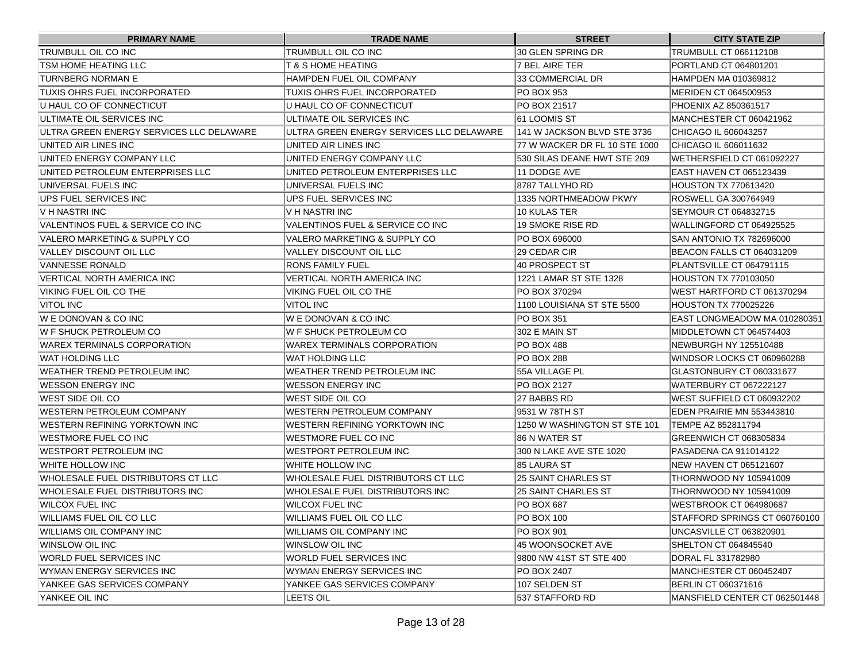| <b>PRIMARY NAME</b>                      | <b>TRADE NAME</b>                        | <b>STREET</b>                 | <b>CITY STATE ZIP</b>           |
|------------------------------------------|------------------------------------------|-------------------------------|---------------------------------|
| <b>TRUMBULL OIL CO INC</b>               | TRUMBULL OIL CO INC                      | 30 GLEN SPRING DR             | TRUMBULL CT 066112108           |
| TSM HOME HEATING LLC                     | T & S HOME HEATING                       | 7 BEL AIRE TER                | PORTLAND CT 064801201           |
| TURNBERG NORMAN E                        | IHAMPDEN FUEL OIL COMPANY                | 33 COMMERCIAL DR              | HAMPDEN MA 010369812            |
| TUXIS OHRS FUEL INCORPORATED             | TUXIS OHRS FUEL INCORPORATED             | PO BOX 953                    | MERIDEN CT 064500953            |
| U HAUL CO OF CONNECTICUT                 | IU HAUL CO OF CONNECTICUT                | PO BOX 21517                  | PHOENIX AZ 850361517            |
| ULTIMATE OIL SERVICES INC                | IULTIMATE OIL SERVICES INC               | I61 LOOMIS ST                 | <b>IMANCHESTER CT 060421962</b> |
| ULTRA GREEN ENERGY SERVICES LLC DELAWARE | ULTRA GREEN ENERGY SERVICES LLC DELAWARE | 141 W JACKSON BLVD STE 3736   | CHICAGO IL 606043257            |
| UNITED AIR LINES INC                     | UNITED AIR LINES INC                     | 77 W WACKER DR FL 10 STE 1000 | CHICAGO IL 606011632            |
| UNITED ENERGY COMPANY LLC                | UNITED ENERGY COMPANY LLC                | 530 SILAS DEANE HWT STE 209   | WETHERSFIELD CT 061092227       |
| UNITED PETROLEUM ENTERPRISES LLC         | UNITED PETROLEUM ENTERPRISES LLC         | 11 DODGE AVE                  | EAST HAVEN CT 065123439         |
| UNIVERSAL FUELS INC                      | IUNIVERSAL FUELS INC                     | 18787 TALLYHO RD              | <b>HOUSTON TX 770613420</b>     |
| UPS FUEL SERVICES INC                    | UPS FUEL SERVICES INC                    | 1335 NORTHMEADOW PKWY         | <b>ROSWELL GA 300764949</b>     |
| V H NASTRI INC                           | IV H NASTRI INC                          | 10 KULAS TER                  | SEYMOUR CT 064832715            |
| VALENTINOS FUEL & SERVICE CO INC         | VALENTINOS FUEL & SERVICE CO INC         | 19 SMOKE RISE RD              | WALLINGFORD CT 064925525        |
| VALERO MARKETING & SUPPLY CO             | VALERO MARKETING & SUPPLY CO             | PO BOX 696000                 | ISAN ANTONIO TX 782696000       |
| VALLEY DISCOUNT OIL LLC                  | <b>VALLEY DISCOUNT OIL LLC</b>           | 29 CEDAR CIR                  | BEACON FALLS CT 064031209       |
| VANNESSE RONALD                          | <b>RONS FAMILY FUEL</b>                  | 40 PROSPECT ST                | PLANTSVILLE CT 064791115        |
| VERTICAL NORTH AMERICA INC               | VERTICAL NORTH AMERICA INC               | 1221 LAMAR ST STE 1328        | HOUSTON TX 770103050            |
| VIKING FUEL OIL CO THE                   | VIKING FUEL OIL CO THE                   | PO BOX 370294                 | IWEST HARTFORD CT 061370294     |
| <b>VITOL INC</b>                         | VITOL INC                                | 1100 LOUISIANA ST STE 5500    | HOUSTON TX 770025226            |
| W E DONOVAN & CO INC                     | IW E DONOVAN & CO INC                    | <b>PO BOX 351</b>             | EAST LONGMEADOW MA 010280351    |
| IW F SHUCK PETROLEUM CO                  | IW F SHUCK PETROLEUM CO                  | 302 E MAIN ST                 | MIDDLETOWN CT 064574403         |
| WAREX TERMINALS CORPORATION              | WAREX TERMINALS CORPORATION              | <b>PO BOX 488</b>             | NEWBURGH NY 125510488           |
| WAT HOLDING LLC                          | WAT HOLDING LLC                          | PO BOX 288                    | WINDSOR LOCKS CT 060960288      |
| <b>WEATHER TREND PETROLEUM INC</b>       | WEATHER TREND PETROLEUM INC              | 55A VILLAGE PL                | GLASTONBURY CT 060331677        |
| <b>WESSON ENERGY INC</b>                 | WESSON ENERGY INC                        | PO BOX 2127                   | WATERBURY CT 067222127          |
| WEST SIDE OIL CO                         | WEST SIDE OIL CO                         | 27 BABBS RD                   | WEST SUFFIELD CT 060932202      |
| WESTERN PETROLEUM COMPANY                | WESTERN PETROLEUM COMPANY                | 9531 W 78TH ST                | IEDEN PRAIRIE MN 553443810      |
| WESTERN REFINING YORKTOWN INC            | WESTERN REFINING YORKTOWN INC            | 1250 W WASHINGTON ST STE 101  | <b>ITEMPE AZ 852811794</b>      |
| WESTMORE FUEL CO INC                     | WESTMORE FUEL CO INC                     | 86 N WATER ST                 | IGREENWICH CT 068305834         |
| WESTPORT PETROLEUM INC                   | WESTPORT PETROLEUM INC                   | 300 N LAKE AVE STE 1020       | PASADENA CA 911014122           |
| WHITE HOLLOW INC                         | WHITE HOLLOW INC                         | 185 LAURA ST                  | <b>INEW HAVEN CT 065121607</b>  |
| WHOLESALE FUEL DISTRIBUTORS CT LLC       | WHOLESALE FUEL DISTRIBUTORS CT LLC       | 25 SAINT CHARLES ST           | THORNWOOD NY 105941009          |
| WHOLESALE FUEL DISTRIBUTORS INC          | WHOLESALE FUEL DISTRIBUTORS INC          | 125 SAINT CHARLES ST          | THORNWOOD NY 105941009          |
| <b>WILCOX FUEL INC</b>                   | WILCOX FUEL INC                          | PO BOX 687                    | <b>IWESTBROOK CT 064980687</b>  |
| <b>WILLIAMS FUEL OIL CO LLC</b>          | WILLIAMS FUEL OIL CO LLC                 | PO BOX 100                    | STAFFORD SPRINGS CT 060760100   |
| <b>WILLIAMS OIL COMPANY INC</b>          | <b>WILLIAMS OIL COMPANY INC</b>          | PO BOX 901                    | UNCASVILLE CT 063820901         |
| WINSLOW OIL INC                          | WINSLOW OIL INC                          | 45 WOONSOCKET AVE             | SHELTON CT 064845540            |
| WORLD FUEL SERVICES INC                  | WORLD FUEL SERVICES INC                  | 9800 NW 41ST ST STE 400       | DORAL FL 331782980              |
| WYMAN ENERGY SERVICES INC                | WYMAN ENERGY SERVICES INC                | PO BOX 2407                   | MANCHESTER CT 060452407         |
| YANKEE GAS SERVICES COMPANY              | YANKEE GAS SERVICES COMPANY              | 107 SELDEN ST                 | <b>BERLIN CT 060371616</b>      |
| YANKEE OIL INC                           | LEETS OIL                                | 537 STAFFORD RD               | MANSFIELD CENTER CT 062501448   |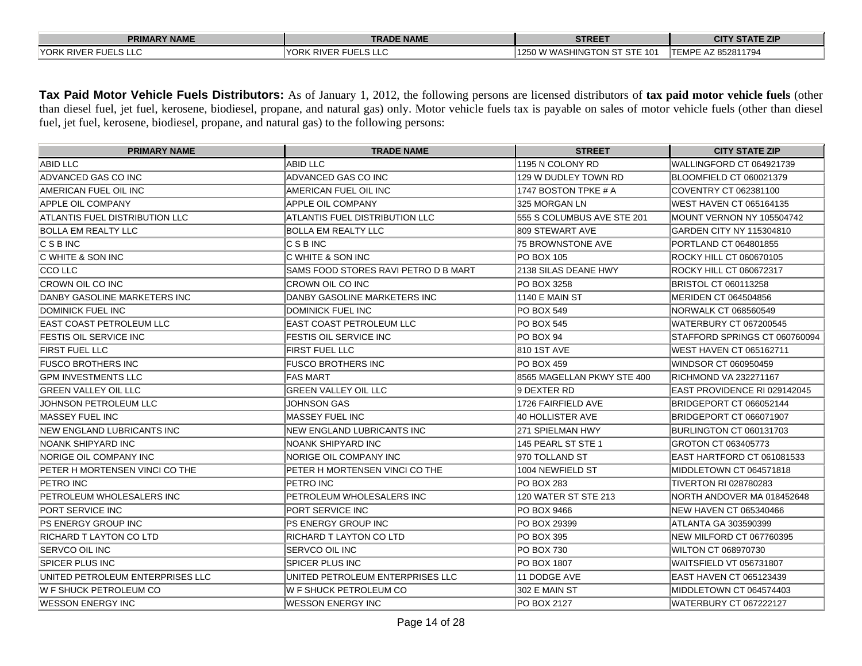| <b>PRIMARY NAME</b>          | <b>TRADE NAME</b>            | <b>STREET</b>                | <b>CITY STATE ZIP</b>      |
|------------------------------|------------------------------|------------------------------|----------------------------|
| <b>IYORK RIVER FUELS LLC</b> | <b>IYORK RIVER FUELS LLC</b> | 1250 W WASHINGTON ST STE 101 | <b>ITEMPE AZ 852811794</b> |

**Tax Paid Motor Vehicle Fuels Distributors:** As of January 1, 2012, the following persons are licensed distributors of **tax paid motor vehicle fuels** (other than diesel fuel, jet fuel, kerosene, biodiesel, propane, and natural gas) only. Motor vehicle fuels tax is payable on sales of motor vehicle fuels (other than diesel fuel, jet fuel, kerosene, biodiesel, propane, and natural gas) to the following persons:

| <b>PRIMARY NAME</b>               | <b>TRADE NAME</b>                      | <b>STREET</b>              | <b>CITY STATE ZIP</b>         |
|-----------------------------------|----------------------------------------|----------------------------|-------------------------------|
| <b>ABID LLC</b>                   | ABID LLC                               | 1195 N COLONY RD           | WALLINGFORD CT 064921739      |
| ADVANCED GAS CO INC               | ADVANCED GAS CO INC                    | 129 W DUDLEY TOWN RD       | BLOOMFIELD CT 060021379       |
| AMERICAN FUEL OIL INC             | AMERICAN FUEL OIL INC                  | 1747 BOSTON TPKE # A       | COVENTRY CT 062381100         |
| APPLE OIL COMPANY                 | <b>APPLE OIL COMPANY</b>               | 325 MORGAN LN              | IWEST HAVEN CT 065164135      |
| ATLANTIS FUEL DISTRIBUTION LLC    | IATLANTIS FUEL DISTRIBUTION LLC        | 555 S COLUMBUS AVE STE 201 | MOUNT VERNON NY 105504742     |
| <b>BOLLA EM REALTY LLC</b>        | BOLLA EM REALTY LLC                    | 809 STEWART AVE            | GARDEN CITY NY 115304810      |
| $C$ S B INC                       | C S B INC                              | 75 BROWNSTONE AVE          | PORTLAND CT 064801855         |
| C WHITE & SON INC                 | IC WHITE & SON INC                     | <b>IPO BOX 105</b>         | ROCKY HILL CT 060670105       |
| <b>CCO LLC</b>                    | SAMS FOOD STORES RAVI PETRO D B MART   | 21138 SILAS DEANE HWY      | ROCKY HILL CT 060672317       |
| CROWN OIL CO INC                  | <b>CROWN OIL CO INC</b>                | PO BOX 3258                | BRISTOL CT 060113258          |
| DANBY GASOLINE MARKETERS INC      | DANBY GASOLINE MARKETERS INC           | <b>1140 E MAIN ST</b>      | MERIDEN CT 064504856          |
| DOMINICK FUEL INC                 | DOMINICK FUEL INC                      | PO BOX 549                 | NORWALK CT 068560549          |
| EAST COAST PETROLEUM LLC          | IEAST COAST PETROLEUM LLC              | PO BOX 545                 | WATERBURY CT 067200545        |
| FESTIS OIL SERVICE INC            | <b>FESTIS OIL SERVICE INC</b>          | IPO BOX 94                 | STAFFORD SPRINGS CT 060760094 |
| <b>FIRST FUEL LLC</b>             | <b>FIRST FUEL LLC</b>                  | 1810 1ST AVE               | IWEST HAVEN CT 065162711      |
| <b>FUSCO BROTHERS INC</b>         | <b>FUSCO BROTHERS INC</b>              | <b>PO BOX 459</b>          | WINDSOR CT 060950459          |
| <b>GPM INVESTMENTS LLC</b>        | <b>IFAS MART</b>                       | 8565 MAGELLAN PKWY STE 400 | RICHMOND VA 232271167         |
| <b>GREEN VALLEY OIL LLC</b>       | <b>GREEN VALLEY OIL LLC</b>            | 9 DEXTER RD                | IEAST PROVIDENCE RI 029142045 |
| JOHNSON PETROLEUM LLC             | <b>JOHNSON GAS</b>                     | 1726 FAIRFIELD AVE         | BRIDGEPORT CT 066052144       |
| MASSEY FUEL INC                   | <b>MASSEY FUEL INC</b>                 | 40 HOLLISTER AVE           | BRIDGEPORT CT 066071907       |
| <b>NEW ENGLAND LUBRICANTS INC</b> | <b>NEW ENGLAND LUBRICANTS INC</b>      | 1271 SPIELMAN HWY          | BURLINGTON CT 060131703       |
| NOANK SHIPYARD INC                | NOANK SHIPYARD INC                     | 145 PEARL ST STE 1         | GROTON CT 063405773           |
| NORIGE OIL COMPANY INC            | INORIGE OIL COMPANY INC                | 1970 TOLLAND ST            | EAST HARTFORD CT 061081533    |
| PETER H MORTENSEN VINCI CO THE    | <b>IPETER H MORTENSEN VINCI CO THE</b> | 1004 NEWFIELD ST           | MIDDLETOWN CT 064571818       |
| PETRO INC                         | <b>PETRO INC</b>                       | PO BOX 283                 | <b>ITIVERTON RI 028780283</b> |
| PETROLEUM WHOLESALERS INC         | PETROLEUM WHOLESALERS INC              | 120 WATER ST STE 213       | NORTH ANDOVER MA 018452648    |
| PORT SERVICE INC                  | PORT SERVICE INC                       | PO BOX 9466                | <b>NEW HAVEN CT 065340466</b> |
| PS ENERGY GROUP INC               | PS ENERGY GROUP INC                    | PO BOX 29399               | ATLANTA GA 303590399          |
| RICHARD T LAYTON CO LTD           | RICHARD T LAYTON CO LTD                | PO BOX 395                 | NEW MILFORD CT 067760395      |
| SERVCO OIL INC                    | ISERVCO OIL INC                        | PO BOX 730                 | WILTON CT 068970730           |
| SPICER PLUS INC                   | ISPICER PLUS INC                       | <b>PO BOX 1807</b>         | WAITSFIELD VT 056731807       |
| UNITED PETROLEUM ENTERPRISES LLC  | UNITED PETROLEUM ENTERPRISES LLC       | 11 DODGE AVE               | EAST HAVEN CT 065123439       |
| W F SHUCK PETROLEUM CO            | W F SHUCK PETROLEUM CO                 | 302 E MAIN ST              | MIDDLETOWN CT 064574403       |
| <b>WESSON ENERGY INC</b>          | <b>WESSON ENERGY INC</b>               | PO BOX 2127                | WATERBURY CT 067222127        |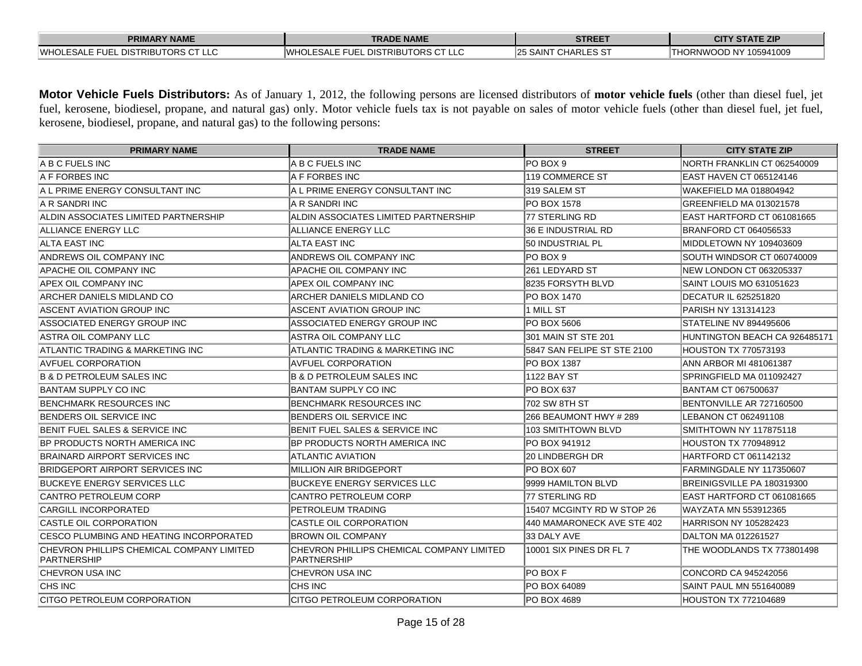| <b>PRIMARY NAME</b>                                 | TRADE NAME                                          | <b>STREET</b>                | <b>ATE ZIP</b><br>CIT             |
|-----------------------------------------------------|-----------------------------------------------------|------------------------------|-----------------------------------|
| . DISTRIBUTORS CT LLC<br><b>IWHOI</b><br>LESALE FUE | L DISTRIBUTORS CT LLC<br>'WHOL<br>SAI F FUFI<br>LLL | <b>SAINT</b><br>' CHARLES S' | 105941009<br>,RNWC<br>тно<br>. NY |

**Motor Vehicle Fuels Distributors:** As of January 1, 2012, the following persons are licensed distributors of **motor vehicle fuels** (other than diesel fuel, jet fuel, kerosene, biodiesel, propane, and natural gas) only. Motor vehicle fuels tax is not payable on sales of motor vehicle fuels (other than diesel fuel, jet fuel, kerosene, biodiesel, propane, and natural gas) to the following persons:

| <b>PRIMARY NAME</b>                                      | <b>TRADE NAME</b>                                               | <b>STREET</b>               | <b>CITY STATE ZIP</b>         |
|----------------------------------------------------------|-----------------------------------------------------------------|-----------------------------|-------------------------------|
| A B C FUELS INC                                          | A B C FUELS INC                                                 | PO BOX 9                    | NORTH FRANKLIN CT 062540009   |
| A F FORBES INC                                           | A F FORBES INC                                                  | 119 COMMERCE ST             | EAST HAVEN CT 065124146       |
| A L PRIME ENERGY CONSULTANT INC                          | A L PRIME ENERGY CONSULTANT INC                                 | 319 SALEM ST                | WAKEFIELD MA 018804942        |
| IA R SANDRI INC                                          | IA R SANDRI INC                                                 | IPO BOX 1578                | GREENFIELD MA 013021578       |
| ALDIN ASSOCIATES LIMITED PARTNERSHIP                     | ALDIN ASSOCIATES LIMITED PARTNERSHIP                            | 77 STERLING RD              | EAST HARTFORD CT 061081665    |
| ALLIANCE ENERGY LLC                                      | ALLIANCE ENERGY LLC                                             | 36 E INDUSTRIAL RD          | BRANFORD CT 064056533         |
| ALTA EAST INC                                            | ALTA EAST INC                                                   | 50 INDUSTRIAL PL            | MIDDLETOWN NY 109403609       |
| ANDREWS OIL COMPANY INC                                  | ANDREWS OIL COMPANY INC                                         | PO BOX 9                    | SOUTH WINDSOR CT 060740009    |
| APACHE OIL COMPANY INC                                   | APACHE OIL COMPANY INC                                          | 261 LEDYARD ST              | NEW LONDON CT 063205337       |
| APEX OIL COMPANY INC                                     | APEX OIL COMPANY INC                                            | 8235 FORSYTH BLVD           | SAINT LOUIS MO 631051623      |
| ARCHER DANIELS MIDLAND CO                                | ARCHER DANIELS MIDLAND CO                                       | PO BOX 1470                 | <b>DECATUR IL 625251820</b>   |
| ASCENT AVIATION GROUP INC                                | ASCENT AVIATION GROUP INC                                       | 1 MILL ST                   | PARISH NY 131314123           |
| ASSOCIATED ENERGY GROUP INC                              | ASSOCIATED ENERGY GROUP INC                                     | <b>PO BOX 5606</b>          | STATELINE NV 894495606        |
| <b>ASTRA OIL COMPANY LLC</b>                             | ASTRA OIL COMPANY LLC                                           | 301 MAIN ST STE 201         | HUNTINGTON BEACH CA 926485171 |
| ATLANTIC TRADING & MARKETING INC                         | ATLANTIC TRADING & MARKETING INC                                | 5847 SAN FELIPE ST STE 2100 | HOUSTON TX 770573193          |
| <b>AVFUEL CORPORATION</b>                                | <b>AVFUEL CORPORATION</b>                                       | PO BOX 1387                 | ANN ARBOR MI 481061387        |
| <b>B &amp; D PETROLEUM SALES INC</b>                     | <b>B &amp; D PETROLEUM SALES INC</b>                            | 1122 BAY ST                 | SPRINGFIELD MA 011092427      |
| BANTAM SUPPLY CO INC                                     | BANTAM SUPPLY CO INC                                            | <b>PO BOX 637</b>           | BANTAM CT 067500637           |
| BENCHMARK RESOURCES INC                                  | <b>BENCHMARK RESOURCES INC</b>                                  | 702 SW 8TH ST               | BENTONVILLE AR 727160500      |
| BENDERS OIL SERVICE INC                                  | BENDERS OIL SERVICE INC                                         | 266 BEAUMONT HWY # 289      | LEBANON CT 062491108          |
| BENIT FUEL SALES & SERVICE INC                           | BENIT FUEL SALES & SERVICE INC                                  | 103 SMITHTOWN BLVD          | ISMITHTOWN NY 117875118       |
| BP PRODUCTS NORTH AMERICA INC                            | BP PRODUCTS NORTH AMERICA INC                                   | PO BOX 941912               | <b>HOUSTON TX 770948912</b>   |
| <b>BRAINARD AIRPORT SERVICES INC</b>                     | <b>ATLANTIC AVIATION</b>                                        | <b>20 LINDBERGH DR</b>      | HARTFORD CT 061142132         |
| BRIDGEPORT AIRPORT SERVICES INC                          | MILLION AIR BRIDGEPORT                                          | <b>PO BOX 607</b>           | FARMINGDALE NY 117350607      |
| <b>BUCKEYE ENERGY SERVICES LLC</b>                       | <b>BUCKEYE ENERGY SERVICES LLC</b>                              | 9999 HAMILTON BLVD          | BREINIGSVILLE PA 180319300    |
| CANTRO PETROLEUM CORP                                    | CANTRO PETROLEUM CORP                                           | 77 STERLING RD              | EAST HARTFORD CT 061081665    |
| CARGILL INCORPORATED                                     | PETROLEUM TRADING                                               | 15407 MCGINTY RD W STOP 26  | WAYZATA MN 553912365          |
| CASTLE OIL CORPORATION                                   | CASTLE OIL CORPORATION                                          | 440 MAMARONECK AVE STE 402  | <b>HARRISON NY 105282423</b>  |
| CESCO PLUMBING AND HEATING INCORPORATED                  | <b>BROWN OIL COMPANY</b>                                        | 33 DALY AVE                 | DALTON MA 012261527           |
| CHEVRON PHILLIPS CHEMICAL COMPANY LIMITED<br>PARTNERSHIP | CHEVRON PHILLIPS CHEMICAL COMPANY LIMITED<br><b>PARTNERSHIP</b> | 10001 SIX PINES DR FL 7     | THE WOODLANDS TX 773801498    |
| CHEVRON USA INC                                          | CHEVRON USA INC                                                 | <b>PO BOX F</b>             | CONCORD CA 945242056          |
| <b>CHS INC</b>                                           | CHS INC                                                         | PO BOX 64089                | SAINT PAUL MN 551640089       |
| CITGO PETROLEUM CORPORATION                              | CITGO PETROLEUM CORPORATION                                     | PO BOX 4689                 | <b>HOUSTON TX 772104689</b>   |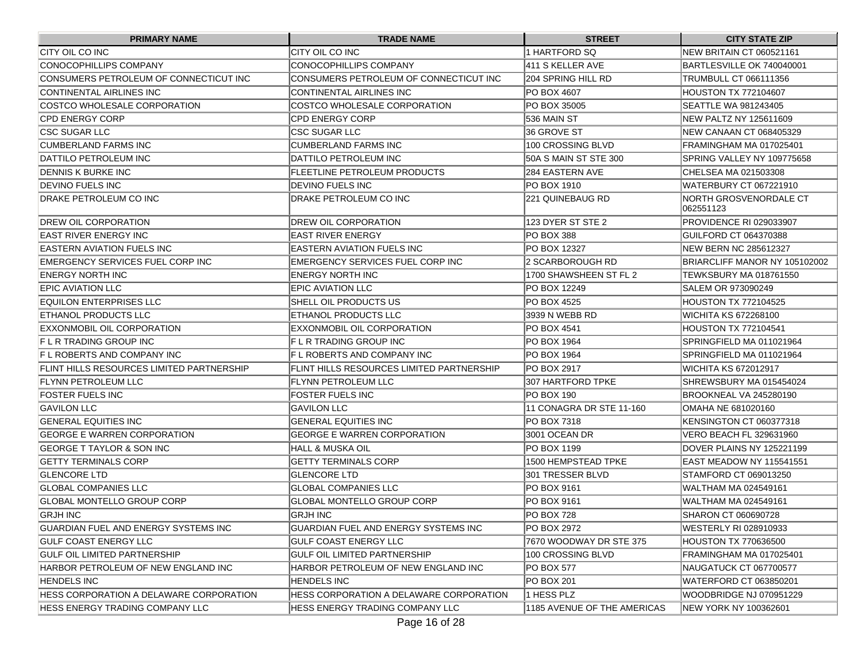| <b>PRIMARY NAME</b>                              | <b>TRADE NAME</b>                                | <b>STREET</b>               | <b>CITY STATE ZIP</b>               |
|--------------------------------------------------|--------------------------------------------------|-----------------------------|-------------------------------------|
| CITY OIL CO INC                                  | CITY OIL CO INC                                  | 1 HARTFORD SQ               | NEW BRITAIN CT 060521161            |
| CONOCOPHILLIPS COMPANY                           | CONOCOPHILLIPS COMPANY                           | 411 S KELLER AVE            | BARTLESVILLE OK 740040001           |
| CONSUMERS PETROLEUM OF CONNECTICUT INC           | CONSUMERS PETROLEUM OF CONNECTICUT INC           | 204 SPRING HILL RD          | TRUMBULL CT 066111356               |
| CONTINENTAL AIRLINES INC                         | CONTINENTAL AIRLINES INC                         | <b>PO BOX 4607</b>          | <b>HOUSTON TX 772104607</b>         |
| COSTCO WHOLESALE CORPORATION                     | COSTCO WHOLESALE CORPORATION                     | PO BOX 35005                | SEATTLE WA 981243405                |
| <b>CPD ENERGY CORP</b>                           | <b>CPD ENERGY CORP</b>                           | 536 MAIN ST                 | NEW PALTZ NY 125611609              |
| <b>CSC SUGAR LLC</b>                             | <b>ICSC SUGAR LLC</b>                            | 36 GROVE ST                 | INEW CANAAN CT 068405329            |
| <b>CUMBERLAND FARMS INC</b>                      | CUMBERLAND FARMS INC                             | 100 CROSSING BLVD           | FRAMINGHAM MA 017025401             |
| DATTILO PETROLEUM INC                            | IDATTILO PETROLEUM INC                           | I50A S MAIN ST STE 300      | SPRING VALLEY NY 109775658          |
| DENNIS K BURKE INC                               | <b>FLEETLINE PETROLEUM PRODUCTS</b>              | <b>284 EASTERN AVE</b>      | CHELSEA MA 021503308                |
| DEVINO FUELS INC                                 | <b>DEVINO FUELS INC</b>                          | IPO BOX 1910                | WATERBURY CT 067221910              |
| DRAKE PETROLEUM CO INC                           | DRAKE PETROLEUM CO INC                           | 221 QUINEBAUG RD            | NORTH GROSVENORDALE CT<br>062551123 |
| <b>DREW OIL CORPORATION</b>                      | DREW OIL CORPORATION                             | 123 DYER ST STE 2           | PROVIDENCE RI 029033907             |
| EAST RIVER ENERGY INC                            | EAST RIVER ENERGY                                | IPO BOX 388                 | GUILFORD CT 064370388               |
| EASTERN AVIATION FUELS INC                       | IEASTERN AVIATION FUELS INC                      | IPO BOX 12327               | NEW BERN NC 285612327               |
| EMERGENCY SERVICES FUEL CORP INC                 | IEMERGENCY SERVICES FUEL CORP INC                | l2 SCARBOROUGH RD           | BRIARCLIFF MANOR NY 105102002       |
| <b>ENERGY NORTH INC</b>                          | ENERGY NORTH INC                                 | 1700 SHAWSHEEN ST FL 2      | <b>TEWKSBURY MA 018761550</b>       |
| <b>EPIC AVIATION LLC</b>                         | EPIC AVIATION LLC                                | IPO BOX 12249               | <b>SALEM OR 973090249</b>           |
| EQUILON ENTERPRISES LLC                          | SHELL OIL PRODUCTS US                            | PO BOX 4525                 | <b>HOUSTON TX 772104525</b>         |
| <b>ETHANOL PRODUCTS LLC</b>                      | ETHANOL PRODUCTS LLC                             | 3939 N WEBB RD              | WICHITA KS 672268100                |
| EXXONMOBIL OIL CORPORATION                       | EXXONMOBIL OIL CORPORATION                       | IPO BOX 4541                | HOUSTON TX 772104541                |
| IF L R TRADING GROUP INC                         | IF L R TRADING GROUP INC                         | IPO BOX 1964                | SPRINGFIELD MA 011021964            |
| IF L ROBERTS AND COMPANY INC                     | IF L ROBERTS AND COMPANY INC                     | <b>IPO BOX 1964</b>         | SPRINGFIELD MA 011021964            |
| <b>FLINT HILLS RESOURCES LIMITED PARTNERSHIP</b> | <b>FLINT HILLS RESOURCES LIMITED PARTNERSHIP</b> | IPO BOX 2917                | WICHITA KS 672012917                |
| <b>FLYNN PETROLEUM LLC</b>                       | FLYNN PETROLEUM LLC                              | 307 HARTFORD TPKE           | SHREWSBURY MA 015454024             |
| <b>FOSTER FUELS INC</b>                          | <b>FOSTER FUELS INC</b>                          | PO BOX 190                  | BROOKNEAL VA 245280190              |
| <b>GAVILON LLC</b>                               | <b>GAVILON LLC</b>                               | 11 CONAGRA DR STE 11-160    | OMAHA NE 681020160                  |
| <b>GENERAL EQUITIES INC</b>                      | <b>GENERAL EQUITIES INC</b>                      | PO BOX 7318                 | KENSINGTON CT 060377318             |
| GEORGE E WARREN CORPORATION                      | GEORGE E WARREN CORPORATION                      | 3001 OCEAN DR               | VERO BEACH FL 329631960             |
| <b>GEORGE T TAYLOR &amp; SON INC</b>             | HALL & MUSKA OIL                                 | PO BOX 1199                 | DOVER PLAINS NY 125221199           |
| <b>GETTY TERMINALS CORP</b>                      | <b>GETTY TERMINALS CORP</b>                      | 1500 HEMPSTEAD TPKE         | EAST MEADOW NY 115541551            |
| <b>GLENCORE LTD</b>                              | <b>GLENCORE LTD</b>                              | 301 TRESSER BLVD            | STAMFORD CT 069013250               |
| <b>GLOBAL COMPANIES LLC</b>                      | GLOBAL COMPANIES LLC                             | PO BOX 9161                 | lWALTHAM MA 024549161               |
| <b>GLOBAL MONTELLO GROUP CORP</b>                | GLOBAL MONTELLO GROUP CORP                       | IPO BOX 9161                | lWALTHAM MA 024549161               |
| <b>GRJH INC</b>                                  | <b>GRJH INC</b>                                  | PO BOX 728                  | SHARON CT 060690728                 |
| GUARDIAN FUEL AND ENERGY SYSTEMS INC             | GUARDIAN FUEL AND ENERGY SYSTEMS INC             | PO BOX 2972                 | WESTERLY RI 028910933               |
| <b>GULF COAST ENERGY LLC</b>                     | <b>GULF COAST ENERGY LLC</b>                     | 7670 WOODWAY DR STE 375     | <b>HOUSTON TX 770636500</b>         |
| <b>GULF OIL LIMITED PARTNERSHIP</b>              | GULF OIL LIMITED PARTNERSHIP                     | 100 CROSSING BLVD           | FRAMINGHAM MA 017025401             |
| HARBOR PETROLEUM OF NEW ENGLAND INC              | HARBOR PETROLEUM OF NEW ENGLAND INC              | PO BOX 577                  | NAUGATUCK CT 067700577              |
| <b>HENDELS INC</b>                               | <b>HENDELS INC</b>                               | PO BOX 201                  | WATERFORD CT 063850201              |
| HESS CORPORATION A DELAWARE CORPORATION          | HESS CORPORATION A DELAWARE CORPORATION          | 1 HESS PLZ                  | WOODBRIDGE NJ 070951229             |
| <b>HESS ENERGY TRADING COMPANY LLC</b>           | <b>HESS ENERGY TRADING COMPANY LLC</b>           | 1185 AVENUE OF THE AMERICAS | NEW YORK NY 100362601               |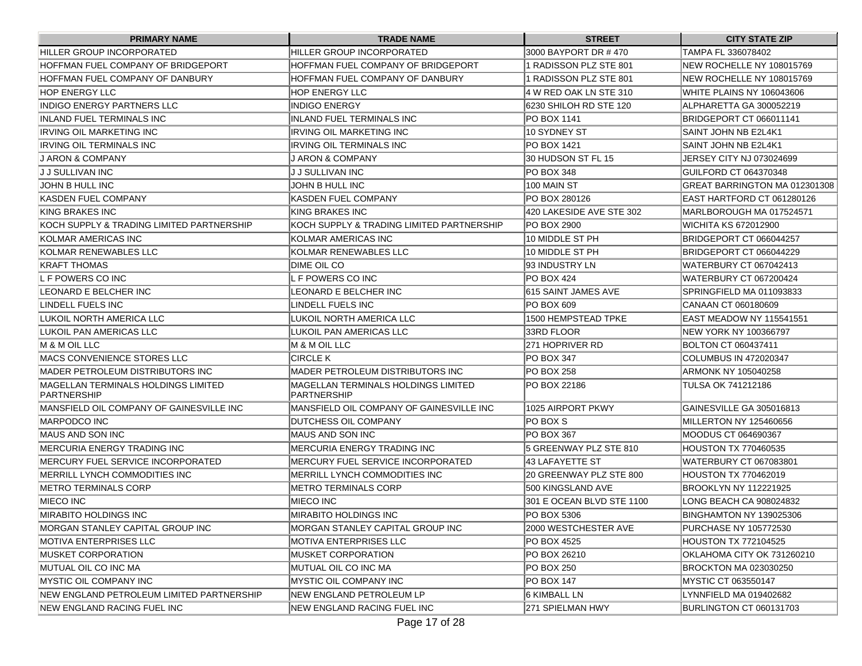| <b>PRIMARY NAME</b>                                       | <b>TRADE NAME</b>                                         | <b>STREET</b>             | <b>CITY STATE ZIP</b>         |
|-----------------------------------------------------------|-----------------------------------------------------------|---------------------------|-------------------------------|
| HILLER GROUP INCORPORATED                                 | HILLER GROUP INCORPORATED                                 | 3000 BAYPORT DR #470      | TAMPA FL 336078402            |
| HOFFMAN FUEL COMPANY OF BRIDGEPORT                        | HOFFMAN FUEL COMPANY OF BRIDGEPORT                        | 1 RADISSON PLZ STE 801    | NEW ROCHELLE NY 108015769     |
| HOFFMAN FUEL COMPANY OF DANBURY                           | HOFFMAN FUEL COMPANY OF DANBURY                           | 1 RADISSON PLZ STE 801    | NEW ROCHELLE NY 108015769     |
| <b>HOP ENERGY LLC</b>                                     | IHOP ENERGY LLC                                           | 4 W RED OAK LN STE 310    | WHITE PLAINS NY 106043606     |
| <b>INDIGO ENERGY PARTNERS LLC</b>                         | IINDIGO ENERGY                                            | 16230 SHILOH RD STE 120   | ALPHARETTA GA 300052219       |
| INLAND FUEL TERMINALS INC                                 | IINLAND FUEL TERMINALS INC                                | IPO BOX 1141              | BRIDGEPORT CT 066011141       |
| IRVING OIL MARKETING INC                                  | IIRVING OIL MARKETING INC                                 | 10 SYDNEY ST              | ISAINT JOHN NB E2L4K1         |
| <b>IRVING OIL TERMINALS INC.</b>                          | IRVING OIL TERMINALS INC                                  | IPO BOX 1421              | SAINT JOHN NB E2L4K1          |
| IJ ARON & COMPANY                                         | <b>J ARON &amp; COMPANY</b>                               | 30 HUDSON ST FL 15        | JERSEY CITY NJ 073024699      |
| IJ J SULLIVAN INC                                         | IJ J SULLIVAN INC                                         | PO BOX 348                | GUILFORD CT 064370348         |
| JOHN B HULL INC                                           | JOHN B HULL INC                                           | 100 MAIN ST               | GREAT BARRINGTON MA 012301308 |
| KASDEN FUEL COMPANY                                       | KASDEN FUEL COMPANY                                       | PO BOX 280126             | EAST HARTFORD CT 061280126    |
| KING BRAKES INC                                           | KING BRAKES INC                                           | 420 LAKESIDE AVE STE 302  | MARLBOROUGH MA 017524571      |
| KOCH SUPPLY & TRADING LIMITED PARTNERSHIP                 | IKOCH SUPPLY & TRADING LIMITED PARTNERSHIP                | <b>PO BOX 2900</b>        | WICHITA KS 672012900          |
| KOLMAR AMERICAS INC                                       | KOLMAR AMERICAS INC                                       | 10 MIDDLE ST PH           | BRIDGEPORT CT 066044257       |
| KOLMAR RENEWABLES LLC                                     | KOLMAR RENEWABLES LLC                                     | 10 MIDDLE ST PH           | BRIDGEPORT CT 066044229       |
| <b>KRAFT THOMAS</b>                                       | <b>DIME OIL CO</b>                                        | 93 INDUSTRY LN            | WATERBURY CT 067042413        |
| L F POWERS CO INC                                         | L F POWERS CO INC                                         | <b>PO BOX 424</b>         | WATERBURY CT 067200424        |
| LEONARD E BELCHER INC                                     | LEONARD E BELCHER INC                                     | 615 SAINT JAMES AVE       | ISPRINGFIELD MA 011093833     |
| LINDELL FUELS INC                                         | LINDELL FUELS INC                                         | <b>PO BOX 609</b>         | CANAAN CT 060180609           |
| LUKOIL NORTH AMERICA LLC                                  | LUKOIL NORTH AMERICA LLC                                  | 1500 HEMPSTEAD TPKE       | EAST MEADOW NY 115541551      |
| LUKOIL PAN AMERICAS LLC                                   | LUKOIL PAN AMERICAS LLC                                   | 33RD FLOOR                | NEW YORK NY 100366797         |
| M & M OIL LLC                                             | M & M OIL LLC                                             | 271 HOPRIVER RD           | BOLTON CT 060437411           |
| IMACS CONVENIENCE STORES LLC                              | ICIRCLE K                                                 | PO BOX 347                | <b>COLUMBUS IN 472020347</b>  |
| IMADER PETROLEUM DISTRIBUTORS INC                         | IMADER PETROLEUM DISTRIBUTORS INC                         | IPO BOX 258               | ARMONK NY 105040258           |
| MAGELLAN TERMINALS HOLDINGS LIMITED<br><b>PARTNERSHIP</b> | <b>MAGELLAN TERMINALS HOLDINGS LIMITED</b><br>PARTNERSHIP | PO BOX 22186              | TULSA OK 741212186            |
| MANSFIELD OIL COMPANY OF GAINESVILLE INC                  | MANSFIELD OIL COMPANY OF GAINESVILLE INC                  | 1025 AIRPORT PKWY         | GAINESVILLE GA 305016813      |
| MARPODCO INC                                              | DUTCHESS OIL COMPANY                                      | IPO BOX S                 | MILLERTON NY 125460656        |
| IMAUS AND SON INC                                         | IMAUS AND SON INC                                         | PO BOX 367                | MOODUS CT 064690367           |
| IMERCURIA ENERGY TRADING INC                              | IMERCURIA ENERGY TRADING INC                              | 5 GREENWAY PLZ STE 810    | <b>HOUSTON TX 770460535</b>   |
| <b>IMERCURY FUEL SERVICE INCORPORATED</b>                 | <b>IMERCURY FUEL SERVICE INCORPORATED</b>                 | 43 LAFAYETTE ST           | WATERBURY CT 067083801        |
| <b>IMERRILL LYNCH COMMODITIES INC</b>                     | MERRILL LYNCH COMMODITIES INC                             | 20 GREENWAY PLZ STE 800   | <b>HOUSTON TX 770462019</b>   |
| IMETRO TERMINALS CORP                                     | <b>METRO TERMINALS CORP</b>                               | 500 KINGSLAND AVE         | <b>BROOKLYN NY 112221925</b>  |
| MIECO INC                                                 | MIECO INC                                                 | 301 E OCEAN BLVD STE 1100 | LONG BEACH CA 908024832       |
| IMIRABITO HOLDINGS INC                                    | IMIRABITO HOLDINGS INC                                    | PO BOX 5306               | BINGHAMTON NY 139025306       |
| IMORGAN STANLEY CAPITAL GROUP INC                         | IMORGAN STANLEY CAPITAL GROUP INC                         | 2000 WESTCHESTER AVE      | PURCHASE NY 105772530         |
| MOTIVA ENTERPRISES LLC                                    | IMOTIVA ENTERPRISES LLC                                   | PO BOX 4525               | <b>HOUSTON TX 772104525</b>   |
| <b>MUSKET CORPORATION</b>                                 | IMUSKET CORPORATION                                       | PO BOX 26210              | OKLAHOMA CITY OK 731260210    |
| MUTUAL OIL CO INC MA                                      | IMUTUAL OIL CO INC MA                                     | PO BOX 250                | <b>BROCKTON MA 023030250</b>  |
| <b>MYSTIC OIL COMPANY INC</b>                             | IMYSTIC OIL COMPANY INC                                   | PO BOX 147                | MYSTIC CT 063550147           |
| NEW ENGLAND PETROLEUM LIMITED PARTNERSHIP                 | INEW ENGLAND PETROLEUM LP                                 | 6 KIMBALL LN              | LYNNFIELD MA 019402682        |
| NEW ENGLAND RACING FUEL INC                               | <b>INEW ENGLAND RACING FUEL INC</b>                       | 271 SPIELMAN HWY          | BURLINGTON CT 060131703       |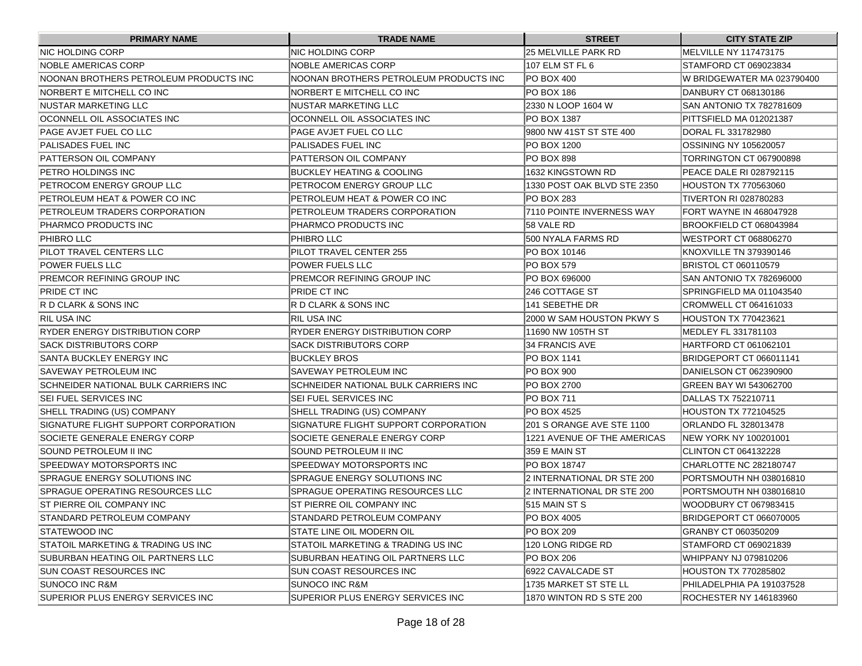| <b>PRIMARY NAME</b>                    | <b>TRADE NAME</b>                      | <b>STREET</b>               | <b>CITY STATE ZIP</b>           |
|----------------------------------------|----------------------------------------|-----------------------------|---------------------------------|
| NIC HOLDING CORP                       | NIC HOLDING CORP                       | 25 MELVILLE PARK RD         | MELVILLE NY 117473175           |
| NOBLE AMERICAS CORP                    | NOBLE AMERICAS CORP                    | 107 ELM ST FL 6             | STAMFORD CT 069023834           |
| NOONAN BROTHERS PETROLEUM PRODUCTS INC | NOONAN BROTHERS PETROLEUM PRODUCTS INC | PO BOX 400                  | IW BRIDGEWATER MA 023790400     |
| NORBERT E MITCHELL CO INC              | NORBERT E MITCHELL CO INC              | IPO BOX 186                 | DANBURY CT 068130186            |
| NUSTAR MARKETING LLC                   | NUSTAR MARKETING LLC                   | 2330 N LOOP 1604 W          | ISAN ANTONIO TX 782781609       |
| OCONNELL OIL ASSOCIATES INC            | OCONNELL OIL ASSOCIATES INC            | IPO BOX 1387                | PITTSFIELD MA 012021387         |
| PAGE AVJET FUEL CO LLC                 | PAGE AVJET FUEL CO LLC                 | 9800 NW 41ST ST STE 400     | DORAL FL 331782980              |
| PALISADES FUEL INC                     | PALISADES FUEL INC                     | PO BOX 1200                 | OSSINING NY 105620057           |
| PATTERSON OIL COMPANY                  | PATTERSON OIL COMPANY                  | IPO BOX 898                 | TORRINGTON CT 067900898         |
| PETRO HOLDINGS INC                     | <b>BUCKLEY HEATING &amp; COOLING</b>   | 1632 KINGSTOWN RD           | <b>IPEACE DALE RI 028792115</b> |
| PETROCOM ENERGY GROUP LLC              | PETROCOM ENERGY GROUP LLC              | 1330 POST OAK BLVD STE 2350 | <b>HOUSTON TX 770563060</b>     |
| PETROLEUM HEAT & POWER CO INC          | PETROLEUM HEAT & POWER CO INC          | IPO BOX 283                 | <b>TIVERTON RI 028780283</b>    |
| PETROLEUM TRADERS CORPORATION          | PETROLEUM TRADERS CORPORATION          | 7110 POINTE INVERNESS WAY   | FORT WAYNE IN 468047928         |
| PHARMCO PRODUCTS INC                   | PHARMCO PRODUCTS INC                   | 58 VALE RD                  | BROOKFIELD CT 068043984         |
| PHIBRO LLC                             | PHIBRO LLC                             | 500 NYALA FARMS RD          | IWESTPORT CT 068806270          |
| PILOT TRAVEL CENTERS LLC               | PILOT TRAVEL CENTER 255                | IPO BOX 10146               | KNOXVILLE TN 379390146          |
| POWER FUELS LLC                        | <b>POWER FUELS LLC</b>                 | PO BOX 579                  | BRISTOL CT 060110579            |
| PREMCOR REFINING GROUP INC             | <b>PREMCOR REFINING GROUP INC</b>      | PO BOX 696000               | SAN ANTONIO TX 782696000        |
| PRIDE CT INC                           | PRIDE CT INC                           | 246 COTTAGE ST              | SPRINGFIELD MA 011043540        |
| R D CLARK & SONS INC                   | R D CLARK & SONS INC                   | 141 SEBETHE DR              | CROMWELL CT 064161033           |
| RIL USA INC                            | <b>RIL USA INC</b>                     | 2000 W SAM HOUSTON PKWY S   | HOUSTON TX 770423621            |
| RYDER ENERGY DISTRIBUTION CORP         | <b>RYDER ENERGY DISTRIBUTION CORP</b>  | 11690 NW 105TH ST           | MEDLEY FL 331781103             |
| SACK DISTRIBUTORS CORP                 | <b>SACK DISTRIBUTORS CORP</b>          | 34 FRANCIS AVE              | HARTFORD CT 061062101           |
| SANTA BUCKLEY ENERGY INC               | <b>BUCKLEY BROS</b>                    | PO BOX 1141                 | BRIDGEPORT CT 066011141         |
| SAVEWAY PETROLEUM INC                  | SAVEWAY PETROLEUM INC                  | PO BOX 900                  | DANIELSON CT 062390900          |
| SCHNEIDER NATIONAL BULK CARRIERS INC   | SCHNEIDER NATIONAL BULK CARRIERS INC   | PO BOX 2700                 | GREEN BAY WI 543062700          |
| SEI FUEL SERVICES INC                  | <b>SEI FUEL SERVICES INC</b>           | PO BOX 711                  | DALLAS TX 752210711             |
| SHELL TRADING (US) COMPANY             | SHELL TRADING (US) COMPANY             | <b>PO BOX 4525</b>          | HOUSTON TX 772104525            |
| SIGNATURE FLIGHT SUPPORT CORPORATION   | SIGNATURE FLIGHT SUPPORT CORPORATION   | 201 S ORANGE AVE STE 1100   | ORLANDO FL 328013478            |
| SOCIETE GENERALE ENERGY CORP           | SOCIETE GENERALE ENERGY CORP           | 1221 AVENUE OF THE AMERICAS | INEW YORK NY 100201001          |
| SOUND PETROLEUM II INC                 | SOUND PETROLEUM II INC                 | 359 E MAIN ST               | CLINTON CT 064132228            |
| SPEEDWAY MOTORSPORTS INC               | <b>SPEEDWAY MOTORSPORTS INC</b>        | <b>PO BOX 18747</b>         | CHARLOTTE NC 282180747          |
| SPRAGUE ENERGY SOLUTIONS INC           | SPRAGUE ENERGY SOLUTIONS INC           | 2 INTERNATIONAL DR STE 200  | PORTSMOUTH NH 038016810         |
| SPRAGUE OPERATING RESOURCES LLC        | SPRAGUE OPERATING RESOURCES LLC        | 2 INTERNATIONAL DR STE 200  | PORTSMOUTH NH 038016810         |
| <b>ST PIERRE OIL COMPANY INC</b>       | <b>ST PIERRE OIL COMPANY INC</b>       | 515 MAIN ST S               | WOODBURY CT 067983415           |
| STANDARD PETROLEUM COMPANY             | STANDARD PETROLEUM COMPANY             | PO BOX 4005                 | BRIDGEPORT CT 066070005         |
| <b>STATEWOOD INC</b>                   | STATE LINE OIL MODERN OIL              | PO BOX 209                  | GRANBY CT 060350209             |
| STATOIL MARKETING & TRADING US INC     | STATOIL MARKETING & TRADING US INC     | 120 LONG RIDGE RD           | STAMFORD CT 069021839           |
| SUBURBAN HEATING OIL PARTNERS LLC      | SUBURBAN HEATING OIL PARTNERS LLC      | PO BOX 206                  | WHIPPANY NJ 079810206           |
| SUN COAST RESOURCES INC                | SUN COAST RESOURCES INC                | 6922 CAVALCADE ST           | <b>HOUSTON TX 770285802</b>     |
| SUNOCO INC R&M                         | <b>SUNOCO INC R&amp;M</b>              | 1735 MARKET ST STE LL       | PHILADELPHIA PA 191037528       |
| SUPERIOR PLUS ENERGY SERVICES INC      | SUPERIOR PLUS ENERGY SERVICES INC      | 1870 WINTON RD S STE 200    | <b>ROCHESTER NY 146183960</b>   |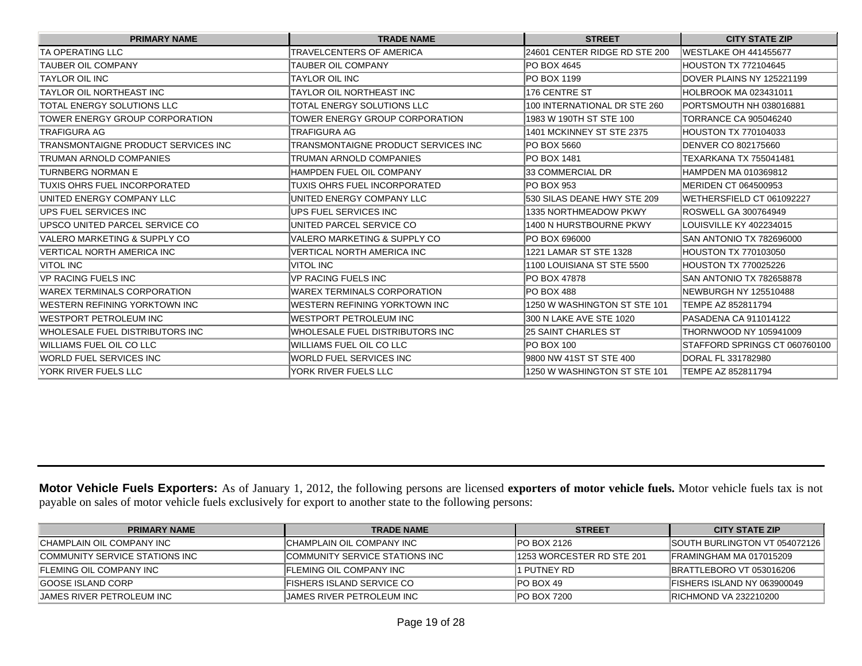| <b>PRIMARY NAME</b>                 | <b>TRADE NAME</b>                   | <b>STREET</b>                 | <b>CITY STATE ZIP</b>           |
|-------------------------------------|-------------------------------------|-------------------------------|---------------------------------|
| ITA OPERATING LLC                   | TRAVELCENTERS OF AMERICA            | 24601 CENTER RIDGE RD STE 200 | <b>IWESTLAKE OH 441455677</b>   |
| <b>TAUBER OIL COMPANY</b>           | TAUBER OIL COMPANY                  | PO BOX 4645                   | HOUSTON TX 772104645            |
| <b>TAYLOR OIL INC</b>               | TAYLOR OIL INC                      | PO BOX 1199                   | DOVER PLAINS NY 125221199       |
| TAYLOR OIL NORTHEAST INC            | TAYLOR OIL NORTHEAST INC            | 176 CENTRE ST                 | HOLBROOK MA 023431011           |
| TOTAL ENERGY SOLUTIONS LLC          | TOTAL ENERGY SOLUTIONS LLC          | 100 INTERNATIONAL DR STE 260  | PORTSMOUTH NH 038016881         |
| TOWER ENERGY GROUP CORPORATION      | TOWER ENERGY GROUP CORPORATION      | 1983 W 190TH ST STE 100       | <b>TORRANCE CA 905046240</b>    |
| TRAFIGURA AG                        | TRAFIGURA AG                        | 1401 MCKINNEY ST STE 2375     | <b>HOUSTON TX 770104033</b>     |
| TRANSMONTAIGNE PRODUCT SERVICES INC | TRANSMONTAIGNE PRODUCT SERVICES INC | PO BOX 5660                   | DENVER CO 802175660             |
| TRUMAN ARNOLD COMPANIES             | TRUMAN ARNOLD COMPANIES             | PO BOX 1481                   | TEXARKANA TX 755041481          |
| TURNBERG NORMAN E                   | <b>HAMPDEN FUEL OIL COMPANY</b>     | 33 COMMERCIAL DR              | HAMPDEN MA 010369812            |
| TUXIS OHRS FUEL INCORPORATED        | TUXIS OHRS FUEL INCORPORATED        | IPO BOX 953                   | IMERIDEN CT 064500953           |
| UNITED ENERGY COMPANY LLC           | UNITED ENERGY COMPANY LLC           | 530 SILAS DEANE HWY STE 209   | WETHERSFIELD CT 061092227       |
| UPS FUEL SERVICES INC               | UPS FUEL SERVICES INC               | <b>1335 NORTHMEADOW PKWY</b>  | ROSWELL GA 300764949            |
| UPSCO UNITED PARCEL SERVICE CO      | UNITED PARCEL SERVICE CO            | 1400 N HURSTBOURNE PKWY       | LOUISVILLE KY 402234015         |
| VALERO MARKETING & SUPPLY CO        | VALERO MARKETING & SUPPLY CO        | PO BOX 696000                 | <b>SAN ANTONIO TX 782696000</b> |
| <b>VERTICAL NORTH AMERICA INC</b>   | <b>VERTICAL NORTH AMERICA INC</b>   | 1221 LAMAR ST STE 1328        | <b>HOUSTON TX 770103050</b>     |
| <b>VITOL INC</b>                    | <b>VITOL INC</b>                    | 1100 LOUISIANA ST STE 5500    | HOUSTON TX 770025226            |
| <b>VP RACING FUELS INC</b>          | <b>VP RACING FUELS INC</b>          | PO BOX 47878                  | SAN ANTONIO TX 782658878        |
| <b>WAREX TERMINALS CORPORATION</b>  | <b>WAREX TERMINALS CORPORATION</b>  | IPO BOX 488                   | NEWBURGH NY 125510488           |
| WESTERN REFINING YORKTOWN INC       | WESTERN REFINING YORKTOWN INC       | 1250 W WASHINGTON ST STE 101  | TEMPE AZ 852811794              |
| WESTPORT PETROLEUM INC              | WESTPORT PETROLEUM INC              | 300 N LAKE AVE STE 1020       | PASADENA CA 911014122           |
| WHOLESALE FUEL DISTRIBUTORS INC     | WHOLESALE FUEL DISTRIBUTORS INC     | 25 SAINT CHARLES ST           | THORNWOOD NY 105941009          |
| WILLIAMS FUEL OIL CO LLC            | WILLIAMS FUEL OIL CO LLC            | <b>PO BOX 100</b>             | STAFFORD SPRINGS CT 060760100   |
| WORLD FUEL SERVICES INC             | WORLD FUEL SERVICES INC             | 9800 NW 41ST ST STE 400       | DORAL FL 331782980              |
| YORK RIVER FUELS LLC                | YORK RIVER FUELS LLC                | 1250 W WASHINGTON ST STE 101  | TEMPE AZ 852811794              |

**Motor Vehicle Fuels Exporters:** As of January 1, 2012, the following persons are licensed **exporters of motor vehicle fuels.** Motor vehicle fuels tax is not payable on sales of motor vehicle fuels exclusively for export to another state to the following persons:

| <b>PRIMARY NAME</b>             | <b>TRADE NAME</b>                     | <b>STREET</b>              | <b>CITY STATE ZIP</b>               |
|---------------------------------|---------------------------------------|----------------------------|-------------------------------------|
| ICHAMPLAIN OIL COMPANY INC      | ICHAMPLAIN OIL COMPANY INC            | <b>IPO BOX 2126</b>        | ISOUTH BURLINGTON VT 054072126      |
| COMMUNITY SERVICE STATIONS INC  | <b>COMMUNITY SERVICE STATIONS INC</b> | 11253 WORCESTER RD STE 201 | IFRAMINGHAM MA 017015209            |
| <b>IFLEMING OIL COMPANY INC</b> | <b>IFLEMING OIL COMPANY INC</b>       | l1 PUTNEY RD               | IBRATTLEBORO VT 053016206           |
| <b>GOOSE ISLAND CORP</b>        | IFISHERS ISLAND SERVICE CO            | IPO BOX 49                 | <b>IFISHERS ISLAND NY 063900049</b> |
| IJAMES RIVER PETROLEUM INC      | IJAMES RIVER PETROLEUM INC            | <b>IPO BOX 7200</b>        | <b>IRICHMOND VA 232210200</b>       |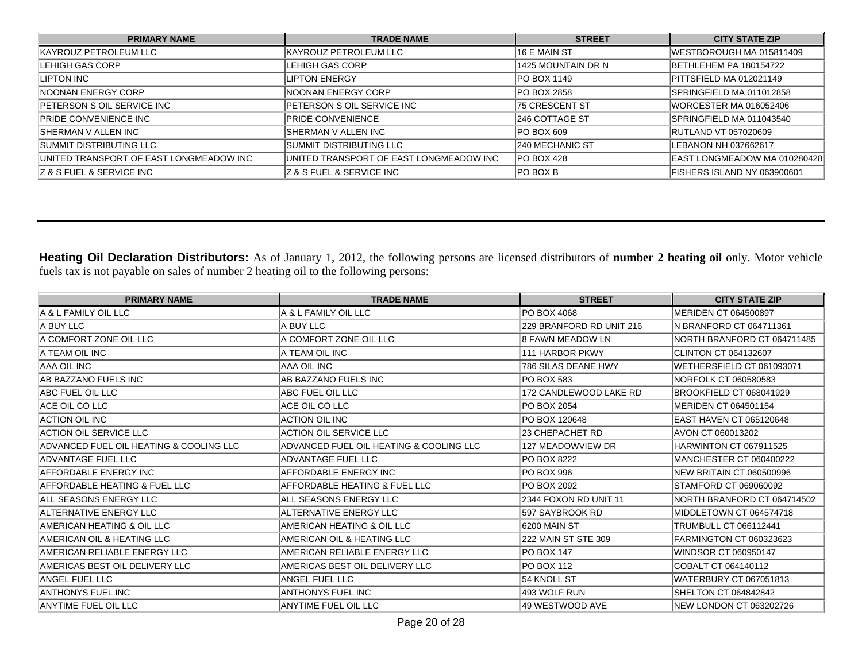| <b>PRIMARY NAME</b>                      | <b>TRADE NAME</b>                       | <b>STREET</b>          | <b>CITY STATE ZIP</b>          |
|------------------------------------------|-----------------------------------------|------------------------|--------------------------------|
| KAYROUZ PETROLEUM LLC                    | KAYROUZ PETROLEUM LLC                   | 16 E MAIN ST           | IWESTBOROUGH MA 015811409      |
| LEHIGH GAS CORP                          | ILEHIGH GAS CORP                        | 1425 MOUNTAIN DR N     | BETHLEHEM PA 180154722         |
| LIPTON INC                               | <b>LIPTON ENERGY</b>                    | <b>PO BOX 1149</b>     | PITTSFIELD MA 012021149        |
| INOONAN ENERGY CORP                      | INOONAN ENERGY CORP                     | <b>PO BOX 2858</b>     | SPRINGFIELD MA 011012858       |
| <b>PETERSON S OIL SERVICE INC</b>        | <b>IPETERSON S OIL SERVICE INC</b>      | <b>75 CRESCENT ST</b>  | <b>IWORCESTER MA 016052406</b> |
| <b>PRIDE CONVENIENCE INC</b>             | <b>PRIDE CONVENIENCE</b>                | <b>1246 COTTAGE ST</b> | SPRINGFIELD MA 011043540       |
| ISHERMAN V ALLEN INC                     | ISHERMAN V ALLEN INC                    | <b>PO BOX 609</b>      | <b>RUTLAND VT 057020609</b>    |
| SUMMIT DISTRIBUTING LLC                  | ISUMMIT DISTRIBUTING LLC                | <b>240 MECHANIC ST</b> | ILEBANON NH 037662617          |
| UNITED TRANSPORT OF EAST LONGMEADOW INC  | UNITED TRANSPORT OF EAST LONGMEADOW INC | <b>PO BOX 428</b>      | EAST LONGMEADOW MA 010280428   |
| <b>IZ &amp; S FUEL &amp; SERVICE INC</b> | <b>Z &amp; S FUEL &amp; SERVICE INC</b> | <b>PO BOX B</b>        | FISHERS ISLAND NY 063900601    |

**Heating Oil Declaration Distributors:** As of January 1, 2012, the following persons are licensed distributors of **number 2 heating oil** only. Motor vehicle fuels tax is not payable on sales of number 2 heating oil to the following persons:

| <b>PRIMARY NAME</b>                     | <b>TRADE NAME</b>                       | <b>STREET</b>            | <b>CITY STATE ZIP</b>        |
|-----------------------------------------|-----------------------------------------|--------------------------|------------------------------|
| IA & L FAMILY OIL LLC                   | IA & L FAMILY OIL LLC                   | PO BOX 4068              | MERIDEN CT 064500897         |
| A BUY LLC                               | IA BUY LLC                              | 229 BRANFORD RD UNIT 216 | IN BRANFORD CT 064711361     |
| IA COMFORT ZONE OIL LLC                 | A COMFORT ZONE OIL LLC                  | 8 FAWN MEADOW LN         | NORTH BRANFORD CT 064711485  |
| IA TEAM OIL INC                         | IA TEAM OIL INC                         | 1111 HARBOR PKWY         | CLINTON CT 064132607         |
| AAA OIL INC                             | IAAA OIL INC                            | 786 SILAS DEANE HWY      | WETHERSFIELD CT 061093071    |
| AB BAZZANO FUELS INC                    | AB BAZZANO FUELS INC                    | PO BOX 583               | NORFOLK CT 060580583         |
| ABC FUEL OIL LLC                        | ABC FUEL OIL LLC                        | 172 CANDLEWOOD LAKE RD   | BROOKFIELD CT 068041929      |
| <b>ACE OIL CO LLC</b>                   | IACE OIL CO LLC                         | PO BOX 2054              | MERIDEN CT 064501154         |
| ACTION OIL INC                          | ACTION OIL INC                          | PO BOX 120648            | EAST HAVEN CT 065120648      |
| <b>ACTION OIL SERVICE LLC</b>           | <b>ACTION OIL SERVICE LLC</b>           | 23 CHEPACHET RD          | AVON CT 060013202            |
| ADVANCED FUEL OIL HEATING & COOLING LLC | ADVANCED FUEL OIL HEATING & COOLING LLC | <b>127 MEADOWVIEW DR</b> | HARWINTON CT 067911525       |
| <b>ADVANTAGE FUEL LLC</b>               | ADVANTAGE FUEL LLC                      | PO BOX 8222              | MANCHESTER CT 060400222      |
| AFFORDABLE ENERGY INC                   | <b>AFFORDABLE ENERGY INC</b>            | PO BOX 996               | NEW BRITAIN CT 060500996     |
| AFFORDABLE HEATING & FUEL LLC           | AFFORDABLE HEATING & FUEL LLC           | PO BOX 2092              | STAMFORD CT 069060092        |
| ALL SEASONS ENERGY LLC                  | ALL SEASONS ENERGY LLC                  | 2344 FOXON RD UNIT 11    | NORTH BRANFORD CT 064714502  |
| ALTERNATIVE ENERGY LLC                  | ALTERNATIVE ENERGY LLC                  | 597 SAYBROOK RD          | MIDDLETOWN CT 064574718      |
| IAMERICAN HEATING & OIL LLC             | AMERICAN HEATING & OIL LLC              | I6200 MAIN ST            | <b>TRUMBULL CT 066112441</b> |
| IAMERICAN OIL & HEATING LLC             | AMERICAN OIL & HEATING LLC              | 222 MAIN ST STE 309      | FARMINGTON CT 060323623      |
| AMERICAN RELIABLE ENERGY LLC            | AMERICAN RELIABLE ENERGY LLC            | <b>PO BOX 147</b>        | <b>WINDSOR CT 060950147</b>  |
| AMERICAS BEST OIL DELIVERY LLC          | AMERICAS BEST OIL DELIVERY LLC          | PO BOX 112               | COBALT CT 064140112          |
| ANGEL FUEL LLC                          | <b>ANGEL FUEL LLC</b>                   | 54 KNOLL ST              | WATERBURY CT 067051813       |
| IANTHONYS FUEL INC                      | ANTHONYS FUEL INC                       | 493 WOLF RUN             | SHELTON CT 064842842         |
| ANYTIME FUEL OIL LLC                    | <b>ANYTIME FUEL OIL LLC</b>             | 49 WESTWOOD AVE          | NEW LONDON CT 063202726      |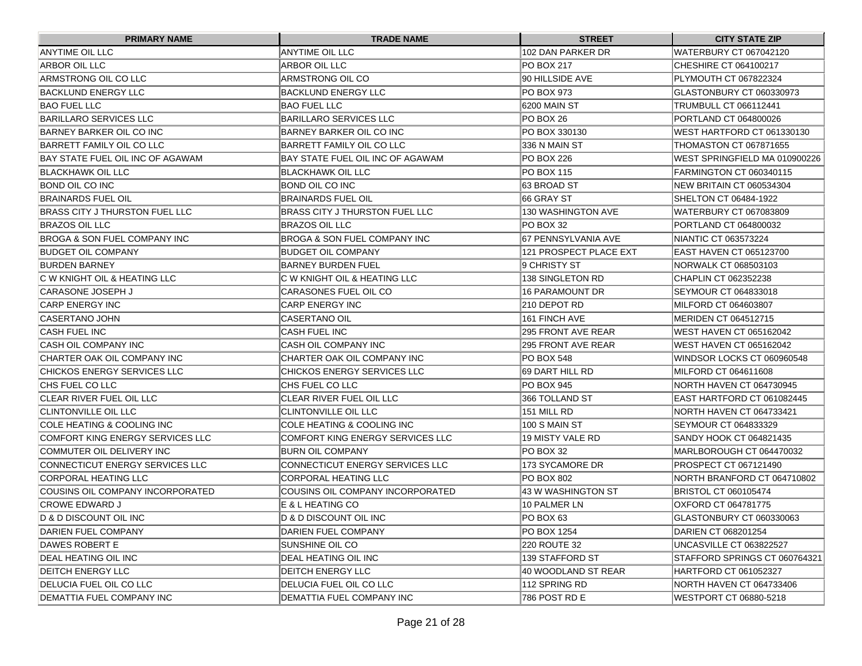| <b>PRIMARY NAME</b>               | <b>TRADE NAME</b>                       | <b>STREET</b>          | <b>CITY STATE ZIP</b>          |
|-----------------------------------|-----------------------------------------|------------------------|--------------------------------|
| <b>ANYTIME OIL LLC</b>            | <b>ANYTIME OIL LLC</b>                  | 102 DAN PARKER DR      | WATERBURY CT 067042120         |
| ARBOR OIL LLC                     | ARBOR OIL LLC                           | PO BOX 217             | CHESHIRE CT 064100217          |
| ARMSTRONG OIL CO LLC              | ARMSTRONG OIL CO                        | 90 HILLSIDE AVE        | PLYMOUTH CT 067822324          |
| BACKLUND ENERGY LLC               | BACKLUND ENERGY LLC                     | <b>PO BOX 973</b>      | GLASTONBURY CT 060330973       |
| <b>IBAO FUEL LLC</b>              | <b>BAO FUEL LLC</b>                     | 6200 MAIN ST           | TRUMBULL CT 066112441          |
| BARILLARO SERVICES LLC            | BARILLARO SERVICES LLC                  | PO BOX 26              | PORTLAND CT 064800026          |
| BARNEY BARKER OIL CO INC          | BARNEY BARKER OIL CO INC                | PO BOX 330130          | WEST HARTFORD CT 061330130     |
| BARRETT FAMILY OIL CO LLC         | BARRETT FAMILY OIL CO LLC               | 336 N MAIN ST          | THOMASTON CT 067871655         |
| BAY STATE FUEL OIL INC OF AGAWAM  | BAY STATE FUEL OIL INC OF AGAWAM        | PO BOX 226             | WEST SPRINGFIELD MA 010900226  |
| BLACKHAWK OIL LLC                 | BLACKHAWK OIL LLC                       | <b>PO BOX 115</b>      | FARMINGTON CT 060340115        |
| <b>BOND OIL CO INC</b>            | BOND OIL CO INC                         | 63 BROAD ST            | NEW BRITAIN CT 060534304       |
| BRAINARDS FUEL OIL                | BRAINARDS FUEL OIL                      | 66 GRAY ST             | SHELTON CT 06484-1922          |
| BRASS CITY J THURSTON FUEL LLC    | BRASS CITY J THURSTON FUEL LLC          | 130 WASHINGTON AVE     | <b>WATERBURY CT 067083809</b>  |
| BRAZOS OIL LLC                    | BRAZOS OIL LLC                          | PO BOX 32              | PORTLAND CT 064800032          |
| BROGA & SON FUEL COMPANY INC      | IBROGA & SON FUEL COMPANY INC           | 167 PENNSYLVANIA AVE   | NIANTIC CT 063573224           |
| BUDGET OIL COMPANY                | <b>BUDGET OIL COMPANY</b>               | 121 PROSPECT PLACE EXT | <b>EAST HAVEN CT 065123700</b> |
| BURDEN BARNEY                     | BARNEY BURDEN FUEL                      | 9 CHRISTY ST           | NORWALK CT 068503103           |
| IC W KNIGHT OIL & HEATING LLC     | IC W KNIGHT OIL & HEATING LLC           | 138 SINGLETON RD       | CHAPLIN CT 062352238           |
| CARASONE JOSEPH J                 | CARASONES FUEL OIL CO                   | 16 PARAMOUNT DR        | SEYMOUR CT 064833018           |
| CARP ENERGY INC                   | <b>CARP ENERGY INC</b>                  | 210 DEPOT RD           | MILFORD CT 064603807           |
| CASERTANO JOHN                    | <b>CASERTANO OIL</b>                    | 161 FINCH AVE          | MERIDEN CT 064512715           |
| <b>CASH FUEL INC</b>              | CASH FUEL INC                           | 295 FRONT AVE REAR     | WEST HAVEN CT 065162042        |
| ICASH OIL COMPANY INC             | CASH OIL COMPANY INC                    | 295 FRONT AVE REAR     | <b>WEST HAVEN CT 065162042</b> |
| CHARTER OAK OIL COMPANY INC       | CHARTER OAK OIL COMPANY INC             | PO BOX 548             | WINDSOR LOCKS CT 060960548     |
| CHICKOS ENERGY SERVICES LLC       | CHICKOS ENERGY SERVICES LLC             | 69 DART HILL RD        | MILFORD CT 064611608           |
| ∣CHS FUEL CO LLC                  | CHS FUEL CO LLC                         | PO BOX 945             | NORTH HAVEN CT 064730945       |
| CLEAR RIVER FUEL OIL LLC          | CLEAR RIVER FUEL OIL LLC                | 366 TOLLAND ST         | EAST HARTFORD CT 061082445     |
| CLINTONVILLE OIL LLC              | <b>CLINTONVILLE OIL LLC</b>             | 151 MILL RD            | NORTH HAVEN CT 064733421       |
| ICOLE HEATING & COOLING INC       | ICOLE HEATING & COOLING INC             | 100 S MAIN ST          | SEYMOUR CT 064833329           |
| COMFORT KING ENERGY SERVICES LLC  | <b>COMFORT KING ENERGY SERVICES LLC</b> | 19 MISTY VALE RD       | SANDY HOOK CT 064821435        |
| COMMUTER OIL DELIVERY INC         | <b>IBURN OIL COMPANY</b>                | IPO BOX 32             | MARLBOROUGH CT 064470032       |
| CONNECTICUT ENERGY SERVICES LLC   | ICONNECTICUT ENERGY SERVICES LLC        | 173 SYCAMORE DR        | PROSPECT CT 067121490          |
| CORPORAL HEATING LLC              | CORPORAL HEATING LLC                    | PO BOX 802             | NORTH BRANFORD CT 064710802    |
| ICOUSINS OIL COMPANY INCORPORATED | ICOUSINS OIL COMPANY INCORPORATED       | 43 W WASHINGTON ST     | <b>BRISTOL CT 060105474</b>    |
| <b>CROWE EDWARD J</b>             | E & L HEATING CO                        | 10 PALMER LN           | OXFORD CT 064781775            |
| D & D DISCOUNT OIL INC            | D & D DISCOUNT OIL INC                  | PO BOX 63              | GLASTONBURY CT 060330063       |
| DARIEN FUEL COMPANY               | DARIEN FUEL COMPANY                     | PO BOX 1254            | DARIEN CT 068201254            |
| DAWES ROBERT E                    | SUNSHINE OIL CO                         | 220 ROUTE 32           | UNCASVILLE CT 063822527        |
| <b>DEAL HEATING OIL INC</b>       | DEAL HEATING OIL INC                    | 139 STAFFORD ST        | STAFFORD SPRINGS CT 060764321  |
| <b>DEITCH ENERGY LLC</b>          | <b>DEITCH ENERGY LLC</b>                | 40 WOODLAND ST REAR    | HARTFORD CT 061052327          |
| DELUCIA FUEL OIL CO LLC           | DELUCIA FUEL OIL CO LLC                 | 112 SPRING RD          | NORTH HAVEN CT 064733406       |
| <b>DEMATTIA FUEL COMPANY INC</b>  | <b>DEMATTIA FUEL COMPANY INC</b>        | 786 POST RD E          | WESTPORT CT 06880-5218         |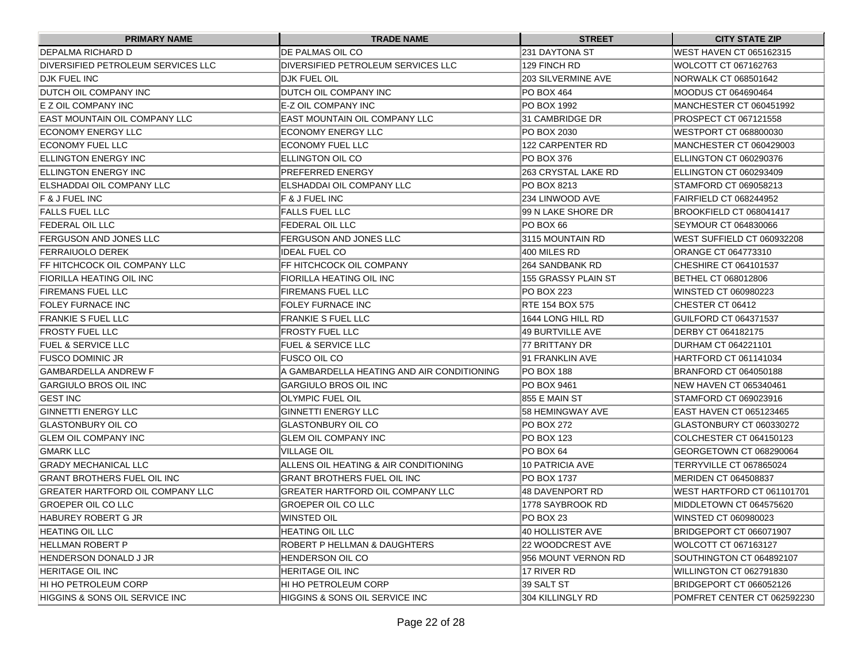| <b>PRIMARY NAME</b>                | <b>TRADE NAME</b>                          | <b>STREET</b>          | <b>CITY STATE ZIP</b>          |
|------------------------------------|--------------------------------------------|------------------------|--------------------------------|
| DEPALMA RICHARD D                  | DE PALMAS OIL CO                           | 231 DAYTONA ST         | <b>WEST HAVEN CT 065162315</b> |
| DIVERSIFIED PETROLEUM SERVICES LLC | DIVERSIFIED PETROLEUM SERVICES LLC         | 129 FINCH RD           | WOLCOTT CT 067162763           |
| <b>DJK FUEL INC</b>                | <b>DJK FUEL OIL</b>                        | 203 SILVERMINE AVE     | NORWALK CT 068501642           |
| <b>DUTCH OIL COMPANY INC</b>       | <b>DUTCH OIL COMPANY INC</b>               | PO BOX 464             | MOODUS CT 064690464            |
| E Z OIL COMPANY INC                | E-Z OIL COMPANY INC                        | PO BOX 1992            | MANCHESTER CT 060451992        |
| IEAST MOUNTAIN OIL COMPANY LLC     | EAST MOUNTAIN OIL COMPANY LLC              | 31 CAMBRIDGE DR        | PROSPECT CT 067121558          |
| ECONOMY ENERGY LLC                 | IECONOMY ENERGY LLC                        | PO BOX 2030            | WESTPORT CT 068800030          |
| ECONOMY FUEL LLC                   | ECONOMY FUEL LLC                           | 122 CARPENTER RD       | IMANCHESTER CT 060429003       |
| ELLINGTON ENERGY INC               | ELLINGTON OIL CO                           | PO BOX 376             | ELLINGTON CT 060290376         |
| <b>ELLINGTON ENERGY INC</b>        | <b>PREFERRED ENERGY</b>                    | 263 CRYSTAL LAKE RD    | ELLINGTON CT 060293409         |
| ELSHADDAI OIL COMPANY LLC          | ELSHADDAI OIL COMPANY LLC                  | PO BOX 8213            | STAMFORD CT 069058213          |
| <b>F &amp; J FUEL INC</b>          | IF & J FUEL INC                            | 234 LINWOOD AVE        | FAIRFIELD CT 068244952         |
| FALLS FUEL LLC                     | <b>FALLS FUEL LLC</b>                      | 99 N LAKE SHORE DR     | BROOKFIELD CT 068041417        |
| FEDERAL OIL LLC                    | <b>FEDERAL OIL LLC</b>                     | PO BOX 66              | SEYMOUR CT 064830066           |
| <b>IFERGUSON AND JONES LLC</b>     | <b>FERGUSON AND JONES LLC</b>              | 13115 MOUNTAIN RD      | WEST SUFFIELD CT 060932208     |
| <b>FERRAIUOLO DEREK</b>            | <b>IDEAL FUEL CO</b>                       | 400 MILES RD           | ORANGE CT 064773310            |
| FF HITCHCOCK OIL COMPANY LLC       | FF HITCHCOCK OIL COMPANY                   | 264 SANDBANK RD        | CHESHIRE CT 064101537          |
| <b>FIORILLA HEATING OIL INC</b>    | <b>FIORILLA HEATING OIL INC</b>            | 155 GRASSY PLAIN ST    | BETHEL CT 068012806            |
| FIREMANS FUEL LLC                  | <b>FIREMANS FUEL LLC</b>                   | PO BOX 223             | WINSTED CT 060980223           |
| <b>FOLEY FURNACE INC</b>           | <b>FOLEY FURNACE INC</b>                   | <b>RTE 154 BOX 575</b> | <b>CHESTER CT 06412</b>        |
| <b>FRANKIE S FUEL LLC</b>          | <b>FRANKIE S FUEL LLC</b>                  | 1644 LONG HILL RD      | GUILFORD CT 064371537          |
| FROSTY FUEL LLC                    | <b>FROSTY FUEL LLC</b>                     | 49 BURTVILLE AVE       | DERBY CT 064182175             |
| <b>FUEL &amp; SERVICE LLC</b>      | <b>FUEL &amp; SERVICE LLC</b>              | 77 BRITTANY DR         | DURHAM CT 064221101            |
| FUSCO DOMINIC JR                   | <b>FUSCO OIL CO</b>                        | 91 FRANKLIN AVE        | HARTFORD CT 061141034          |
| GAMBARDELLA ANDREW F               | A GAMBARDELLA HEATING AND AIR CONDITIONING | PO BOX 188             | BRANFORD CT 064050188          |
| GARGIULO BROS OIL INC              | <b>GARGIULO BROS OIL INC</b>               | PO BOX 9461            | INEW HAVEN CT 065340461        |
| IGEST INC                          | <b>OLYMPIC FUEL OIL</b>                    | 1855 E MAIN ST         | STAMFORD CT 069023916          |
| GINNETTI ENERGY LLC                | <b>GINNETTI ENERGY LLC</b>                 | 58 HEMINGWAY AVE       | EAST HAVEN CT 065123465        |
| GLASTONBURY OIL CO                 | <b>GLASTONBURY OIL CO</b>                  | PO BOX 272             | GLASTONBURY CT 060330272       |
| GLEM OIL COMPANY INC               | <b>GLEM OIL COMPANY INC</b>                | PO BOX 123             | COLCHESTER CT 064150123        |
| <b>GMARK LLC</b>                   | <b>VILLAGE OIL</b>                         | PO BOX 64              | GEORGETOWN CT 068290064        |
| <b>GRADY MECHANICAL LLC</b>        | ALLENS OIL HEATING & AIR CONDITIONING      | 10 PATRICIA AVE        | <b>TERRYVILLE CT 067865024</b> |
| IGRANT BROTHERS FUEL OIL INC       | IGRANT BROTHERS FUEL OIL INC               | <b>PO BOX 1737</b>     | <b>IMERIDEN CT 064508837</b>   |
| GREATER HARTFORD OIL COMPANY LLC   | <b>GREATER HARTFORD OIL COMPANY LLC</b>    | 48 DAVENPORT RD        | WEST HARTFORD CT 061101701     |
| <b>GROEPER OIL CO LLC</b>          | <b>GROEPER OIL CO LLC</b>                  | 1778 SAYBROOK RD       | MIDDLETOWN CT 064575620        |
| HABUREY ROBERT G JR                | WINSTED OIL                                | PO BOX 23              | WINSTED CT 060980023           |
| HEATING OIL LLC                    | HEATING OIL LLC                            | 40 HOLLISTER AVE       | BRIDGEPORT CT 066071907        |
| HELLMAN ROBERT P                   | <b>ROBERT P HELLMAN &amp; DAUGHTERS</b>    | 22 WOODCREST AVE       | WOLCOTT CT 067163127           |
| HENDERSON DONALD J JR              | HENDERSON OIL CO                           | 956 MOUNT VERNON RD    | SOUTHINGTON CT 064892107       |
| <b>HERITAGE OIL INC</b>            | <b>HERITAGE OIL INC</b>                    | 17 RIVER RD            | WILLINGTON CT 062791830        |
| HI HO PETROLEUM CORP               | HI HO PETROLEUM CORP                       | 39 SALT ST             | BRIDGEPORT CT 066052126        |
| HIGGINS & SONS OIL SERVICE INC     | <b>HIGGINS &amp; SONS OIL SERVICE INC</b>  | 304 KILLINGLY RD       | POMFRET CENTER CT 062592230    |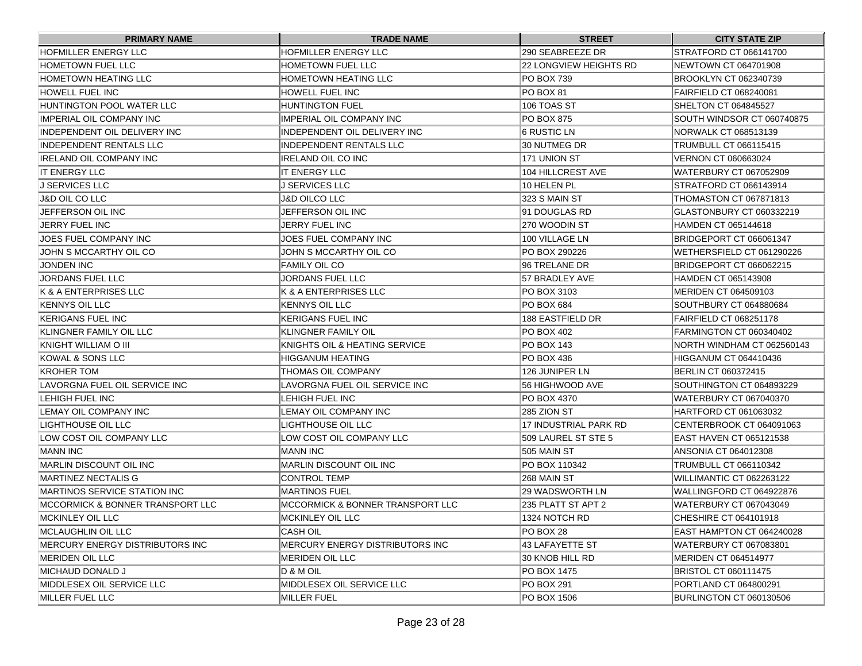| <b>PRIMARY NAME</b>                          | <b>TRADE NAME</b>                 | <b>STREET</b>           | <b>CITY STATE ZIP</b>        |
|----------------------------------------------|-----------------------------------|-------------------------|------------------------------|
| <b>HOFMILLER ENERGY LLC</b>                  | <b>HOFMILLER ENERGY LLC</b>       | 290 SEABREEZE DR        | STRATFORD CT 066141700       |
| HOMETOWN FUEL LLC                            | <b>HOMETOWN FUEL LLC</b>          | 22 LONGVIEW HEIGHTS RD  | NEWTOWN CT 064701908         |
| HOMETOWN HEATING LLC                         | <b>HOMETOWN HEATING LLC</b>       | IPO BOX 739             | BROOKLYN CT 062340739        |
| HOWELL FUEL INC                              | HOWELL FUEL INC                   | <b>PO BOX 81</b>        | FAIRFIELD CT 068240081       |
| HUNTINGTON POOL WATER LLC                    | HUNTINGTON FUEL                   | 106 TOAS ST             | SHELTON CT 064845527         |
| IIMPERIAL OIL COMPANY INC                    | IIMPERIAL OIL COMPANY INC         | <b>PO BOX 875</b>       | SOUTH WINDSOR CT 060740875   |
| INDEPENDENT OIL DELIVERY INC                 | IINDEPENDENT OIL DELIVERY INC     | 16 RUSTIC LN            | NORWALK CT 068513139         |
| INDEPENDENT RENTALS LLC                      | IINDEPENDENT RENTALS LLC          | 30 NUTMEG DR            | TRUMBULL CT 066115415        |
| IRELAND OIL COMPANY INC                      | IIRELAND OIL CO INC               | 171 UNION ST            | <b>VERNON CT 060663024</b>   |
| IIT ENERGY LLC                               | IIT ENERGY LLC                    | 104 HILLCREST AVE       | WATERBURY CT 067052909       |
| IJ SERVICES LLC                              | IJ SERVICES LLC                   | 10 HELEN PL             | STRATFORD CT 066143914       |
| J&D OIL CO LLC                               | J&D OILCO LLC                     | 323 S MAIN ST           | THOMASTON CT 067871813       |
| JEFFERSON OIL INC                            | JEFFERSON OIL INC                 | 91 DOUGLAS RD           | GLASTONBURY CT 060332219     |
| JERRY FUEL INC                               | <b>JERRY FUEL INC</b>             | 270 WOODIN ST           | HAMDEN CT 065144618          |
| JOES FUEL COMPANY INC                        | JOES FUEL COMPANY INC             | 100 VILLAGE LN          | BRIDGEPORT CT 066061347      |
| JOHN S MCCARTHY OIL CO                       | JOHN S MCCARTHY OIL CO            | PO BOX 290226           | WETHERSFIELD CT 061290226    |
| <b>JONDEN INC</b>                            | IFAMILY OIL CO                    | 96 TRELANE DR           | BRIDGEPORT CT 066062215      |
| JORDANS FUEL LLC                             | JORDANS FUEL LLC                  | 57 BRADLEY AVE          | HAMDEN CT 065143908          |
| IK & A ENTERPRISES LLC                       | K & A ENTERPRISES LLC             | PO BOX 3103             | IMERIDEN CT 064509103        |
| KENNYS OIL LLC                               | KENNYS OIL LLC                    | PO BOX 684              | SOUTHBURY CT 064880684       |
| KERIGANS FUEL INC                            | IKERIGANS FUEL INC                | <b>188 EASTFIELD DR</b> | FAIRFIELD CT 068251178       |
| KLINGNER FAMILY OIL LLC                      | IKLINGNER FAMILY OIL              | PO BOX 402              | FARMINGTON CT 060340402      |
| KNIGHT WILLIAM O III                         | KNIGHTS OIL & HEATING SERVICE     | PO BOX 143              | NORTH WINDHAM CT 062560143   |
| KOWAL & SONS LLC                             | HIGGANUM HEATING                  | PO BOX 436              | <b>HIGGANUM CT 064410436</b> |
| KROHER TOM                                   | THOMAS OIL COMPANY                | 126 JUNIPER LN          | BERLIN CT 060372415          |
| LAVORGNA FUEL OIL SERVICE INC                | LAVORGNA FUEL OIL SERVICE INC     | 56 HIGHWOOD AVE         | SOUTHINGTON CT 064893229     |
| LEHIGH FUEL INC                              | LEHIGH FUEL INC                   | PO BOX 4370             | WATERBURY CT 067040370       |
| LEMAY OIL COMPANY INC                        | LEMAY OIL COMPANY INC             | 285 ZION ST             | HARTFORD CT 061063032        |
| ILIGHTHOUSE OIL LLC                          | ILIGHTHOUSE OIL LLC               | 17 INDUSTRIAL PARK RD   | CENTERBROOK CT 064091063     |
| ILOW COST OIL COMPANY LLC                    | LOW COST OIL COMPANY LLC          | 509 LAUREL ST STE 5     | EAST HAVEN CT 065121538      |
| <b>IMANN INC</b>                             | IMANN INC                         | 505 MAIN ST             | ANSONIA CT 064012308         |
| IMARLIN DISCOUNT OIL INC                     | MARLIN DISCOUNT OIL INC           | PO BOX 110342           | TRUMBULL CT 066110342        |
| MARTINEZ NECTALIS G                          | <b>CONTROL TEMP</b>               | 268 MAIN ST             | WILLIMANTIC CT 062263122     |
| <b>IMARTINOS SERVICE STATION INC</b>         | IMARTINOS FUEL                    | 129 WADSWORTH LN        | WALLINGFORD CT 064922876     |
| <b>IMCCORMICK &amp; BONNER TRANSPORT LLC</b> | IMCCORMICK & BONNER TRANSPORT LLC | 235 PLATT ST APT 2      | WATERBURY CT 067043049       |
| MCKINLEY OIL LLC                             | MCKINLEY OIL LLC                  | 1324 NOTCH RD           | CHESHIRE CT 064101918        |
| MCLAUGHLIN OIL LLC                           | CASH OIL                          | PO BOX 28               | EAST HAMPTON CT 064240028    |
| MERCURY ENERGY DISTRIBUTORS INC              | MERCURY ENERGY DISTRIBUTORS INC   | 43 LAFAYETTE ST         | WATERBURY CT 067083801       |
| <b>MERIDEN OIL LLC</b>                       | <b>IMERIDEN OIL LLC</b>           | 30 KNOB HILL RD         | MERIDEN CT 064514977         |
| MICHAUD DONALD J                             | D & M OIL                         | PO BOX 1475             | <b>BRISTOL CT 060111475</b>  |
| MIDDLESEX OIL SERVICE LLC                    | MIDDLESEX OIL SERVICE LLC         | PO BOX 291              | PORTLAND CT 064800291        |
| MILLER FUEL LLC                              | MILLER FUEL                       | PO BOX 1506             | BURLINGTON CT 060130506      |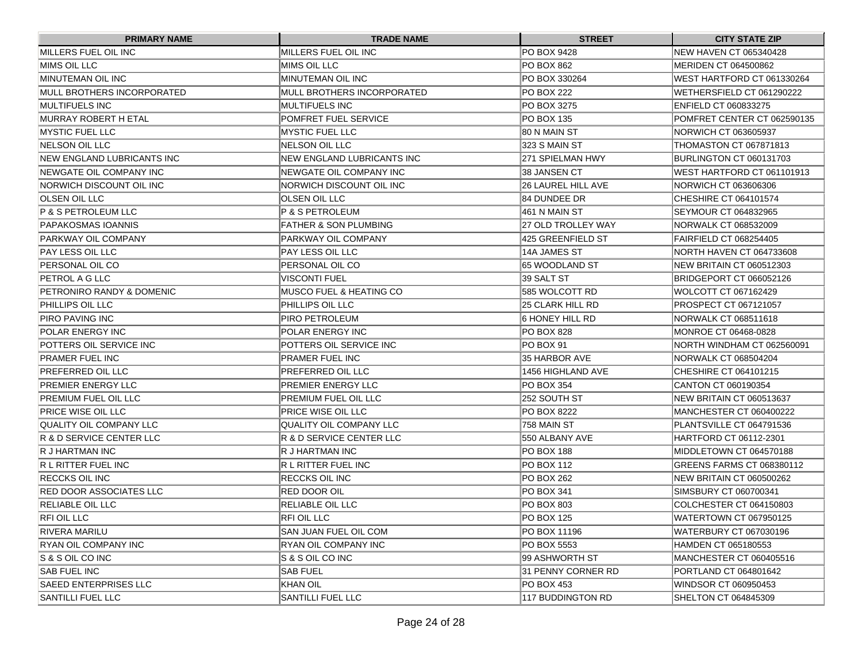| <b>PRIMARY NAME</b>             | <b>TRADE NAME</b>                  | <b>STREET</b>      | <b>CITY STATE ZIP</b>         |
|---------------------------------|------------------------------------|--------------------|-------------------------------|
| MILLERS FUEL OIL INC            | MILLERS FUEL OIL INC               | PO BOX 9428        | <b>NEW HAVEN CT 065340428</b> |
| MIMS OIL LLC                    | MIMS OIL LLC                       | PO BOX 862         | MERIDEN CT 064500862          |
| IMINUTEMAN OIL INC              | MINUTEMAN OIL INC                  | PO BOX 330264      | WEST HARTFORD CT 061330264    |
| MULL BROTHERS INCORPORATED      | IMULL BROTHERS INCORPORATED        | PO BOX 222         | WETHERSFIELD CT 061290222     |
| IMULTIFUELS INC                 | IMULTIFUELS INC                    | PO BOX 3275        | <b>ENFIELD CT 060833275</b>   |
| IMURRAY ROBERT H ETAL           | POMFRET FUEL SERVICE               | PO BOX 135         | POMFRET CENTER CT 062590135   |
| <b>IMYSTIC FUEL LLC</b>         | <b>IMYSTIC FUEL LLC</b>            | 80 N MAIN ST       | NORWICH CT 063605937          |
| INELSON OIL LLC                 | INELSON OIL LLC                    | 323 S MAIN ST      | THOMASTON CT 067871813        |
| INEW ENGLAND LUBRICANTS INC     | NEW ENGLAND LUBRICANTS INC         | 271 SPIELMAN HWY   | BURLINGTON CT 060131703       |
| <b>INEWGATE OIL COMPANY INC</b> | <b>INEWGATE OIL COMPANY INC</b>    | 38 JANSEN CT       | WEST HARTFORD CT 061101913    |
| INORWICH DISCOUNT OIL INC       | NORWICH DISCOUNT OIL INC           | 26 LAUREL HILL AVE | NORWICH CT 063606306          |
| OLSEN OIL LLC                   | IOLSEN OIL LLC                     | 84 DUNDEE DR       | CHESHIRE CT 064101574         |
| P & S PETROLEUM LLC             | IP & S PETROLEUM                   | 461 N MAIN ST      | SEYMOUR CT 064832965          |
| PAPAKOSMAS IOANNIS              | IFATHER & SON PLUMBING             | 27 OLD TROLLEY WAY | NORWALK CT 068532009          |
| PARKWAY OIL COMPANY             | IPARKWAY OIL COMPANY               | 425 GREENFIELD ST  | FAIRFIELD CT 068254405        |
| PAY LESS OIL LLC                | IPAY LESS OIL LLC                  | 14A JAMES ST       | NORTH HAVEN CT 064733608      |
| PERSONAL OIL CO                 | PERSONAL OIL CO                    | 165 WOODLAND ST    | NEW BRITAIN CT 060512303      |
| PETROL A G LLC                  | VISCONTI FUEL                      | 39 SALT ST         | BRIDGEPORT CT 066052126       |
| PETRONIRO RANDY & DOMENIC       | <b>MUSCO FUEL &amp; HEATING CO</b> | 585 WOLCOTT RD     | WOLCOTT CT 067162429          |
| PHILLIPS OIL LLC                | PHILLIPS OIL LLC                   | 25 CLARK HILL RD   | PROSPECT CT 067121057         |
| PIRO PAVING INC                 | PIRO PETROLEUM                     | 6 HONEY HILL RD    | NORWALK CT 068511618          |
| POLAR ENERGY INC                | POLAR ENERGY INC                   | PO BOX 828         | MONROE CT 06468-0828          |
| POTTERS OIL SERVICE INC         | POTTERS OIL SERVICE INC            | <b>PO BOX 91</b>   | NORTH WINDHAM CT 062560091    |
| PRAMER FUEL INC                 | PRAMER FUEL INC                    | 35 HARBOR AVE      | NORWALK CT 068504204          |
| PREFERRED OIL LLC               | PREFERRED OIL LLC                  | 1456 HIGHLAND AVE  | CHESHIRE CT 064101215         |
| PREMIER ENERGY LLC              | PREMIER ENERGY LLC                 | PO BOX 354         | CANTON CT 060190354           |
| PREMIUM FUEL OIL LLC            | PREMIUM FUEL OIL LLC               | 252 SOUTH ST       | NEW BRITAIN CT 060513637      |
| PRICE WISE OIL LLC              | PRICE WISE OIL LLC                 | PO BOX 8222        | IMANCHESTER CT 060400222      |
| QUALITY OIL COMPANY LLC         | IQUALITY OIL COMPANY LLC           | 1758 MAIN ST       | PLANTSVILLE CT 064791536      |
| IR & D SERVICE CENTER LLC       | IR & D SERVICE CENTER LLC          | 550 ALBANY AVE     | HARTFORD CT 06112-2301        |
| IR J HARTMAN INC                | IR J HARTMAN INC                   | PO BOX 188         | MIDDLETOWN CT 064570188       |
| R L RITTER FUEL INC             | R L RITTER FUEL INC                | PO BOX 112         | GREENS FARMS CT 068380112     |
| IRECCKS OIL INC                 | <b>RECCKS OIL INC</b>              | PO BOX 262         | NEW BRITAIN CT 060500262      |
| <b>RED DOOR ASSOCIATES LLC</b>  | IRED DOOR OIL                      | PO BOX 341         | SIMSBURY CT 060700341         |
| <b>RELIABLE OIL LLC</b>         | <b>RELIABLE OIL LLC</b>            | PO BOX 803         | COLCHESTER CT 064150803       |
| RFI OIL LLC                     | RFI OIL LLC                        | PO BOX 125         | WATERTOWN CT 067950125        |
| <b>RIVERA MARILU</b>            | SAN JUAN FUEL OIL COM              | PO BOX 11196       | WATERBURY CT 067030196        |
| RYAN OIL COMPANY INC            | <b>RYAN OIL COMPANY INC</b>        | PO BOX 5553        | HAMDEN CT 065180553           |
| S & S OIL CO INC                | S & S OIL CO INC                   | 99 ASHWORTH ST     | MANCHESTER CT 060405516       |
| <b>SAB FUEL INC</b>             | <b>SAB FUEL</b>                    | 31 PENNY CORNER RD | PORTLAND CT 064801642         |
| <b>SAEED ENTERPRISES LLC</b>    | KHAN OIL                           | PO BOX 453         | WINDSOR CT 060950453          |
| <b>SANTILLI FUEL LLC</b>        | SANTILLI FUEL LLC                  | 117 BUDDINGTON RD  | SHELTON CT 064845309          |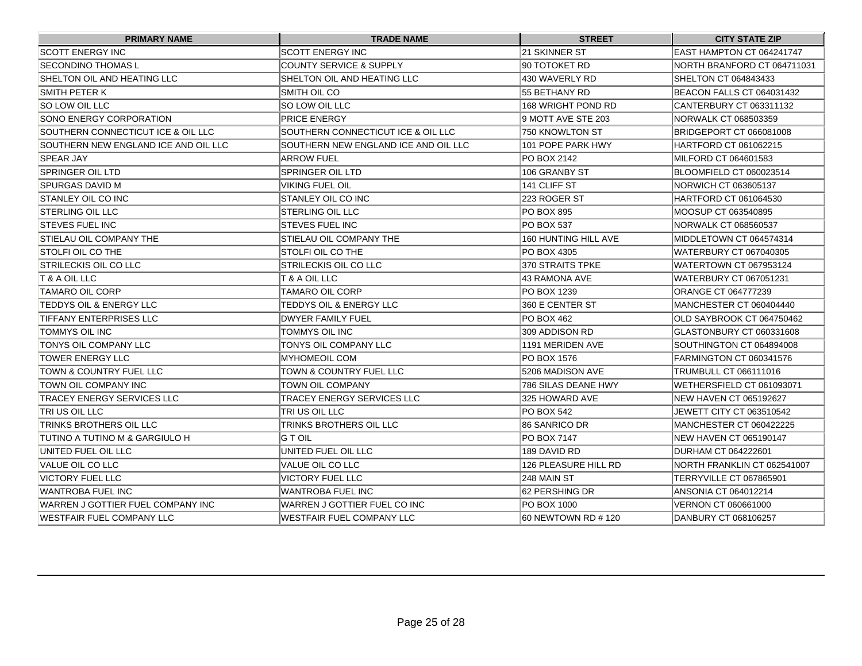| <b>PRIMARY NAME</b>                  | <b>TRADE NAME</b>                    | <b>STREET</b>        | <b>CITY STATE ZIP</b>           |
|--------------------------------------|--------------------------------------|----------------------|---------------------------------|
| <b>SCOTT ENERGY INC</b>              | <b>SCOTT ENERGY INC</b>              | 21 SKINNER ST        | EAST HAMPTON CT 064241747       |
| SECONDINO THOMAS L                   | <b>COUNTY SERVICE &amp; SUPPLY</b>   | 90 TOTOKET RD        | NORTH BRANFORD CT 064711031     |
| SHELTON OIL AND HEATING LLC          | SHELTON OIL AND HEATING LLC          | 430 WAVERLY RD       | SHELTON CT 064843433            |
| <b>SMITH PETER K</b>                 | SMITH OIL CO                         | 55 BETHANY RD        | BEACON FALLS CT 064031432       |
| <b>SO LOW OIL LLC</b>                | ISO LOW OIL LLC                      | 168 WRIGHT POND RD   | CANTERBURY CT 063311132         |
| SONO ENERGY CORPORATION              | <b>PRICE ENERGY</b>                  | 9 MOTT AVE STE 203   | NORWALK CT 068503359            |
| SOUTHERN CONNECTICUT ICE & OIL LLC   | ISOUTHERN CONNECTICUT ICE & OIL LLC  | 750 KNOWLTON ST      | BRIDGEPORT CT 066081008         |
| SOUTHERN NEW ENGLAND ICE AND OIL LLC | SOUTHERN NEW ENGLAND ICE AND OIL LLC | 101 POPE PARK HWY    | HARTFORD CT 061062215           |
| <b>SPEAR JAY</b>                     | ARROW FUEL                           | PO BOX 2142          | MILFORD CT 064601583            |
| SPRINGER OIL LTD                     | ISPRINGER OIL LTD                    | 106 GRANBY ST        | BLOOMFIELD CT 060023514         |
| SPURGAS DAVID M                      | <b>VIKING FUEL OIL</b>               | 141 CLIFF ST         | NORWICH CT 063605137            |
| <b>STANLEY OIL CO INC</b>            | <b>ISTANLEY OIL CO INC</b>           | 223 ROGER ST         | HARTFORD CT 061064530           |
| <b>STERLING OIL LLC</b>              | STERLING OIL LLC                     | IPO BOX 895          | MOOSUP CT 063540895             |
| <b>ISTEVES FUEL INC</b>              | <b>ISTEVES FUEL INC</b>              | <b>PO BOX 537</b>    | <b>NORWALK CT 068560537</b>     |
| STIELAU OIL COMPANY THE              | <b>STIELAU OIL COMPANY THE</b>       | 160 HUNTING HILL AVE | MIDDLETOWN CT 064574314         |
| <b>STOLFI OIL CO THE</b>             | <b>ISTOLFI OIL CO THE</b>            | <b>PO BOX 4305</b>   | <b>WATERBURY CT 067040305</b>   |
| <b>STRILECKIS OIL CO LLC</b>         | ISTRILECKIS OIL CO LLC               | 370 STRAITS TPKE     | WATERTOWN CT 067953124          |
| T & A OIL LLC                        | T & A OIL LLC                        | 43 RAMONA AVE        | <b>WATERBURY CT 067051231</b>   |
| <b>TAMARO OIL CORP</b>               | <b>TAMARO OIL CORP</b>               | IPO BOX 1239         | ORANGE CT 064777239             |
| <b>TEDDYS OIL &amp; ENERGY LLC</b>   | <b>TEDDYS OIL &amp; ENERGY LLC</b>   | 360 E CENTER ST      | MANCHESTER CT 060404440         |
| <b>TIFFANY ENTERPRISES LLC</b>       | <b>DWYER FAMILY FUEL</b>             | PO BOX 462           | OLD SAYBROOK CT 064750462       |
| TOMMYS OIL INC                       | ITOMMYS OIL INC                      | 309 ADDISON RD       | IGLASTONBURY CT 060331608       |
| TONYS OIL COMPANY LLC                | TONYS OIL COMPANY LLC                | 1191 MERIDEN AVE     | SOUTHINGTON CT 064894008        |
| <b>TOWER ENERGY LLC</b>              | <b>MYHOMEOIL COM</b>                 | PO BOX 1576          | FARMINGTON CT 060341576         |
| TOWN & COUNTRY FUEL LLC              | <b>TOWN &amp; COUNTRY FUEL LLC</b>   | 5206 MADISON AVE     | TRUMBULL CT 066111016           |
| TOWN OIL COMPANY INC                 | <b>TOWN OIL COMPANY</b>              | 786 SILAS DEANE HWY  | WETHERSFIELD CT 061093071       |
| <b>TRACEY ENERGY SERVICES LLC</b>    | TRACEY ENERGY SERVICES LLC           | 325 HOWARD AVE       | NEW HAVEN CT 065192627          |
| TRI US OIL LLC                       | TRI US OIL LLC                       | PO BOX 542           | <b>JEWETT CITY CT 063510542</b> |
| <b>TRINKS BROTHERS OIL LLC</b>       | TRINKS BROTHERS OIL LLC              | 86 SANRICO DR        | <b>IMANCHESTER CT 060422225</b> |
| TUTINO A TUTINO M & GARGIULO H       | IG T OIL                             | <b>PO BOX 7147</b>   | <b>INEW HAVEN CT 065190147</b>  |
| UNITED FUEL OIL LLC                  | UNITED FUEL OIL LLC                  | 189 DAVID RD         | DURHAM CT 064222601             |
| VALUE OIL CO LLC                     | IVALUE OIL CO LLC                    | 126 PLEASURE HILL RD | INORTH FRANKLIN CT 062541007    |
| VICTORY FUEL LLC                     | IVICTORY FUEL LLC                    | 248 MAIN ST          | TERRYVILLE CT 067865901         |
| <b>WANTROBA FUEL INC</b>             | IWANTROBA FUEL INC                   | 62 PERSHING DR       | ANSONIA CT 064012214            |
| WARREN J GOTTIER FUEL COMPANY INC    | IWARREN J GOTTIER FUEL CO INC        | PO BOX 1000          | <b>VERNON CT 060661000</b>      |
| <b>WESTFAIR FUEL COMPANY LLC</b>     | WESTFAIR FUEL COMPANY LLC            | 60 NEWTOWN RD # 120  | DANBURY CT 068106257            |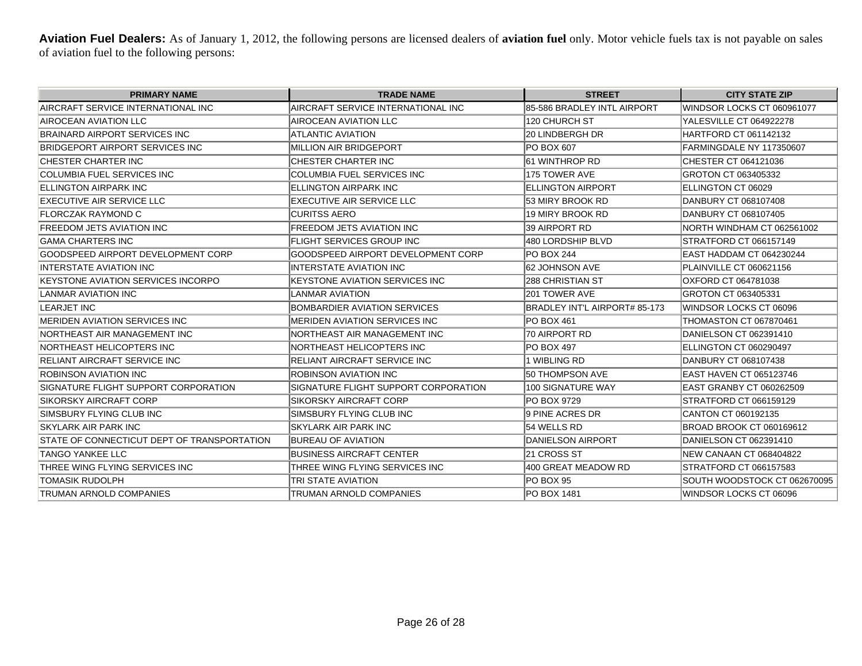Aviation Fuel Dealers: As of January 1, 2012, the following persons are licensed dealers of aviation fuel only. Motor vehicle fuels tax is not payable on sales of aviation fuel to the following persons:

| <b>PRIMARY NAME</b>                         | <b>TRADE NAME</b>                     | <b>STREET</b>                 | <b>CITY STATE ZIP</b>           |
|---------------------------------------------|---------------------------------------|-------------------------------|---------------------------------|
| AIRCRAFT SERVICE INTERNATIONAL INC          | AIRCRAFT SERVICE INTERNATIONAL INC    | 85-586 BRADLEY INTL AIRPORT   | WINDSOR LOCKS CT 060961077      |
| AIROCEAN AVIATION LLC                       | <b>AIROCEAN AVIATION LLC</b>          | 120 CHURCH ST                 | YALESVILLE CT 064922278         |
| BRAINARD AIRPORT SERVICES INC               | <b>ATLANTIC AVIATION</b>              | 20 LINDBERGH DR               | HARTFORD CT 061142132           |
| BRIDGEPORT AIRPORT SERVICES INC             | MILLION AIR BRIDGEPORT                | <b>PO BOX 607</b>             | FARMINGDALE NY 117350607        |
| CHESTER CHARTER INC                         | CHESTER CHARTER INC                   | <b>61 WINTHROP RD</b>         | CHESTER CT 064121036            |
| COLUMBIA FUEL SERVICES INC                  | COLUMBIA FUEL SERVICES INC            | 175 TOWER AVE                 | GROTON CT 063405332             |
| <b>ELLINGTON AIRPARK INC</b>                | <b>ELLINGTON AIRPARK INC</b>          | <b>ELLINGTON AIRPORT</b>      | ELLINGTON CT 06029              |
| EXECUTIVE AIR SERVICE LLC                   | EXECUTIVE AIR SERVICE LLC             | 53 MIRY BROOK RD              | DANBURY CT 068107408            |
| FLORCZAK RAYMOND C                          | <b>CURITSS AERO</b>                   | 19 MIRY BROOK RD              | DANBURY CT 068107405            |
| <b>FREEDOM JETS AVIATION INC</b>            | <b>FREEDOM JETS AVIATION INC</b>      | 39 AIRPORT RD                 | NORTH WINDHAM CT 062561002      |
| <b>GAMA CHARTERS INC</b>                    | <b>FLIGHT SERVICES GROUP INC</b>      | 480 LORDSHIP BLVD             | STRATFORD CT 066157149          |
| GOODSPEED AIRPORT DEVELOPMENT CORP          | GOODSPEED AIRPORT DEVELOPMENT CORP    | PO BOX 244                    | EAST HADDAM CT 064230244        |
| <b>INTERSTATE AVIATION INC.</b>             | <b>INTERSTATE AVIATION INC.</b>       | 62 JOHNSON AVE                | PLAINVILLE CT 060621156         |
| KEYSTONE AVIATION SERVICES INCORPO          | <b>KEYSTONE AVIATION SERVICES INC</b> | 288 CHRISTIAN ST              | OXFORD CT 064781038             |
| LANMAR AVIATION INC                         | <b>LANMAR AVIATION</b>                | 201 TOWER AVE                 | <b>IGROTON CT 063405331</b>     |
| <b>LEARJET INC</b>                          | <b>BOMBARDIER AVIATION SERVICES</b>   | BRADLEY INT'L AIRPORT# 85-173 | <b>WINDSOR LOCKS CT 06096</b>   |
| <b>MERIDEN AVIATION SERVICES INC.</b>       | <b>MERIDEN AVIATION SERVICES INC.</b> | PO BOX 461                    | THOMASTON CT 067870461          |
| NORTHEAST AIR MANAGEMENT INC                | NORTHEAST AIR MANAGEMENT INC          | 70 AIRPORT RD                 | DANIELSON CT 062391410          |
| NORTHEAST HELICOPTERS INC                   | NORTHEAST HELICOPTERS INC             | <b>PO BOX 497</b>             | ELLINGTON CT 060290497          |
| RELIANT AIRCRAFT SERVICE INC                | <b>RELIANT AIRCRAFT SERVICE INC</b>   | 1 WIBLING RD                  | DANBURY CT 068107438            |
| <b>ROBINSON AVIATION INC</b>                | <b>ROBINSON AVIATION INC</b>          | 50 THOMPSON AVE               | EAST HAVEN CT 065123746         |
| SIGNATURE FLIGHT SUPPORT CORPORATION        | SIGNATURE FLIGHT SUPPORT CORPORATION  | 100 SIGNATURE WAY             | <b>EAST GRANBY CT 060262509</b> |
| SIKORSKY AIRCRAFT CORP                      | <b>SIKORSKY AIRCRAFT CORP</b>         | PO BOX 9729                   | STRATFORD CT 066159129          |
| SIMSBURY FLYING CLUB INC                    | SIMSBURY FLYING CLUB INC              | 9 PINE ACRES DR               | CANTON CT 060192135             |
| <b>SKYLARK AIR PARK INC</b>                 | SKYLARK AIR PARK INC                  | 54 WELLS RD                   | BROAD BROOK CT 060169612        |
| STATE OF CONNECTICUT DEPT OF TRANSPORTATION | BUREAU OF AVIATION                    | DANIELSON AIRPORT             | DANIELSON CT 062391410          |
| TANGO YANKEE LLC                            | <b>BUSINESS AIRCRAFT CENTER</b>       | 21 CROSS ST                   | <b>NEW CANAAN CT 068404822</b>  |
| THREE WING FLYING SERVICES INC              | THREE WING FLYING SERVICES INC        | 400 GREAT MEADOW RD           | STRATFORD CT 066157583          |
| <b>TOMASIK RUDOLPH</b>                      | TRI STATE AVIATION                    | PO BOX 95                     | SOUTH WOODSTOCK CT 062670095    |
| TRUMAN ARNOLD COMPANIES                     | TRUMAN ARNOLD COMPANIES               | PO BOX 1481                   | WINDSOR LOCKS CT 06096          |